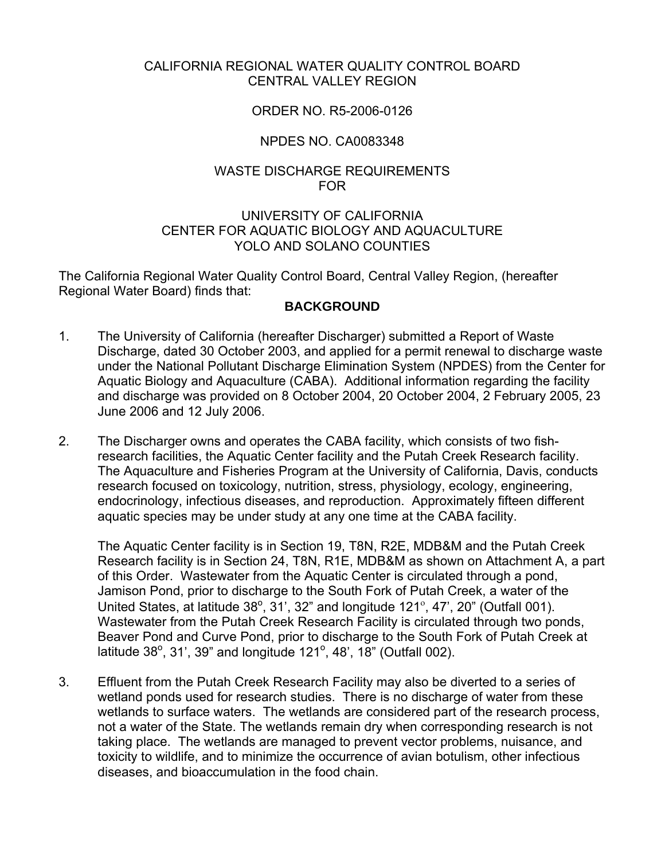## CALIFORNIA REGIONAL WATER QUALITY CONTROL BOARD CENTRAL VALLEY REGION

## ORDER NO. R5-2006-0126

## NPDES NO. CA0083348

## WASTE DISCHARGE REQUIREMENTS FOR

#### UNIVERSITY OF CALIFORNIA CENTER FOR AQUATIC BIOLOGY AND AQUACULTURE YOLO AND SOLANO COUNTIES

The California Regional Water Quality Control Board, Central Valley Region, (hereafter Regional Water Board) finds that:

## **BACKGROUND**

- 1. The University of California (hereafter Discharger) submitted a Report of Waste Discharge, dated 30 October 2003, and applied for a permit renewal to discharge waste under the National Pollutant Discharge Elimination System (NPDES) from the Center for Aquatic Biology and Aquaculture (CABA). Additional information regarding the facility and discharge was provided on 8 October 2004, 20 October 2004, 2 February 2005, 23 June 2006 and 12 July 2006.
- 2. The Discharger owns and operates the CABA facility, which consists of two fishresearch facilities, the Aquatic Center facility and the Putah Creek Research facility. The Aquaculture and Fisheries Program at the University of California, Davis, conducts research focused on toxicology, nutrition, stress, physiology, ecology, engineering, endocrinology, infectious diseases, and reproduction. Approximately fifteen different aquatic species may be under study at any one time at the CABA facility.

The Aquatic Center facility is in Section 19, T8N, R2E, MDB&M and the Putah Creek Research facility is in Section 24, T8N, R1E, MDB&M as shown on Attachment A, a part of this Order. Wastewater from the Aquatic Center is circulated through a pond, Jamison Pond, prior to discharge to the South Fork of Putah Creek, a water of the United States, at latitude  $38^\circ$ ,  $31'$ ,  $32''$  and longitude  $121^\circ$ ,  $47'$ ,  $20''$  (Outfall 001). Wastewater from the Putah Creek Research Facility is circulated through two ponds, Beaver Pond and Curve Pond, prior to discharge to the South Fork of Putah Creek at latitude 38°, 31', 39" and longitude 121°, 48', 18" (Outfall 002).

3. Effluent from the Putah Creek Research Facility may also be diverted to a series of wetland ponds used for research studies. There is no discharge of water from these wetlands to surface waters. The wetlands are considered part of the research process, not a water of the State. The wetlands remain dry when corresponding research is not taking place. The wetlands are managed to prevent vector problems, nuisance, and toxicity to wildlife, and to minimize the occurrence of avian botulism, other infectious diseases, and bioaccumulation in the food chain.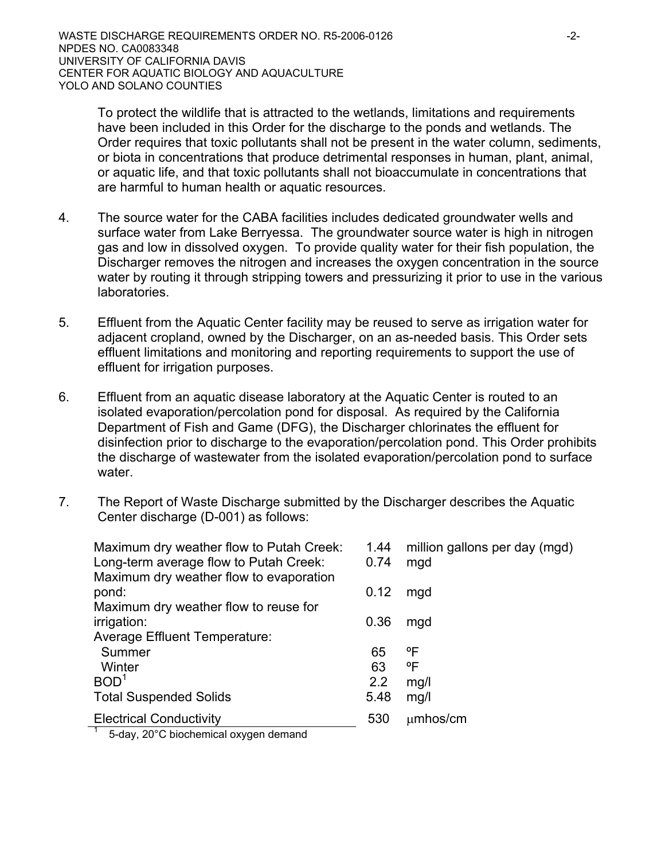To protect the wildlife that is attracted to the wetlands, limitations and requirements have been included in this Order for the discharge to the ponds and wetlands. The Order requires that toxic pollutants shall not be present in the water column, sediments, or biota in concentrations that produce detrimental responses in human, plant, animal, or aquatic life, and that toxic pollutants shall not bioaccumulate in concentrations that are harmful to human health or aquatic resources.

- 4. The source water for the CABA facilities includes dedicated groundwater wells and surface water from Lake Berryessa. The groundwater source water is high in nitrogen gas and low in dissolved oxygen. To provide quality water for their fish population, the Discharger removes the nitrogen and increases the oxygen concentration in the source water by routing it through stripping towers and pressurizing it prior to use in the various laboratories.
- 5. Effluent from the Aquatic Center facility may be reused to serve as irrigation water for adjacent cropland, owned by the Discharger, on an as-needed basis. This Order sets effluent limitations and monitoring and reporting requirements to support the use of effluent for irrigation purposes.
- 6. Effluent from an aquatic disease laboratory at the Aquatic Center is routed to an isolated evaporation/percolation pond for disposal. As required by the California Department of Fish and Game (DFG), the Discharger chlorinates the effluent for disinfection prior to discharge to the evaporation/percolation pond. This Order prohibits the discharge of wastewater from the isolated evaporation/percolation pond to surface water.
- 7. The Report of Waste Discharge submitted by the Discharger describes the Aquatic Center discharge (D-001) as follows:

| Maximum dry weather flow to Putah Creek:<br>Long-term average flow to Putah Creek: | 1.44<br>0.74 | million gallons per day (mgd)<br>mgd |
|------------------------------------------------------------------------------------|--------------|--------------------------------------|
| Maximum dry weather flow to evaporation                                            |              |                                      |
| pond:                                                                              | 0.12         | mgd                                  |
| Maximum dry weather flow to reuse for                                              |              |                                      |
| irrigation:                                                                        | 0.36         | mgd                                  |
| Average Effluent Temperature:                                                      |              |                                      |
| Summer                                                                             | 65           | °F                                   |
| Winter                                                                             | 63           | °F                                   |
| BOD <sup>1</sup>                                                                   | 2.2          | mg/l                                 |
| <b>Total Suspended Solids</b>                                                      | 5.48         | mg/l                                 |
| <b>Electrical Conductivity</b>                                                     | 530          | $µm$ hos/cm                          |
| $\overline{a}$ $\overline{b}$ dou 2000 bisebemies eurose demand                    |              |                                      |

1 5-day, 20°C biochemical oxygen demand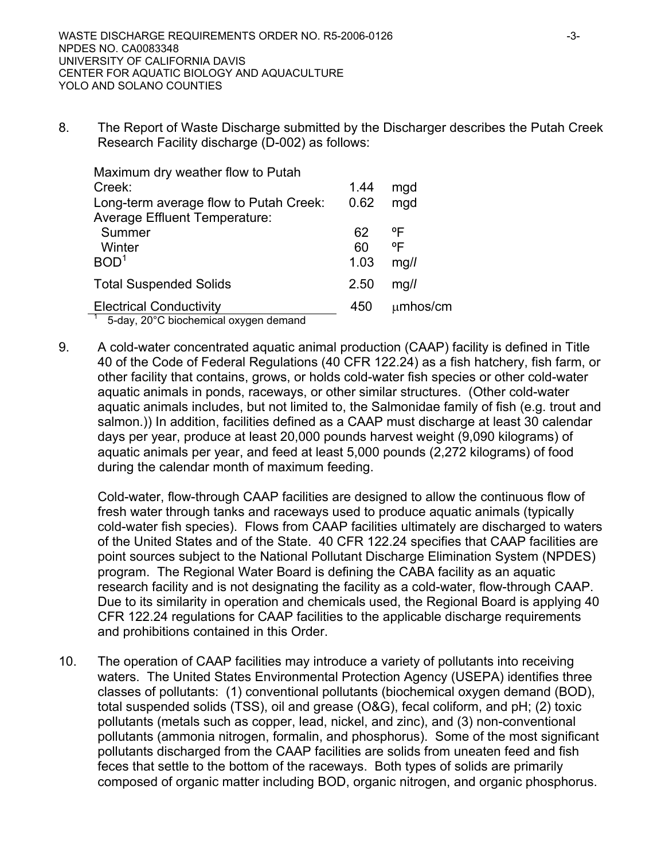8. The Report of Waste Discharge submitted by the Discharger describes the Putah Creek Research Facility discharge (D-002) as follows:

| Maximum dry weather flow to Putah                           |      |             |
|-------------------------------------------------------------|------|-------------|
| Creek:                                                      | 1.44 | mgd         |
| Long-term average flow to Putah Creek:                      | 0.62 | mgd         |
| <b>Average Effluent Temperature:</b>                        |      |             |
| Summer                                                      | 62   | °F          |
| Winter                                                      | 60   | °F          |
| BOD <sup>1</sup>                                            | 1.03 | mq/l        |
| <b>Total Suspended Solids</b>                               | 2.50 | mq/l        |
| <b>Electrical Conductivity</b><br>_ _ _ _ _ _ _ _ _ _ _ _ _ | 450  | $µm$ hos/cm |

 $1$  5-day, 20°C biochemical oxygen demand

9. A cold-water concentrated aquatic animal production (CAAP) facility is defined in Title 40 of the Code of Federal Regulations (40 CFR 122.24) as a fish hatchery, fish farm, or other facility that contains, grows, or holds cold-water fish species or other cold-water aquatic animals in ponds, raceways, or other similar structures. (Other cold-water aquatic animals includes, but not limited to, the Salmonidae family of fish (e.g. trout and salmon.)) In addition, facilities defined as a CAAP must discharge at least 30 calendar days per year, produce at least 20,000 pounds harvest weight (9,090 kilograms) of aquatic animals per year, and feed at least 5,000 pounds (2,272 kilograms) of food during the calendar month of maximum feeding.

Cold-water, flow-through CAAP facilities are designed to allow the continuous flow of fresh water through tanks and raceways used to produce aquatic animals (typically cold-water fish species). Flows from CAAP facilities ultimately are discharged to waters of the United States and of the State. 40 CFR 122.24 specifies that CAAP facilities are point sources subject to the National Pollutant Discharge Elimination System (NPDES) program. The Regional Water Board is defining the CABA facility as an aquatic research facility and is not designating the facility as a cold-water, flow-through CAAP. Due to its similarity in operation and chemicals used, the Regional Board is applying 40 CFR 122.24 regulations for CAAP facilities to the applicable discharge requirements and prohibitions contained in this Order.

10. The operation of CAAP facilities may introduce a variety of pollutants into receiving waters. The United States Environmental Protection Agency (USEPA) identifies three classes of pollutants: (1) conventional pollutants (biochemical oxygen demand (BOD), total suspended solids (TSS), oil and grease (O&G), fecal coliform, and pH; (2) toxic pollutants (metals such as copper, lead, nickel, and zinc), and (3) non-conventional pollutants (ammonia nitrogen, formalin, and phosphorus). Some of the most significant pollutants discharged from the CAAP facilities are solids from uneaten feed and fish feces that settle to the bottom of the raceways. Both types of solids are primarily composed of organic matter including BOD, organic nitrogen, and organic phosphorus.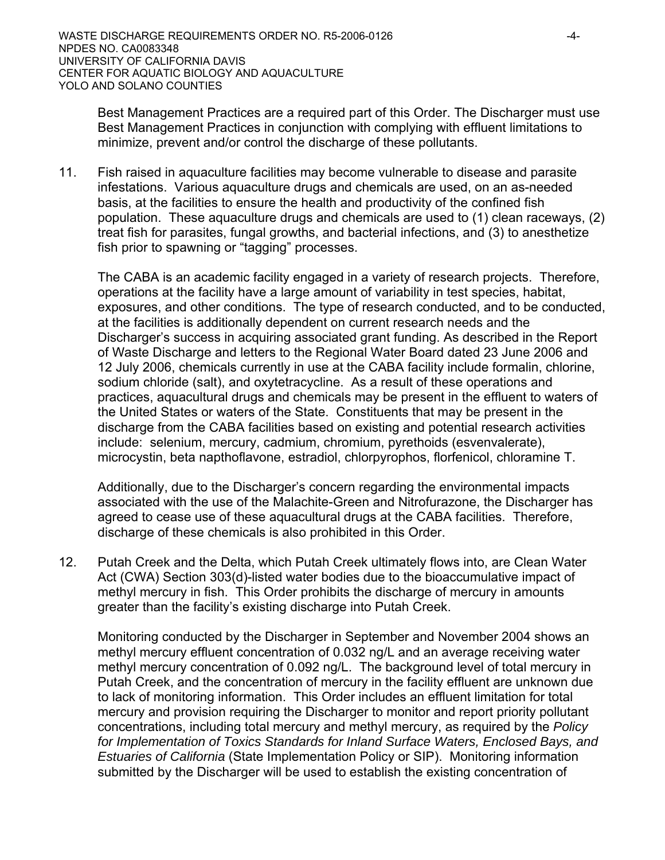Best Management Practices are a required part of this Order. The Discharger must use Best Management Practices in conjunction with complying with effluent limitations to minimize, prevent and/or control the discharge of these pollutants.

11. Fish raised in aquaculture facilities may become vulnerable to disease and parasite infestations. Various aquaculture drugs and chemicals are used, on an as-needed basis, at the facilities to ensure the health and productivity of the confined fish population. These aquaculture drugs and chemicals are used to (1) clean raceways, (2) treat fish for parasites, fungal growths, and bacterial infections, and (3) to anesthetize fish prior to spawning or "tagging" processes.

The CABA is an academic facility engaged in a variety of research projects. Therefore, operations at the facility have a large amount of variability in test species, habitat, exposures, and other conditions. The type of research conducted, and to be conducted, at the facilities is additionally dependent on current research needs and the Discharger's success in acquiring associated grant funding. As described in the Report of Waste Discharge and letters to the Regional Water Board dated 23 June 2006 and 12 July 2006, chemicals currently in use at the CABA facility include formalin, chlorine, sodium chloride (salt), and oxytetracycline. As a result of these operations and practices, aquacultural drugs and chemicals may be present in the effluent to waters of the United States or waters of the State. Constituents that may be present in the discharge from the CABA facilities based on existing and potential research activities include: selenium, mercury, cadmium, chromium, pyrethoids (esvenvalerate), microcystin, beta napthoflavone, estradiol, chlorpyrophos, florfenicol, chloramine T.

Additionally, due to the Discharger's concern regarding the environmental impacts associated with the use of the Malachite-Green and Nitrofurazone, the Discharger has agreed to cease use of these aquacultural drugs at the CABA facilities. Therefore, discharge of these chemicals is also prohibited in this Order.

12. Putah Creek and the Delta, which Putah Creek ultimately flows into, are Clean Water Act (CWA) Section 303(d)-listed water bodies due to the bioaccumulative impact of methyl mercury in fish. This Order prohibits the discharge of mercury in amounts greater than the facility's existing discharge into Putah Creek.

Monitoring conducted by the Discharger in September and November 2004 shows an methyl mercury effluent concentration of 0.032 ng/L and an average receiving water methyl mercury concentration of 0.092 ng/L. The background level of total mercury in Putah Creek, and the concentration of mercury in the facility effluent are unknown due to lack of monitoring information. This Order includes an effluent limitation for total mercury and provision requiring the Discharger to monitor and report priority pollutant concentrations, including total mercury and methyl mercury, as required by the *Policy for Implementation of Toxics Standards for Inland Surface Waters, Enclosed Bays, and Estuaries of California* (State Implementation Policy or SIP). Monitoring information submitted by the Discharger will be used to establish the existing concentration of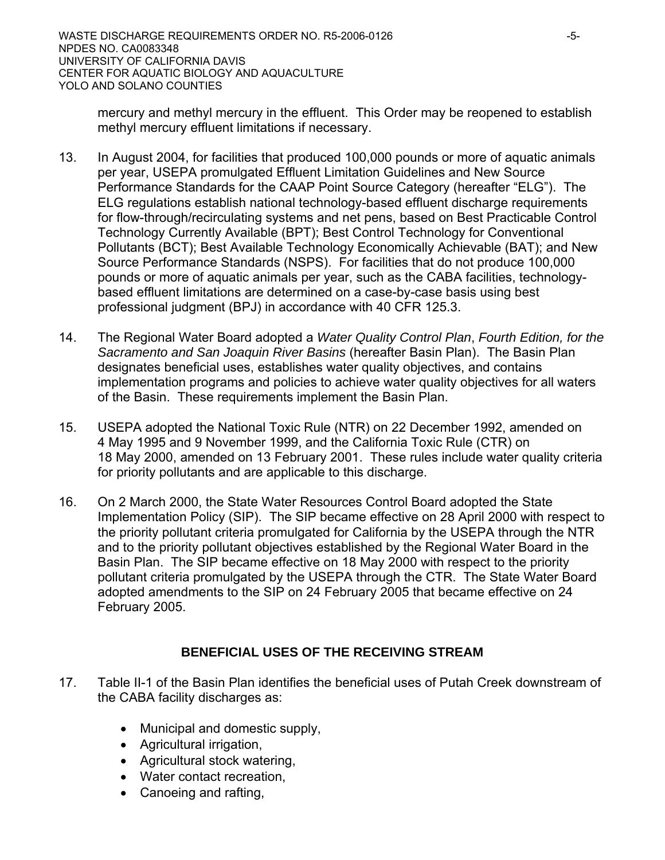mercury and methyl mercury in the effluent. This Order may be reopened to establish methyl mercury effluent limitations if necessary.

- 13. In August 2004, for facilities that produced 100,000 pounds or more of aquatic animals per year, USEPA promulgated Effluent Limitation Guidelines and New Source Performance Standards for the CAAP Point Source Category (hereafter "ELG"). The ELG regulations establish national technology-based effluent discharge requirements for flow-through/recirculating systems and net pens, based on Best Practicable Control Technology Currently Available (BPT); Best Control Technology for Conventional Pollutants (BCT); Best Available Technology Economically Achievable (BAT); and New Source Performance Standards (NSPS). For facilities that do not produce 100,000 pounds or more of aquatic animals per year, such as the CABA facilities, technologybased effluent limitations are determined on a case-by-case basis using best professional judgment (BPJ) in accordance with 40 CFR 125.3.
- 14. The Regional Water Board adopted a *Water Quality Control Plan*, *Fourth Edition, for the Sacramento and San Joaquin River Basins* (hereafter Basin Plan). The Basin Plan designates beneficial uses, establishes water quality objectives, and contains implementation programs and policies to achieve water quality objectives for all waters of the Basin. These requirements implement the Basin Plan.
- 15. USEPA adopted the National Toxic Rule (NTR) on 22 December 1992, amended on 4 May 1995 and 9 November 1999, and the California Toxic Rule (CTR) on 18 May 2000, amended on 13 February 2001. These rules include water quality criteria for priority pollutants and are applicable to this discharge.
- 16. On 2 March 2000, the State Water Resources Control Board adopted the State Implementation Policy (SIP). The SIP became effective on 28 April 2000 with respect to the priority pollutant criteria promulgated for California by the USEPA through the NTR and to the priority pollutant objectives established by the Regional Water Board in the Basin Plan. The SIP became effective on 18 May 2000 with respect to the priority pollutant criteria promulgated by the USEPA through the CTR. The State Water Board adopted amendments to the SIP on 24 February 2005 that became effective on 24 February 2005.

# **BENEFICIAL USES OF THE RECEIVING STREAM**

- 17. Table II-1 of the Basin Plan identifies the beneficial uses of Putah Creek downstream of the CABA facility discharges as:
	- Municipal and domestic supply,
	- Agricultural irrigation,
	- Agricultural stock watering,
	- Water contact recreation,
	- Canoeing and rafting,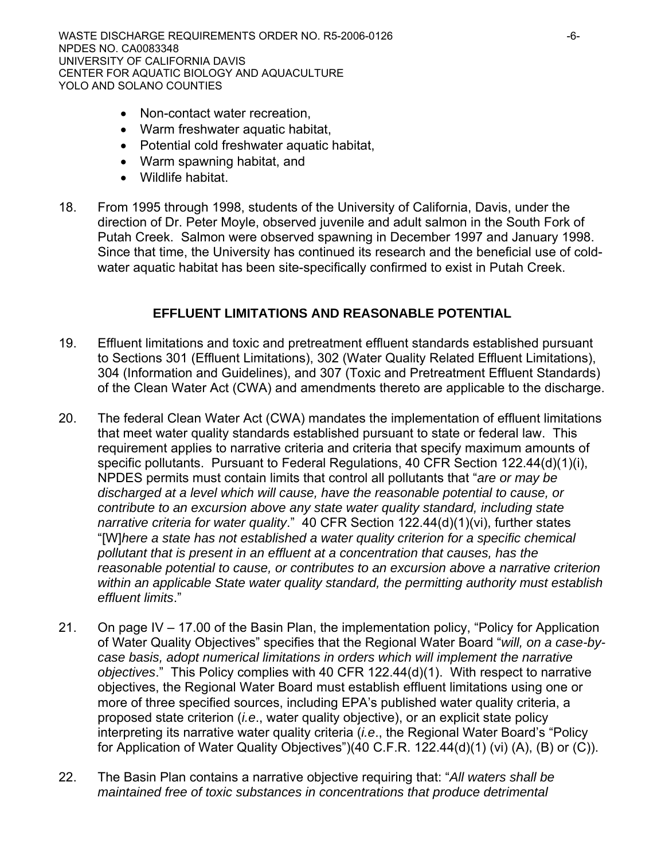- Non-contact water recreation,
- Warm freshwater aquatic habitat,
- Potential cold freshwater aquatic habitat,
- Warm spawning habitat, and
- Wildlife habitat.
- 18. From 1995 through 1998, students of the University of California, Davis, under the direction of Dr. Peter Moyle, observed juvenile and adult salmon in the South Fork of Putah Creek. Salmon were observed spawning in December 1997 and January 1998. Since that time, the University has continued its research and the beneficial use of coldwater aquatic habitat has been site-specifically confirmed to exist in Putah Creek.

## **EFFLUENT LIMITATIONS AND REASONABLE POTENTIAL**

- 19. Effluent limitations and toxic and pretreatment effluent standards established pursuant to Sections 301 (Effluent Limitations), 302 (Water Quality Related Effluent Limitations), 304 (Information and Guidelines), and 307 (Toxic and Pretreatment Effluent Standards) of the Clean Water Act (CWA) and amendments thereto are applicable to the discharge.
- 20. The federal Clean Water Act (CWA) mandates the implementation of effluent limitations that meet water quality standards established pursuant to state or federal law. This requirement applies to narrative criteria and criteria that specify maximum amounts of specific pollutants. Pursuant to Federal Regulations, 40 CFR Section 122.44(d)(1)(i), NPDES permits must contain limits that control all pollutants that "*are or may be discharged at a level which will cause, have the reasonable potential to cause, or contribute to an excursion above any state water quality standard, including state narrative criteria for water quality*." 40 CFR Section 122.44(d)(1)(vi), further states "[W]*here a state has not established a water quality criterion for a specific chemical pollutant that is present in an effluent at a concentration that causes, has the reasonable potential to cause, or contributes to an excursion above a narrative criterion within an applicable State water quality standard, the permitting authority must establish effluent limits*."
- 21. On page IV 17.00 of the Basin Plan, the implementation policy, "Policy for Application of Water Quality Objectives" specifies that the Regional Water Board "*will, on a case-bycase basis, adopt numerical limitations in orders which will implement the narrative objectives*." This Policy complies with 40 CFR 122.44(d)(1). With respect to narrative objectives, the Regional Water Board must establish effluent limitations using one or more of three specified sources, including EPA's published water quality criteria, a proposed state criterion (*i.e*., water quality objective), or an explicit state policy interpreting its narrative water quality criteria (*i.e*., the Regional Water Board's "Policy for Application of Water Quality Objectives")(40 C.F.R. 122.44(d)(1) (vi) (A), (B) or (C)).
- 22. The Basin Plan contains a narrative objective requiring that: "*All waters shall be maintained free of toxic substances in concentrations that produce detrimental*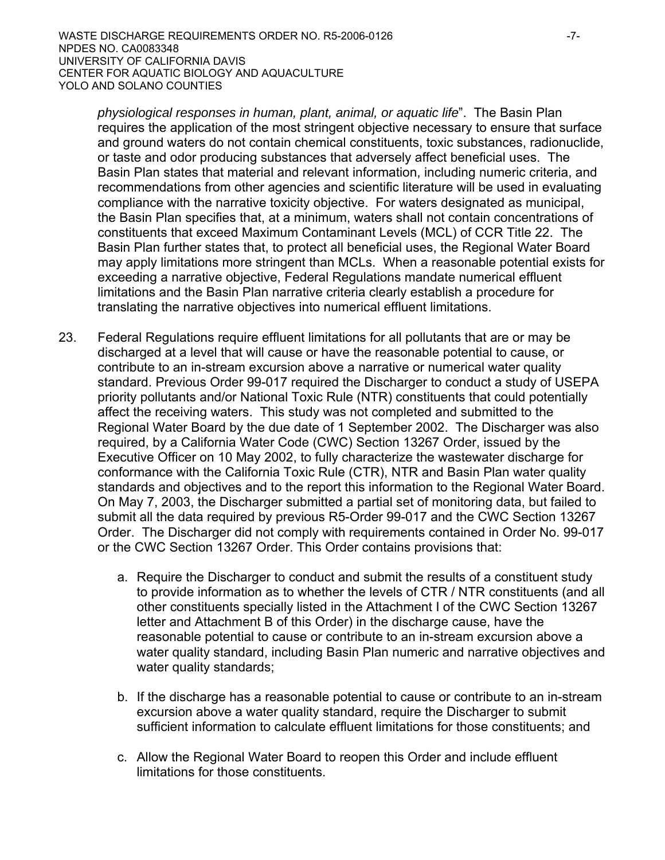*physiological responses in human, plant, animal, or aquatic life*". The Basin Plan requires the application of the most stringent objective necessary to ensure that surface and ground waters do not contain chemical constituents, toxic substances, radionuclide, or taste and odor producing substances that adversely affect beneficial uses. The Basin Plan states that material and relevant information, including numeric criteria, and recommendations from other agencies and scientific literature will be used in evaluating compliance with the narrative toxicity objective. For waters designated as municipal, the Basin Plan specifies that, at a minimum, waters shall not contain concentrations of constituents that exceed Maximum Contaminant Levels (MCL) of CCR Title 22. The Basin Plan further states that, to protect all beneficial uses, the Regional Water Board may apply limitations more stringent than MCLs. When a reasonable potential exists for exceeding a narrative objective, Federal Regulations mandate numerical effluent limitations and the Basin Plan narrative criteria clearly establish a procedure for translating the narrative objectives into numerical effluent limitations.

- 23. Federal Regulations require effluent limitations for all pollutants that are or may be discharged at a level that will cause or have the reasonable potential to cause, or contribute to an in-stream excursion above a narrative or numerical water quality standard. Previous Order 99-017 required the Discharger to conduct a study of USEPA priority pollutants and/or National Toxic Rule (NTR) constituents that could potentially affect the receiving waters. This study was not completed and submitted to the Regional Water Board by the due date of 1 September 2002. The Discharger was also required, by a California Water Code (CWC) Section 13267 Order, issued by the Executive Officer on 10 May 2002, to fully characterize the wastewater discharge for conformance with the California Toxic Rule (CTR), NTR and Basin Plan water quality standards and objectives and to the report this information to the Regional Water Board. On May 7, 2003, the Discharger submitted a partial set of monitoring data, but failed to submit all the data required by previous R5-Order 99-017 and the CWC Section 13267 Order. The Discharger did not comply with requirements contained in Order No. 99-017 or the CWC Section 13267 Order. This Order contains provisions that:
	- a. Require the Discharger to conduct and submit the results of a constituent study to provide information as to whether the levels of CTR / NTR constituents (and all other constituents specially listed in the Attachment I of the CWC Section 13267 letter and Attachment B of this Order) in the discharge cause, have the reasonable potential to cause or contribute to an in-stream excursion above a water quality standard, including Basin Plan numeric and narrative objectives and water quality standards;
	- b. If the discharge has a reasonable potential to cause or contribute to an in-stream excursion above a water quality standard, require the Discharger to submit sufficient information to calculate effluent limitations for those constituents; and
	- c. Allow the Regional Water Board to reopen this Order and include effluent limitations for those constituents.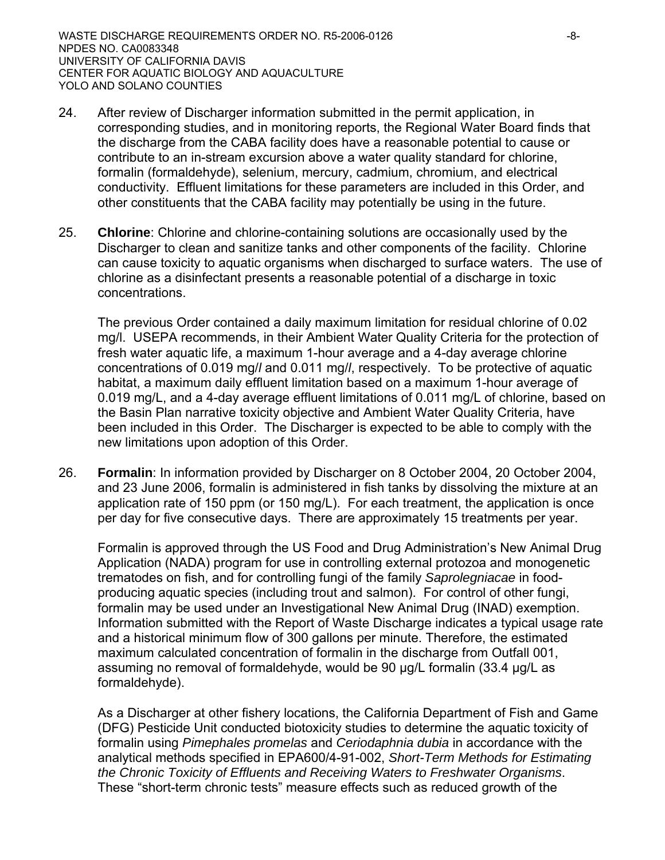- 24. After review of Discharger information submitted in the permit application, in corresponding studies, and in monitoring reports, the Regional Water Board finds that the discharge from the CABA facility does have a reasonable potential to cause or contribute to an in-stream excursion above a water quality standard for chlorine, formalin (formaldehyde), selenium, mercury, cadmium, chromium, and electrical conductivity. Effluent limitations for these parameters are included in this Order, and other constituents that the CABA facility may potentially be using in the future.
- 25. **Chlorine**: Chlorine and chlorine-containing solutions are occasionally used by the Discharger to clean and sanitize tanks and other components of the facility. Chlorine can cause toxicity to aquatic organisms when discharged to surface waters. The use of chlorine as a disinfectant presents a reasonable potential of a discharge in toxic concentrations.

The previous Order contained a daily maximum limitation for residual chlorine of 0.02 mg/l. USEPA recommends, in their Ambient Water Quality Criteria for the protection of fresh water aquatic life, a maximum 1-hour average and a 4-day average chlorine concentrations of 0.019 mg/*l* and 0.011 mg/*l*, respectively. To be protective of aquatic habitat, a maximum daily effluent limitation based on a maximum 1-hour average of 0.019 mg/L, and a 4-day average effluent limitations of 0.011 mg/L of chlorine, based on the Basin Plan narrative toxicity objective and Ambient Water Quality Criteria, have been included in this Order. The Discharger is expected to be able to comply with the new limitations upon adoption of this Order.

26. **Formalin**: In information provided by Discharger on 8 October 2004, 20 October 2004, and 23 June 2006, formalin is administered in fish tanks by dissolving the mixture at an application rate of 150 ppm (or 150 mg/L). For each treatment, the application is once per day for five consecutive days. There are approximately 15 treatments per year.

Formalin is approved through the US Food and Drug Administration's New Animal Drug Application (NADA) program for use in controlling external protozoa and monogenetic trematodes on fish, and for controlling fungi of the family *Saprolegniacae* in foodproducing aquatic species (including trout and salmon). For control of other fungi, formalin may be used under an Investigational New Animal Drug (INAD) exemption. Information submitted with the Report of Waste Discharge indicates a typical usage rate and a historical minimum flow of 300 gallons per minute. Therefore, the estimated maximum calculated concentration of formalin in the discharge from Outfall 001, assuming no removal of formaldehyde, would be 90 μg/L formalin (33.4 μg/L as formaldehyde).

As a Discharger at other fishery locations, the California Department of Fish and Game (DFG) Pesticide Unit conducted biotoxicity studies to determine the aquatic toxicity of formalin using *Pimephales promelas* and *Ceriodaphnia dubia* in accordance with the analytical methods specified in EPA600/4-91-002, *Short-Term Methods for Estimating the Chronic Toxicity of Effluents and Receiving Waters to Freshwater Organisms*. These "short-term chronic tests" measure effects such as reduced growth of the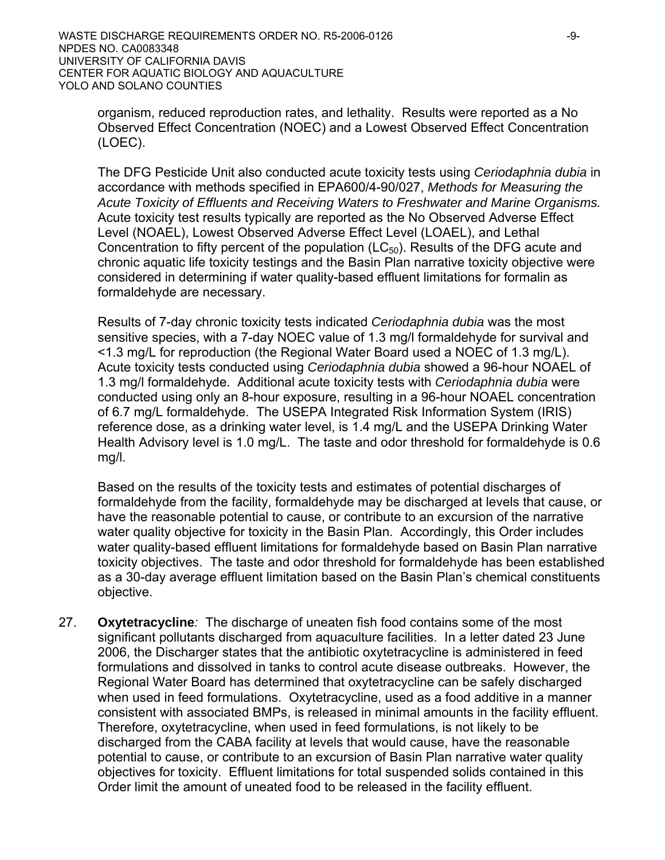organism, reduced reproduction rates, and lethality. Results were reported as a No Observed Effect Concentration (NOEC) and a Lowest Observed Effect Concentration (LOEC).

The DFG Pesticide Unit also conducted acute toxicity tests using *Ceriodaphnia dubia* in accordance with methods specified in EPA600/4-90/027, *Methods for Measuring the Acute Toxicity of Effluents and Receiving Waters to Freshwater and Marine Organisms.* Acute toxicity test results typically are reported as the No Observed Adverse Effect Level (NOAEL), Lowest Observed Adverse Effect Level (LOAEL), and Lethal Concentration to fifty percent of the population  $(LC_{50})$ . Results of the DFG acute and chronic aquatic life toxicity testings and the Basin Plan narrative toxicity objective were considered in determining if water quality-based effluent limitations for formalin as formaldehyde are necessary.

 Results of 7-day chronic toxicity tests indicated *Ceriodaphnia dubia* was the most sensitive species, with a 7-day NOEC value of 1.3 mg/l formaldehyde for survival and <1.3 mg/L for reproduction (the Regional Water Board used a NOEC of 1.3 mg/L). Acute toxicity tests conducted using *Ceriodaphnia dubia* showed a 96-hour NOAEL of 1.3 mg/l formaldehyde. Additional acute toxicity tests with *Ceriodaphnia dubia* were conducted using only an 8-hour exposure, resulting in a 96-hour NOAEL concentration of 6.7 mg/L formaldehyde. The USEPA Integrated Risk Information System (IRIS) reference dose, as a drinking water level, is 1.4 mg/L and the USEPA Drinking Water Health Advisory level is 1.0 mg/L. The taste and odor threshold for formaldehyde is 0.6 mg/l.

 Based on the results of the toxicity tests and estimates of potential discharges of formaldehyde from the facility, formaldehyde may be discharged at levels that cause, or have the reasonable potential to cause, or contribute to an excursion of the narrative water quality objective for toxicity in the Basin Plan. Accordingly, this Order includes water quality-based effluent limitations for formaldehyde based on Basin Plan narrative toxicity objectives. The taste and odor threshold for formaldehyde has been established as a 30-day average effluent limitation based on the Basin Plan's chemical constituents objective.

27. **Oxytetracycline***:* The discharge of uneaten fish food contains some of the most significant pollutants discharged from aquaculture facilities. In a letter dated 23 June 2006, the Discharger states that the antibiotic oxytetracycline is administered in feed formulations and dissolved in tanks to control acute disease outbreaks. However, the Regional Water Board has determined that oxytetracycline can be safely discharged when used in feed formulations. Oxytetracycline, used as a food additive in a manner consistent with associated BMPs, is released in minimal amounts in the facility effluent. Therefore, oxytetracycline, when used in feed formulations, is not likely to be discharged from the CABA facility at levels that would cause, have the reasonable potential to cause, or contribute to an excursion of Basin Plan narrative water quality objectives for toxicity. Effluent limitations for total suspended solids contained in this Order limit the amount of uneated food to be released in the facility effluent.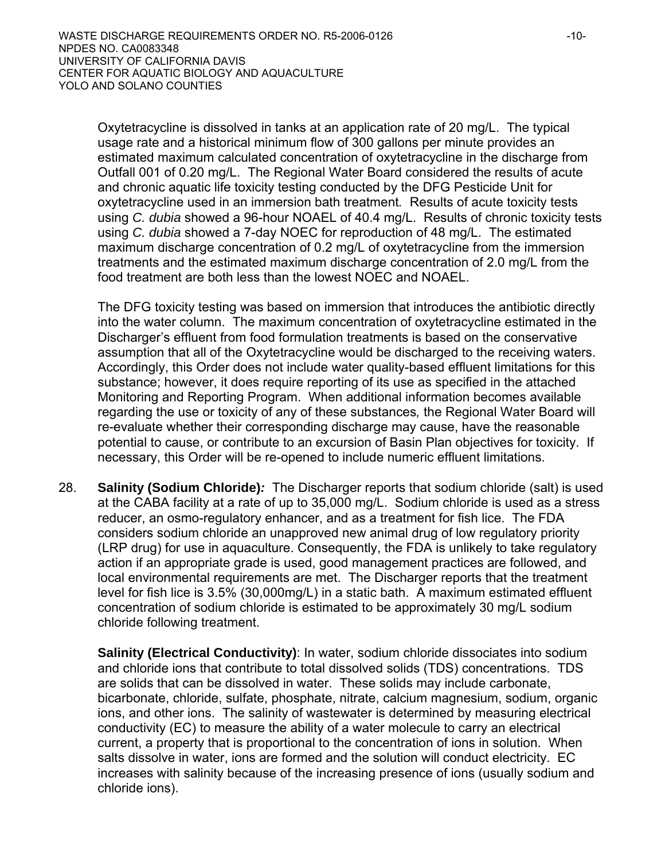Oxytetracycline is dissolved in tanks at an application rate of 20 mg/L. The typical usage rate and a historical minimum flow of 300 gallons per minute provides an estimated maximum calculated concentration of oxytetracycline in the discharge from Outfall 001 of 0.20 mg/L. The Regional Water Board considered the results of acute and chronic aquatic life toxicity testing conducted by the DFG Pesticide Unit for oxytetracycline used in an immersion bath treatment*.* Results of acute toxicity tests using *C. dubia* showed a 96-hour NOAEL of 40.4 mg/L. Results of chronic toxicity tests using *C. dubia* showed a 7-day NOEC for reproduction of 48 mg/L. The estimated maximum discharge concentration of 0.2 mg/L of oxytetracycline from the immersion treatments and the estimated maximum discharge concentration of 2.0 mg/L from the food treatment are both less than the lowest NOEC and NOAEL.

The DFG toxicity testing was based on immersion that introduces the antibiotic directly into the water column. The maximum concentration of oxytetracycline estimated in the Discharger's effluent from food formulation treatments is based on the conservative assumption that all of the Oxytetracycline would be discharged to the receiving waters. Accordingly, this Order does not include water quality-based effluent limitations for this substance; however, it does require reporting of its use as specified in the attached Monitoring and Reporting Program. When additional information becomes available regarding the use or toxicity of any of these substances*,* the Regional Water Board will re-evaluate whether their corresponding discharge may cause, have the reasonable potential to cause, or contribute to an excursion of Basin Plan objectives for toxicity. If necessary, this Order will be re-opened to include numeric effluent limitations.

28. **Salinity (Sodium Chloride)***:* The Discharger reports that sodium chloride (salt) is used at the CABA facility at a rate of up to 35,000 mg/L. Sodium chloride is used as a stress reducer, an osmo-regulatory enhancer, and as a treatment for fish lice. The FDA considers sodium chloride an unapproved new animal drug of low regulatory priority (LRP drug) for use in aquaculture. Consequently, the FDA is unlikely to take regulatory action if an appropriate grade is used, good management practices are followed, and local environmental requirements are met. The Discharger reports that the treatment level for fish lice is 3.5% (30,000mg/L) in a static bath. A maximum estimated effluent concentration of sodium chloride is estimated to be approximately 30 mg/L sodium chloride following treatment.

**Salinity (Electrical Conductivity)**: In water, sodium chloride dissociates into sodium and chloride ions that contribute to total dissolved solids (TDS) concentrations. TDS are solids that can be dissolved in water. These solids may include carbonate, bicarbonate, chloride, sulfate, phosphate, nitrate, calcium magnesium, sodium, organic ions, and other ions. The salinity of wastewater is determined by measuring electrical conductivity (EC) to measure the ability of a water molecule to carry an electrical current, a property that is proportional to the concentration of ions in solution. When salts dissolve in water, ions are formed and the solution will conduct electricity. EC increases with salinity because of the increasing presence of ions (usually sodium and chloride ions).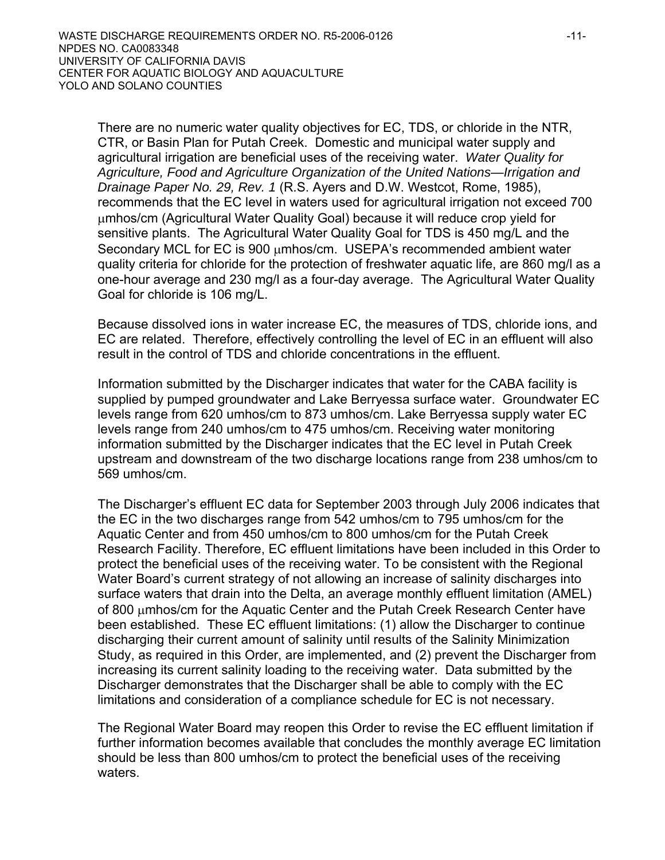There are no numeric water quality objectives for EC, TDS, or chloride in the NTR, CTR, or Basin Plan for Putah Creek. Domestic and municipal water supply and agricultural irrigation are beneficial uses of the receiving water. *Water Quality for Agriculture, Food and Agriculture Organization of the United Nations—Irrigation and Drainage Paper No. 29, Rev. 1* (R.S. Ayers and D.W. Westcot, Rome, 1985), recommends that the EC level in waters used for agricultural irrigation not exceed 700 μmhos/cm (Agricultural Water Quality Goal) because it will reduce crop yield for sensitive plants. The Agricultural Water Quality Goal for TDS is 450 mg/L and the Secondary MCL for EC is 900 μmhos/cm. USEPA's recommended ambient water quality criteria for chloride for the protection of freshwater aquatic life, are 860 mg/l as a one-hour average and 230 mg/l as a four-day average. The Agricultural Water Quality Goal for chloride is 106 mg/L.

Because dissolved ions in water increase EC, the measures of TDS, chloride ions, and EC are related. Therefore, effectively controlling the level of EC in an effluent will also result in the control of TDS and chloride concentrations in the effluent.

Information submitted by the Discharger indicates that water for the CABA facility is supplied by pumped groundwater and Lake Berryessa surface water. Groundwater EC levels range from 620 umhos/cm to 873 umhos/cm. Lake Berryessa supply water EC levels range from 240 umhos/cm to 475 umhos/cm. Receiving water monitoring information submitted by the Discharger indicates that the EC level in Putah Creek upstream and downstream of the two discharge locations range from 238 umhos/cm to 569 umhos/cm.

The Discharger's effluent EC data for September 2003 through July 2006 indicates that the EC in the two discharges range from 542 umhos/cm to 795 umhos/cm for the Aquatic Center and from 450 umhos/cm to 800 umhos/cm for the Putah Creek Research Facility. Therefore, EC effluent limitations have been included in this Order to protect the beneficial uses of the receiving water. To be consistent with the Regional Water Board's current strategy of not allowing an increase of salinity discharges into surface waters that drain into the Delta, an average monthly effluent limitation (AMEL) of 800 μmhos/cm for the Aquatic Center and the Putah Creek Research Center have been established. These EC effluent limitations: (1) allow the Discharger to continue discharging their current amount of salinity until results of the Salinity Minimization Study, as required in this Order, are implemented, and (2) prevent the Discharger from increasing its current salinity loading to the receiving water. Data submitted by the Discharger demonstrates that the Discharger shall be able to comply with the EC limitations and consideration of a compliance schedule for EC is not necessary.

The Regional Water Board may reopen this Order to revise the EC effluent limitation if further information becomes available that concludes the monthly average EC limitation should be less than 800 umhos/cm to protect the beneficial uses of the receiving waters.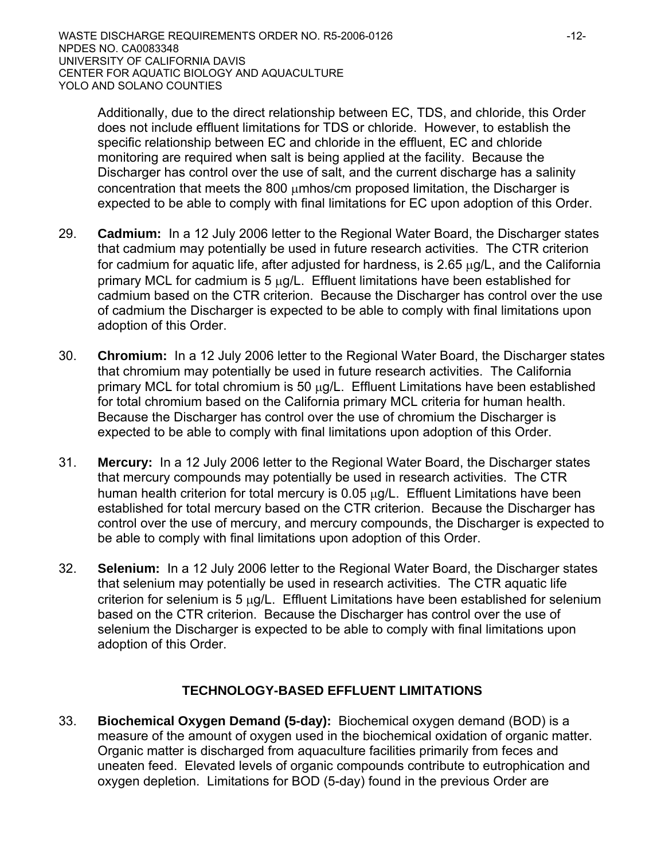Additionally, due to the direct relationship between EC, TDS, and chloride, this Order does not include effluent limitations for TDS or chloride. However, to establish the specific relationship between EC and chloride in the effluent, EC and chloride monitoring are required when salt is being applied at the facility. Because the Discharger has control over the use of salt, and the current discharge has a salinity concentration that meets the 800 μmhos/cm proposed limitation, the Discharger is expected to be able to comply with final limitations for EC upon adoption of this Order.

- 29. **Cadmium:** In a 12 July 2006 letter to the Regional Water Board, the Discharger states that cadmium may potentially be used in future research activities. The CTR criterion for cadmium for aquatic life, after adjusted for hardness, is  $2.65 \mu g/L$ , and the California primary MCL for cadmium is  $5 \mu g/L$ . Effluent limitations have been established for cadmium based on the CTR criterion. Because the Discharger has control over the use of cadmium the Discharger is expected to be able to comply with final limitations upon adoption of this Order.
- 30. **Chromium:** In a 12 July 2006 letter to the Regional Water Board, the Discharger states that chromium may potentially be used in future research activities. The California primary MCL for total chromium is 50 μg/L. Effluent Limitations have been established for total chromium based on the California primary MCL criteria for human health. Because the Discharger has control over the use of chromium the Discharger is expected to be able to comply with final limitations upon adoption of this Order.
- 31. **Mercury:** In a 12 July 2006 letter to the Regional Water Board, the Discharger states that mercury compounds may potentially be used in research activities. The CTR human health criterion for total mercury is 0.05 μg/L. Effluent Limitations have been established for total mercury based on the CTR criterion. Because the Discharger has control over the use of mercury, and mercury compounds, the Discharger is expected to be able to comply with final limitations upon adoption of this Order.
- 32. **Selenium:** In a 12 July 2006 letter to the Regional Water Board, the Discharger states that selenium may potentially be used in research activities. The CTR aquatic life criterion for selenium is 5  $\mu$ g/L. Effluent Limitations have been established for selenium based on the CTR criterion. Because the Discharger has control over the use of selenium the Discharger is expected to be able to comply with final limitations upon adoption of this Order.

## **TECHNOLOGY-BASED EFFLUENT LIMITATIONS**

33. **Biochemical Oxygen Demand (5-day):**Biochemical oxygen demand (BOD) is a measure of the amount of oxygen used in the biochemical oxidation of organic matter. Organic matter is discharged from aquaculture facilities primarily from feces and uneaten feed. Elevated levels of organic compounds contribute to eutrophication and oxygen depletion. Limitations for BOD (5-day) found in the previous Order are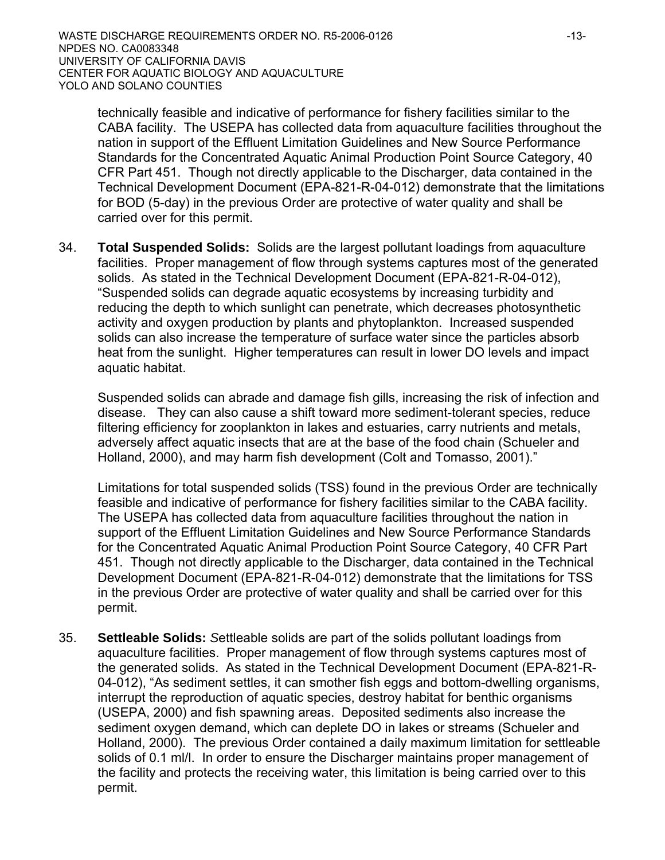technically feasible and indicative of performance for fishery facilities similar to the CABA facility. The USEPA has collected data from aquaculture facilities throughout the nation in support of the Effluent Limitation Guidelines and New Source Performance Standards for the Concentrated Aquatic Animal Production Point Source Category, 40 CFR Part 451. Though not directly applicable to the Discharger, data contained in the Technical Development Document (EPA-821-R-04-012) demonstrate that the limitations for BOD (5-day) in the previous Order are protective of water quality and shall be carried over for this permit.

34. **Total Suspended Solids:** Solids are the largest pollutant loadings from aquaculture facilities. Proper management of flow through systems captures most of the generated solids. As stated in the Technical Development Document (EPA-821-R-04-012), "Suspended solids can degrade aquatic ecosystems by increasing turbidity and reducing the depth to which sunlight can penetrate, which decreases photosynthetic activity and oxygen production by plants and phytoplankton. Increased suspended solids can also increase the temperature of surface water since the particles absorb heat from the sunlight. Higher temperatures can result in lower DO levels and impact aquatic habitat.

Suspended solids can abrade and damage fish gills, increasing the risk of infection and disease. They can also cause a shift toward more sediment-tolerant species, reduce filtering efficiency for zooplankton in lakes and estuaries, carry nutrients and metals, adversely affect aquatic insects that are at the base of the food chain (Schueler and Holland, 2000), and may harm fish development (Colt and Tomasso, 2001)."

Limitations for total suspended solids (TSS) found in the previous Order are technically feasible and indicative of performance for fishery facilities similar to the CABA facility. The USEPA has collected data from aquaculture facilities throughout the nation in support of the Effluent Limitation Guidelines and New Source Performance Standards for the Concentrated Aquatic Animal Production Point Source Category, 40 CFR Part 451. Though not directly applicable to the Discharger, data contained in the Technical Development Document (EPA-821-R-04-012) demonstrate that the limitations for TSS in the previous Order are protective of water quality and shall be carried over for this permit.

35. **Settleable Solids:** *S*ettleable solids are part of the solids pollutant loadings from aquaculture facilities. Proper management of flow through systems captures most of the generated solids. As stated in the Technical Development Document (EPA-821-R-04-012), "As sediment settles, it can smother fish eggs and bottom-dwelling organisms, interrupt the reproduction of aquatic species, destroy habitat for benthic organisms (USEPA, 2000) and fish spawning areas. Deposited sediments also increase the sediment oxygen demand, which can deplete DO in lakes or streams (Schueler and Holland, 2000). The previous Order contained a daily maximum limitation for settleable solids of 0.1 ml/l. In order to ensure the Discharger maintains proper management of the facility and protects the receiving water, this limitation is being carried over to this permit.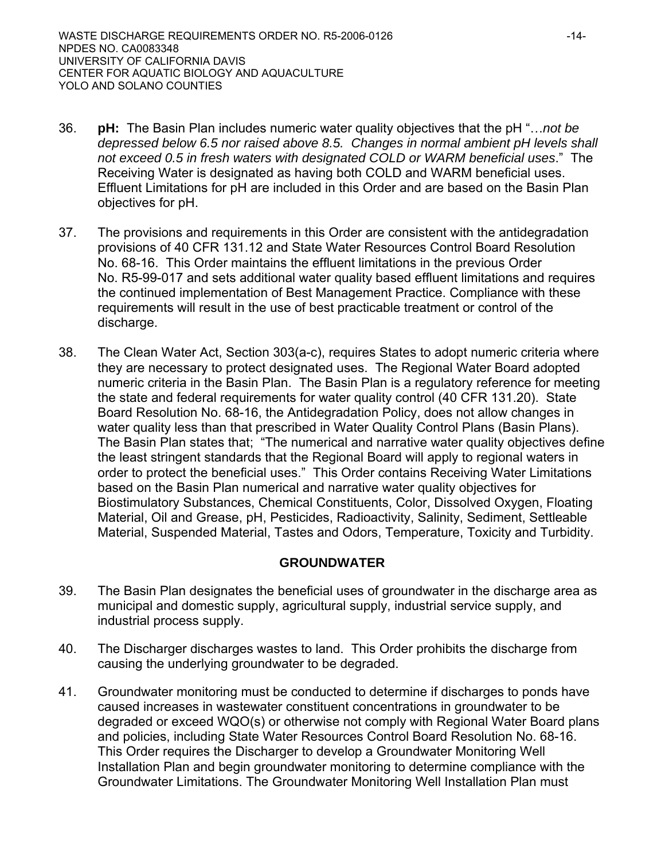- 36. **pH:** The Basin Plan includes numeric water quality objectives that the pH "…*not be depressed below 6.5 nor raised above 8.5. Changes in normal ambient pH levels shall not exceed 0.5 in fresh waters with designated COLD or WARM beneficial uses*." The Receiving Water is designated as having both COLD and WARM beneficial uses. Effluent Limitations for pH are included in this Order and are based on the Basin Plan objectives for pH.
- 37. The provisions and requirements in this Order are consistent with the antidegradation provisions of 40 CFR 131.12 and State Water Resources Control Board Resolution No. 68-16. This Order maintains the effluent limitations in the previous Order No. R5-99-017 and sets additional water quality based effluent limitations and requires the continued implementation of Best Management Practice. Compliance with these requirements will result in the use of best practicable treatment or control of the discharge.
- 38. The Clean Water Act, Section 303(a-c), requires States to adopt numeric criteria where they are necessary to protect designated uses. The Regional Water Board adopted numeric criteria in the Basin Plan. The Basin Plan is a regulatory reference for meeting the state and federal requirements for water quality control (40 CFR 131.20). State Board Resolution No. 68-16, the Antidegradation Policy, does not allow changes in water quality less than that prescribed in Water Quality Control Plans (Basin Plans). The Basin Plan states that; "The numerical and narrative water quality objectives define the least stringent standards that the Regional Board will apply to regional waters in order to protect the beneficial uses." This Order contains Receiving Water Limitations based on the Basin Plan numerical and narrative water quality objectives for Biostimulatory Substances, Chemical Constituents, Color, Dissolved Oxygen, Floating Material, Oil and Grease, pH, Pesticides, Radioactivity, Salinity, Sediment, Settleable Material, Suspended Material, Tastes and Odors, Temperature, Toxicity and Turbidity.

## **GROUNDWATER**

- 39. The Basin Plan designates the beneficial uses of groundwater in the discharge area as municipal and domestic supply, agricultural supply, industrial service supply, and industrial process supply.
- 40. The Discharger discharges wastes to land. This Order prohibits the discharge from causing the underlying groundwater to be degraded.
- 41. Groundwater monitoring must be conducted to determine if discharges to ponds have caused increases in wastewater constituent concentrations in groundwater to be degraded or exceed WQO(s) or otherwise not comply with Regional Water Board plans and policies, including State Water Resources Control Board Resolution No. 68-16. This Order requires the Discharger to develop a Groundwater Monitoring Well Installation Plan and begin groundwater monitoring to determine compliance with the Groundwater Limitations. The Groundwater Monitoring Well Installation Plan must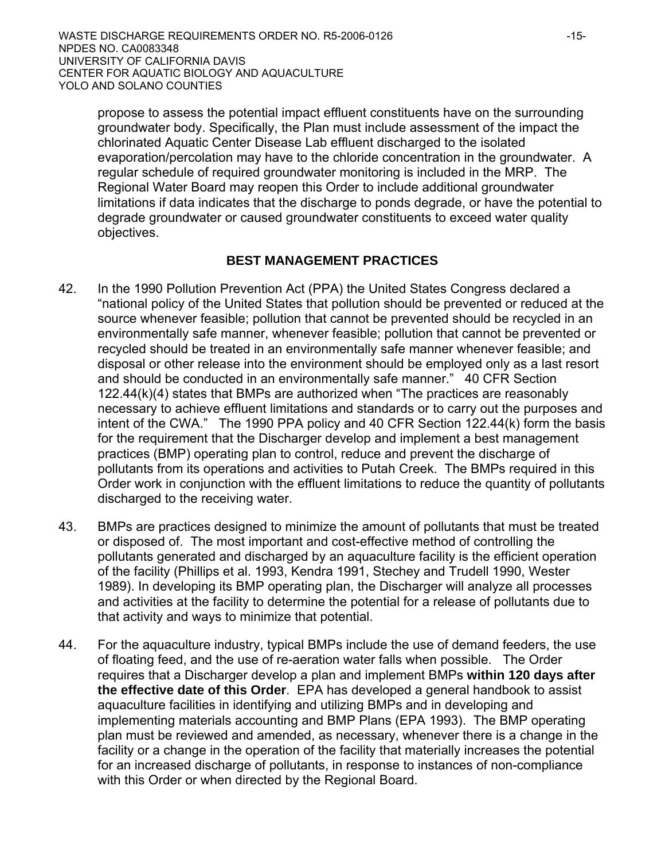propose to assess the potential impact effluent constituents have on the surrounding groundwater body. Specifically, the Plan must include assessment of the impact the chlorinated Aquatic Center Disease Lab effluent discharged to the isolated evaporation/percolation may have to the chloride concentration in the groundwater. A regular schedule of required groundwater monitoring is included in the MRP. The Regional Water Board may reopen this Order to include additional groundwater limitations if data indicates that the discharge to ponds degrade, or have the potential to degrade groundwater or caused groundwater constituents to exceed water quality objectives.

## **BEST MANAGEMENT PRACTICES**

- 42. In the 1990 Pollution Prevention Act (PPA) the United States Congress declared a "national policy of the United States that pollution should be prevented or reduced at the source whenever feasible; pollution that cannot be prevented should be recycled in an environmentally safe manner, whenever feasible; pollution that cannot be prevented or recycled should be treated in an environmentally safe manner whenever feasible; and disposal or other release into the environment should be employed only as a last resort and should be conducted in an environmentally safe manner." 40 CFR Section 122.44(k)(4) states that BMPs are authorized when "The practices are reasonably necessary to achieve effluent limitations and standards or to carry out the purposes and intent of the CWA." The 1990 PPA policy and 40 CFR Section 122.44(k) form the basis for the requirement that the Discharger develop and implement a best management practices (BMP) operating plan to control, reduce and prevent the discharge of pollutants from its operations and activities to Putah Creek. The BMPs required in this Order work in conjunction with the effluent limitations to reduce the quantity of pollutants discharged to the receiving water.
- 43. BMPs are practices designed to minimize the amount of pollutants that must be treated or disposed of. The most important and cost-effective method of controlling the pollutants generated and discharged by an aquaculture facility is the efficient operation of the facility (Phillips et al. 1993, Kendra 1991, Stechey and Trudell 1990, Wester 1989). In developing its BMP operating plan, the Discharger will analyze all processes and activities at the facility to determine the potential for a release of pollutants due to that activity and ways to minimize that potential.
- 44. For the aquaculture industry, typical BMPs include the use of demand feeders, the use of floating feed, and the use of re-aeration water falls when possible. The Order requires that a Discharger develop a plan and implement BMPs **within 120 days after the effective date of this Order**. EPA has developed a general handbook to assist aquaculture facilities in identifying and utilizing BMPs and in developing and implementing materials accounting and BMP Plans (EPA 1993). The BMP operating plan must be reviewed and amended, as necessary, whenever there is a change in the facility or a change in the operation of the facility that materially increases the potential for an increased discharge of pollutants, in response to instances of non-compliance with this Order or when directed by the Regional Board.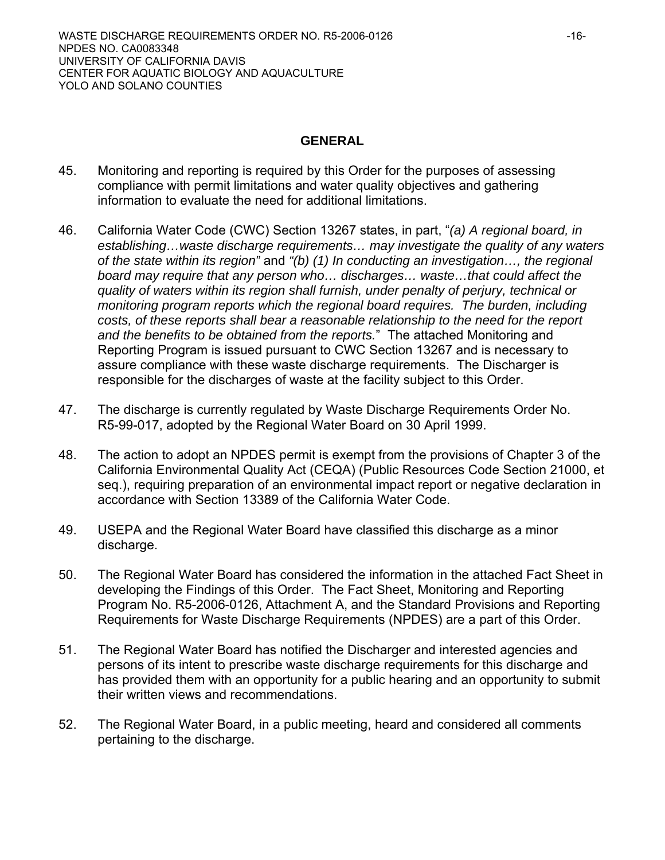#### **GENERAL**

- 45. Monitoring and reporting is required by this Order for the purposes of assessing compliance with permit limitations and water quality objectives and gathering information to evaluate the need for additional limitations.
- 46. California Water Code (CWC) Section 13267 states, in part, "*(a) A regional board, in establishing…waste discharge requirements… may investigate the quality of any waters of the state within its region"* and *"(b) (1) In conducting an investigation…, the regional board may require that any person who… discharges… waste…that could affect the quality of waters within its region shall furnish, under penalty of perjury, technical or monitoring program reports which the regional board requires. The burden, including costs, of these reports shall bear a reasonable relationship to the need for the report and the benefits to be obtained from the reports.*"The attached Monitoring and Reporting Program is issued pursuant to CWC Section 13267 and is necessary to assure compliance with these waste discharge requirements. The Discharger is responsible for the discharges of waste at the facility subject to this Order.
- 47. The discharge is currently regulated by Waste Discharge Requirements Order No. R5-99-017, adopted by the Regional Water Board on 30 April 1999.
- 48. The action to adopt an NPDES permit is exempt from the provisions of Chapter 3 of the California Environmental Quality Act (CEQA) (Public Resources Code Section 21000, et seq.), requiring preparation of an environmental impact report or negative declaration in accordance with Section 13389 of the California Water Code.
- 49. USEPA and the Regional Water Board have classified this discharge as a minor discharge.
- 50. The Regional Water Board has considered the information in the attached Fact Sheet in developing the Findings of this Order. The Fact Sheet, Monitoring and Reporting Program No. R5-2006-0126, Attachment A, and the Standard Provisions and Reporting Requirements for Waste Discharge Requirements (NPDES) are a part of this Order.
- 51. The Regional Water Board has notified the Discharger and interested agencies and persons of its intent to prescribe waste discharge requirements for this discharge and has provided them with an opportunity for a public hearing and an opportunity to submit their written views and recommendations.
- 52. The Regional Water Board, in a public meeting, heard and considered all comments pertaining to the discharge.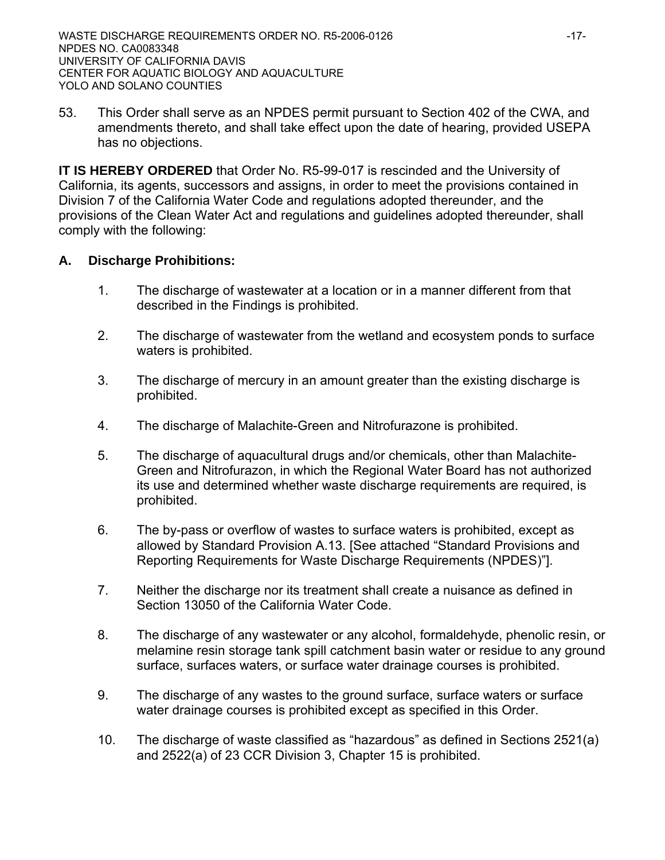53. This Order shall serve as an NPDES permit pursuant to Section 402 of the CWA, and amendments thereto, and shall take effect upon the date of hearing, provided USEPA has no objections.

**IT IS HEREBY ORDERED** that Order No. R5-99-017 is rescinded and the University of California, its agents, successors and assigns, in order to meet the provisions contained in Division 7 of the California Water Code and regulations adopted thereunder, and the provisions of the Clean Water Act and regulations and guidelines adopted thereunder, shall comply with the following:

## **A. Discharge Prohibitions:**

- 1. The discharge of wastewater at a location or in a manner different from that described in the Findings is prohibited.
- 2. The discharge of wastewater from the wetland and ecosystem ponds to surface waters is prohibited.
- 3. The discharge of mercury in an amount greater than the existing discharge is prohibited.
- 4. The discharge of Malachite-Green and Nitrofurazone is prohibited.
- 5. The discharge of aquacultural drugs and/or chemicals, other than Malachite-Green and Nitrofurazon, in which the Regional Water Board has not authorized its use and determined whether waste discharge requirements are required, is prohibited.
- 6. The by-pass or overflow of wastes to surface waters is prohibited, except as allowed by Standard Provision A.13. [See attached "Standard Provisions and Reporting Requirements for Waste Discharge Requirements (NPDES)"].
- 7. Neither the discharge nor its treatment shall create a nuisance as defined in Section 13050 of the California Water Code.
- 8. The discharge of any wastewater or any alcohol, formaldehyde, phenolic resin, or melamine resin storage tank spill catchment basin water or residue to any ground surface, surfaces waters, or surface water drainage courses is prohibited.
- 9. The discharge of any wastes to the ground surface, surface waters or surface water drainage courses is prohibited except as specified in this Order.
- 10. The discharge of waste classified as "hazardous" as defined in Sections 2521(a) and 2522(a) of 23 CCR Division 3, Chapter 15 is prohibited.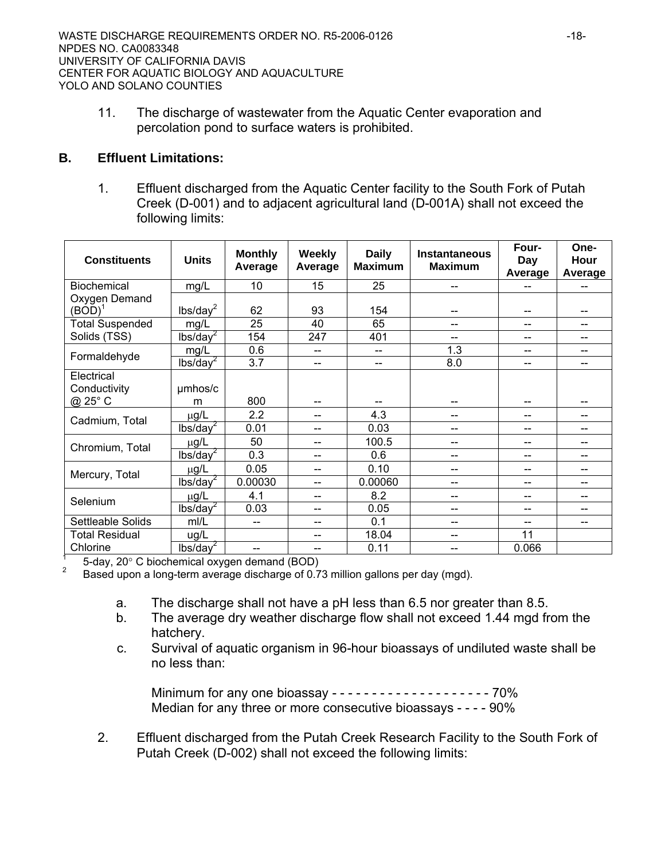11. The discharge of wastewater from the Aquatic Center evaporation and percolation pond to surface waters is prohibited.

## **B. Effluent Limitations:**

1. Effluent discharged from the Aquatic Center facility to the South Fork of Putah Creek (D-001) and to adjacent agricultural land (D-001A) shall not exceed the following limits:

| <b>Constituents</b>        | <b>Units</b>         | <b>Monthly</b><br>Average | <b>Weekly</b><br>Average | <b>Daily</b><br><b>Maximum</b> | Instantaneous<br><b>Maximum</b> | Four-<br>Day<br>Average | One-<br>Hour<br>Average |
|----------------------------|----------------------|---------------------------|--------------------------|--------------------------------|---------------------------------|-------------------------|-------------------------|
| Biochemical                | mg/L                 | 10                        | 15                       | 25                             | --                              |                         |                         |
| Oxygen Demand<br>$(BOD)^1$ | lbs/day <sup>2</sup> | 62                        | 93                       | 154                            |                                 |                         |                         |
| <b>Total Suspended</b>     | mg/L                 | 25                        | 40                       | 65                             | --                              | --                      | --                      |
| Solids (TSS)               | $lbs/day^2$          | 154                       | 247                      | 401                            | $-$                             | --                      | --                      |
| Formaldehyde               | mg/L                 | 0.6                       | $-$                      | $- -$                          | 1.3                             | --                      | --                      |
|                            | lbs/day <sup>2</sup> | 3.7                       | $-$                      | $-$                            | 8.0                             | --                      | $-$                     |
| Electrical<br>Conductivity | umhos/c              |                           |                          |                                |                                 |                         |                         |
| @ 25° C                    | m                    | 800                       | --                       |                                | --                              | --                      |                         |
| Cadmium, Total             | $\mu$ g/L            | 2.2                       | $-$                      | 4.3                            | --                              | $-$                     |                         |
|                            | lbs/day <sup>2</sup> | 0.01                      | --                       | 0.03                           | --                              |                         |                         |
| Chromium, Total            | µg/L                 | 50                        | --                       | 100.5                          | --                              | --                      |                         |
|                            | lbs/day <sup>2</sup> | 0.3                       | --                       | 0.6                            | --                              | --                      | --                      |
| Mercury, Total             | $\mu$ g/L            | 0.05                      | --                       | 0.10                           | --                              |                         | --                      |
|                            | lbs/day <sup>2</sup> | 0.00030                   | --                       | 0.00060                        | --                              | --                      | $-$                     |
| Selenium                   | $\mu$ g/L            | 4.1                       | --                       | 8.2                            |                                 | --                      |                         |
|                            | lbs/day <sup>2</sup> | 0.03                      | --                       | 0.05                           | --                              |                         |                         |
| Settleable Solids          | m/L                  | --                        | --                       | 0.1                            | --                              | --                      | --                      |
| <b>Total Residual</b>      | ug/L                 |                           | --                       | 18.04                          | --                              | 11                      |                         |
| Chlorine                   | lbs/day <sup>2</sup> | --                        | --                       | 0.11                           | --                              | 0.066                   |                         |

1 5-day, 20° C biochemical oxygen demand (BOD)<br><sup>2</sup> Based upon a long-term average discharge of 0.73 million gallons per day (mgd).

- a. The discharge shall not have a pH less than 6.5 nor greater than 8.5.
- b. The average dry weather discharge flow shall not exceed 1.44 mgd from the hatchery.
- c. Survival of aquatic organism in 96-hour bioassays of undiluted waste shall be no less than:

Minimum for any one bioassay - - - - - - - - - - - - - - - - - - 70% Median for any three or more consecutive bioassays - - - - 90%

2. Effluent discharged from the Putah Creek Research Facility to the South Fork of Putah Creek (D-002) shall not exceed the following limits: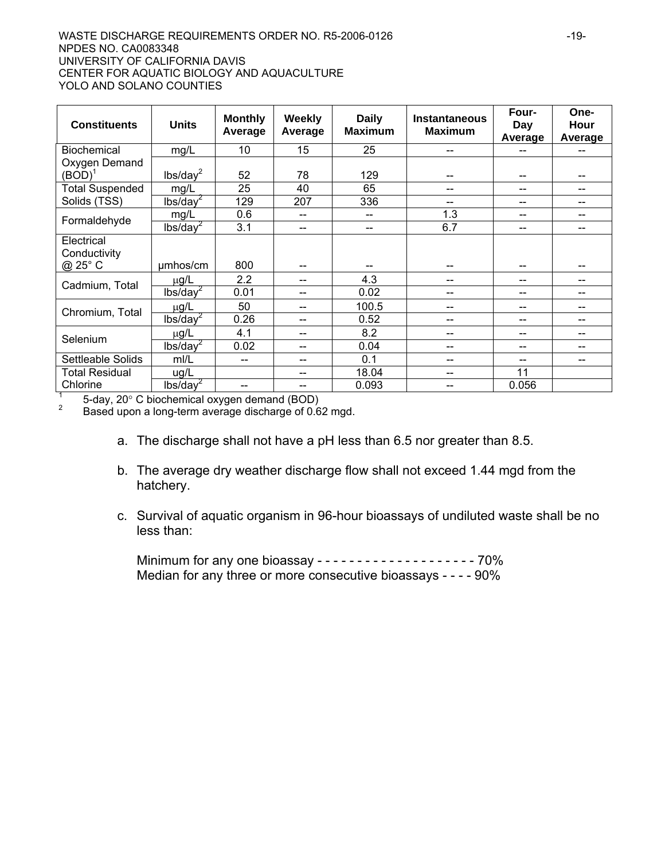#### WASTE DISCHARGE REQUIREMENTS ORDER NO. R5-2006-0126  $-19$ -19-NPDES NO. CA0083348 UNIVERSITY OF CALIFORNIA DAVIS CENTER FOR AQUATIC BIOLOGY AND AQUACULTURE YOLO AND SOLANO COUNTIES

| <b>Constituents</b>                   | <b>Units</b>         | <b>Monthly</b><br>Average | <b>Weekly</b><br>Average | <b>Daily</b><br><b>Maximum</b> | <b>Instantaneous</b><br><b>Maximum</b> | Four-<br>Day<br>Average  | One-<br>Hour<br>Average  |
|---------------------------------------|----------------------|---------------------------|--------------------------|--------------------------------|----------------------------------------|--------------------------|--------------------------|
| <b>Biochemical</b>                    | mg/L                 | 10                        | 15                       | 25                             | --                                     |                          | $\qquad \qquad \qquad -$ |
| Oxygen Demand<br>$(BOD)^1$            | lbs/day <sup>2</sup> | 52                        | 78                       | 129                            | --                                     | $-$                      | --                       |
| <b>Total Suspended</b>                | mg/L                 | 25                        | 40                       | 65                             | --                                     | --                       | --                       |
| Solids (TSS)                          | lbs/day <sup>2</sup> | 129                       | 207                      | 336                            | $-$                                    | --                       | $-$                      |
|                                       | mg/L                 | 0.6                       | $-$                      | --                             | 1.3                                    | $-$                      | $-$                      |
| Formaldehyde                          | lbs/day <sup>2</sup> | 3.1                       | --                       | --                             | 6.7                                    | --                       | --                       |
| Electrical<br>Conductivity<br>@ 25° C | umhos/cm             | 800                       |                          |                                | --                                     | --                       | --                       |
|                                       | $\mu$ g/L            | 2.2                       | --                       | 4.3                            | --                                     | --                       | --                       |
| Cadmium, Total                        | lbs/day <sup>2</sup> | 0.01                      | --                       | 0.02                           | --                                     | --                       | --                       |
| Chromium, Total                       | $\mu$ g/L            | 50                        | $-$                      | 100.5                          | --                                     | $\qquad \qquad \qquad -$ | --                       |
|                                       | lbs/day <sup>2</sup> | 0.26                      | --                       | 0.52                           |                                        | --                       | --                       |
| Selenium                              | $\mu$ g/L            | 4.1                       | $- -$                    | 8.2                            |                                        | --                       | --                       |
|                                       | lbs/day <sup>2</sup> | 0.02                      | $-$                      | 0.04                           | --                                     | $-$                      | --                       |
| Settleable Solids                     | m/L                  | --                        |                          | 0.1                            |                                        | --                       | --                       |
| Total Residual                        | ug/L                 |                           | --                       | 18.04                          | --                                     | 11                       |                          |
| Chlorine                              | lbs/day <sup>2</sup> | --                        | --                       | 0.093                          | --                                     | 0.056                    |                          |

1  $\frac{1}{2}$  5-day, 20° C biochemical oxygen demand (BOD)

Based upon a long-term average discharge of 0.62 mgd.

- a. The discharge shall not have a pH less than 6.5 nor greater than 8.5.
- b. The average dry weather discharge flow shall not exceed 1.44 mgd from the hatchery.
- c. Survival of aquatic organism in 96-hour bioassays of undiluted waste shall be no less than:

 Minimum for any one bioassay - - - - - - - - - - - - - - - - - - - - 70% Median for any three or more consecutive bioassays - - - - 90%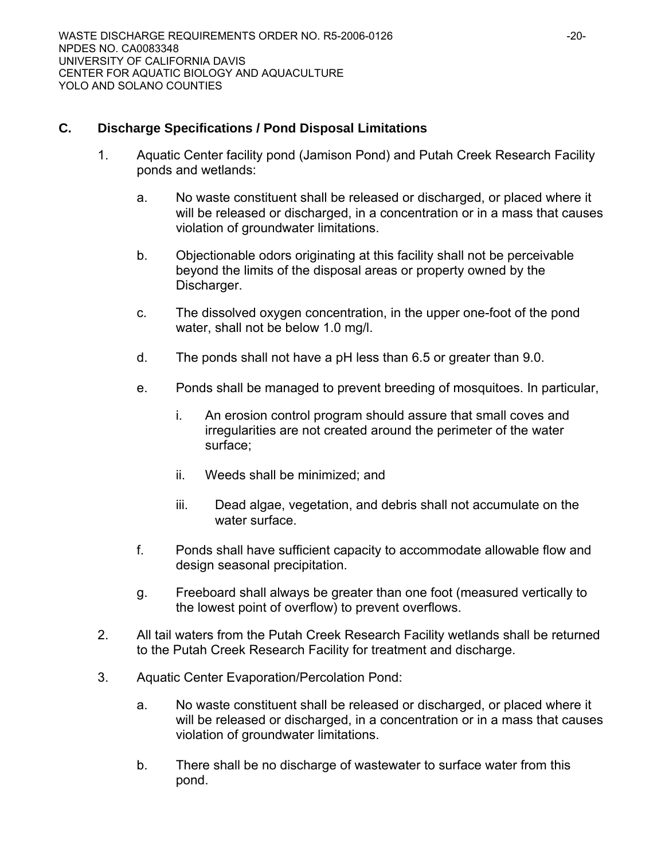## **C. Discharge Specifications / Pond Disposal Limitations**

- 1. Aquatic Center facility pond (Jamison Pond) and Putah Creek Research Facility ponds and wetlands:
	- a. No waste constituent shall be released or discharged, or placed where it will be released or discharged, in a concentration or in a mass that causes violation of groundwater limitations.
	- b. Objectionable odors originating at this facility shall not be perceivable beyond the limits of the disposal areas or property owned by the Discharger.
	- c. The dissolved oxygen concentration, in the upper one-foot of the pond water, shall not be below 1.0 mg/l.
	- d. The ponds shall not have a pH less than 6.5 or greater than 9.0.
	- e. Ponds shall be managed to prevent breeding of mosquitoes. In particular,
		- i. An erosion control program should assure that small coves and irregularities are not created around the perimeter of the water surface;
		- ii. Weeds shall be minimized; and
		- iii. Dead algae, vegetation, and debris shall not accumulate on the water surface.
	- f. Ponds shall have sufficient capacity to accommodate allowable flow and design seasonal precipitation.
	- g. Freeboard shall always be greater than one foot (measured vertically to the lowest point of overflow) to prevent overflows.
- 2. All tail waters from the Putah Creek Research Facility wetlands shall be returned to the Putah Creek Research Facility for treatment and discharge.
- 3. Aquatic Center Evaporation/Percolation Pond:
	- a. No waste constituent shall be released or discharged, or placed where it will be released or discharged, in a concentration or in a mass that causes violation of groundwater limitations.
	- b. There shall be no discharge of wastewater to surface water from this pond.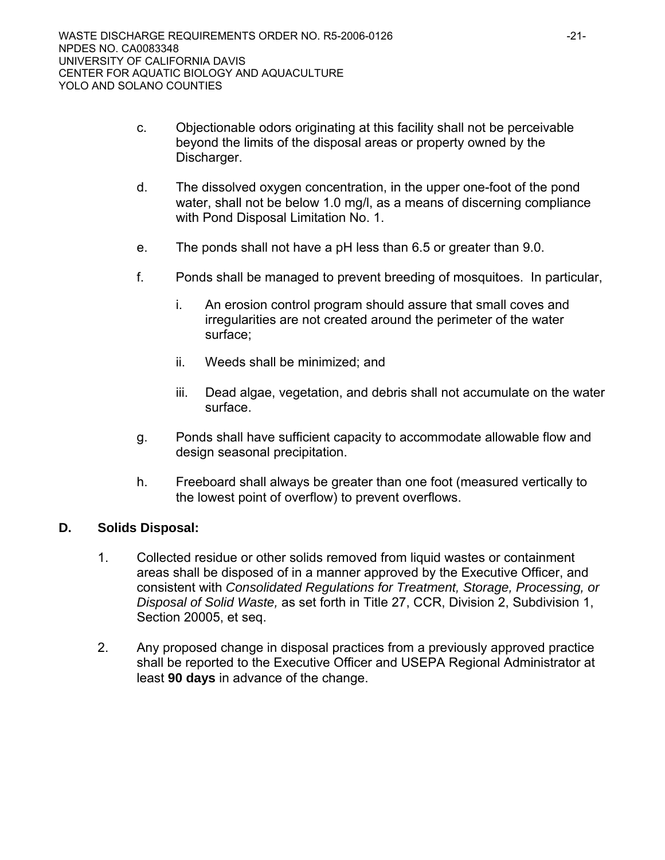- c. Objectionable odors originating at this facility shall not be perceivable beyond the limits of the disposal areas or property owned by the Discharger.
- d. The dissolved oxygen concentration, in the upper one-foot of the pond water, shall not be below 1.0 mg/l, as a means of discerning compliance with Pond Disposal Limitation No. 1.
- e. The ponds shall not have a pH less than 6.5 or greater than 9.0.
- f. Ponds shall be managed to prevent breeding of mosquitoes.In particular,
	- i. An erosion control program should assure that small coves and irregularities are not created around the perimeter of the water surface;
	- ii. Weeds shall be minimized; and
	- iii. Dead algae, vegetation, and debris shall not accumulate on the water surface.
- g. Ponds shall have sufficient capacity to accommodate allowable flow and design seasonal precipitation.
- h. Freeboard shall always be greater than one foot (measured vertically to the lowest point of overflow) to prevent overflows.

## **D. Solids Disposal:**

- 1. Collected residue or other solids removed from liquid wastes or containment areas shall be disposed of in a manner approved by the Executive Officer, and consistent with *Consolidated Regulations for Treatment, Storage, Processing, or Disposal of Solid Waste,* as set forth in Title 27, CCR, Division 2, Subdivision 1, Section 20005, et seq.
- 2. Any proposed change in disposal practices from a previously approved practice shall be reported to the Executive Officer and USEPA Regional Administrator at least **90 days** in advance of the change.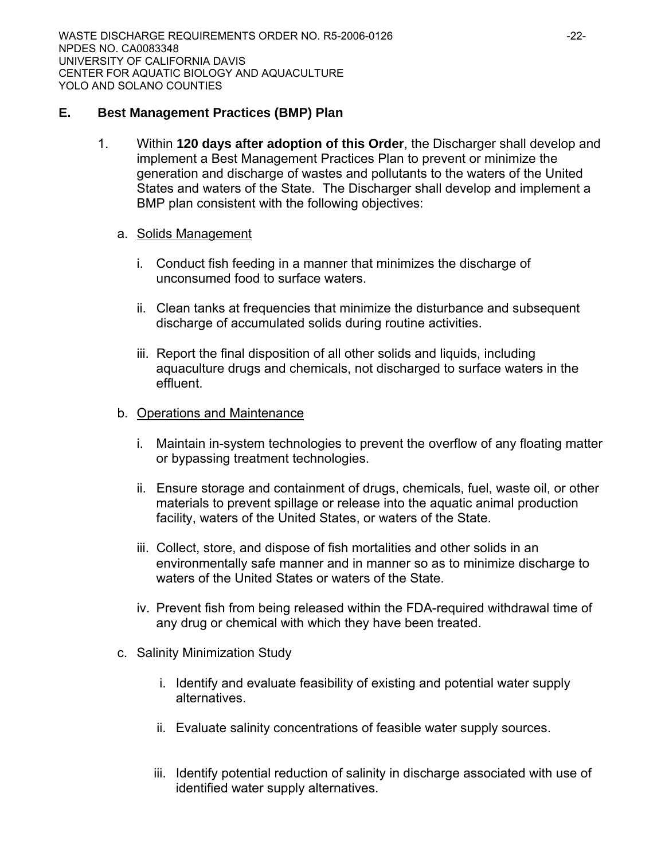## **E. Best Management Practices (BMP) Plan**

1. Within **120 days after adoption of this Order**, the Discharger shall develop and implement a Best Management Practices Plan to prevent or minimize the generation and discharge of wastes and pollutants to the waters of the United States and waters of the State. The Discharger shall develop and implement a BMP plan consistent with the following objectives:

## a. Solids Management

- i. Conduct fish feeding in a manner that minimizes the discharge of unconsumed food to surface waters.
- ii. Clean tanks at frequencies that minimize the disturbance and subsequent discharge of accumulated solids during routine activities.
- iii. Report the final disposition of all other solids and liquids, including aquaculture drugs and chemicals, not discharged to surface waters in the effluent.

## b. Operations and Maintenance

- i. Maintain in-system technologies to prevent the overflow of any floating matter or bypassing treatment technologies.
- ii. Ensure storage and containment of drugs, chemicals, fuel, waste oil, or other materials to prevent spillage or release into the aquatic animal production facility, waters of the United States, or waters of the State.
- iii. Collect, store, and dispose of fish mortalities and other solids in an environmentally safe manner and in manner so as to minimize discharge to waters of the United States or waters of the State.
- iv. Prevent fish from being released within the FDA-required withdrawal time of any drug or chemical with which they have been treated.
- c. Salinity Minimization Study
	- i. Identify and evaluate feasibility of existing and potential water supply alternatives.
	- ii. Evaluate salinity concentrations of feasible water supply sources.
	- iii. Identify potential reduction of salinity in discharge associated with use of identified water supply alternatives.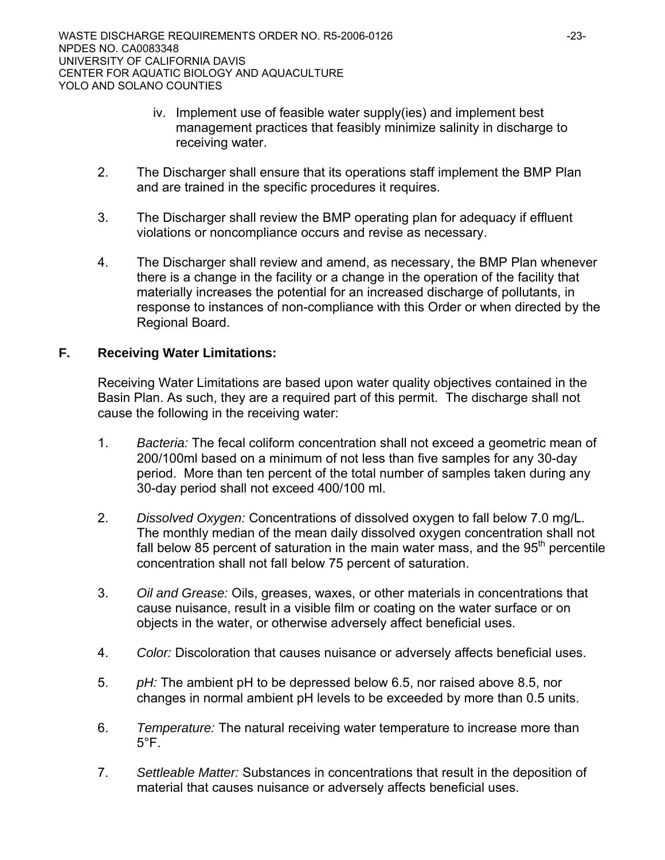- iv. Implement use of feasible water supply(ies) and implement best management practices that feasibly minimize salinity in discharge to receiving water.
- 2. The Discharger shall ensure that its operations staff implement the BMP Plan and are trained in the specific procedures it requires.
- 3. The Discharger shall review the BMP operating plan for adequacy if effluent violations or noncompliance occurs and revise as necessary.
- 4. The Discharger shall review and amend, as necessary, the BMP Plan whenever there is a change in the facility or a change in the operation of the facility that materially increases the potential for an increased discharge of pollutants, in response to instances of non-compliance with this Order or when directed by the Regional Board.

## **F. Receiving Water Limitations:**

Receiving Water Limitations are based upon water quality objectives contained in the Basin Plan. As such, they are a required part of this permit. The discharge shall not cause the following in the receiving water:

- 1. *Bacteria:* The fecal coliform concentration shall not exceed a geometric mean of 200/100ml based on a minimum of not less than five samples for any 30-day period. More than ten percent of the total number of samples taken during any 30-day period shall not exceed 400/100 ml.
- 2. *Dissolved Oxygen:* Concentrations of dissolved oxygen to fall below 7.0 mg/L. The monthly median of the mean daily dissolved oxygen concentration shall not fall below 85 percent of saturation in the main water mass, and the  $95<sup>th</sup>$  percentile concentration shall not fall below 75 percent of saturation.
- 3. *Oil and Grease:* Oils, greases, waxes, or other materials in concentrations that cause nuisance, result in a visible film or coating on the water surface or on objects in the water, or otherwise adversely affect beneficial uses.
- 4. *Color:* Discoloration that causes nuisance or adversely affects beneficial uses.
- 5. *pH:* The ambient pH to be depressed below 6.5, nor raised above 8.5, nor changes in normal ambient pH levels to be exceeded by more than 0.5 units.
- 6. *Temperature:* The natural receiving water temperature to increase more than  $5^{\circ}$ F .
- 7. *Settleable Matter:* Substances in concentrations that result in the deposition of material that causes nuisance or adversely affects beneficial uses.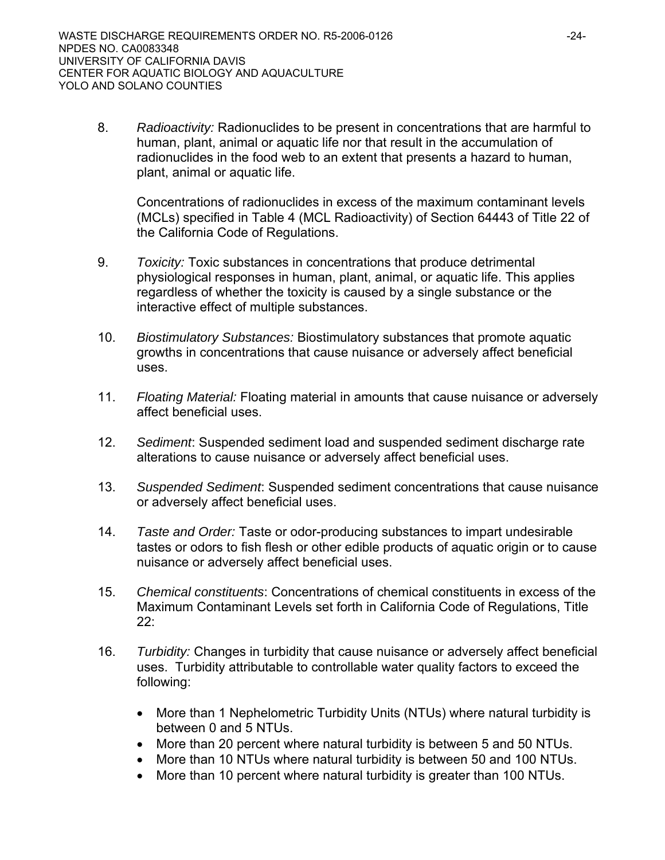8. *Radioactivity:* Radionuclides to be present in concentrations that are harmful to human, plant, animal or aquatic life nor that result in the accumulation of radionuclides in the food web to an extent that presents a hazard to human, plant, animal or aquatic life.

Concentrations of radionuclides in excess of the maximum contaminant levels (MCLs) specified in Table 4 (MCL Radioactivity) of Section 64443 of Title 22 of the California Code of Regulations.

- 9. *Toxicity:* Toxic substances in concentrations that produce detrimental physiological responses in human, plant, animal, or aquatic life. This applies regardless of whether the toxicity is caused by a single substance or the interactive effect of multiple substances.
- 10. *Biostimulatory Substances:* Biostimulatory substances that promote aquatic growths in concentrations that cause nuisance or adversely affect beneficial uses.
- 11. *Floating Material:* Floating material in amounts that cause nuisance or adversely affect beneficial uses.
- 12. *Sediment*: Suspended sediment load and suspended sediment discharge rate alterations to cause nuisance or adversely affect beneficial uses.
- 13. *Suspended Sediment*: Suspended sediment concentrations that cause nuisance or adversely affect beneficial uses.
- 14. *Taste and Order:* Taste or odor-producing substances to impart undesirable tastes or odors to fish flesh or other edible products of aquatic origin or to cause nuisance or adversely affect beneficial uses.
- 15. *Chemical constituents*: Concentrations of chemical constituents in excess of the Maximum Contaminant Levels set forth in California Code of Regulations, Title 22:
- 16. *Turbidity:* Changes in turbidity that cause nuisance or adversely affect beneficial uses. Turbidity attributable to controllable water quality factors to exceed the following:
	- More than 1 Nephelometric Turbidity Units (NTUs) where natural turbidity is between 0 and 5 NTUs.
	- More than 20 percent where natural turbidity is between 5 and 50 NTUs.
	- More than 10 NTUs where natural turbidity is between 50 and 100 NTUs.
	- More than 10 percent where natural turbidity is greater than 100 NTUs.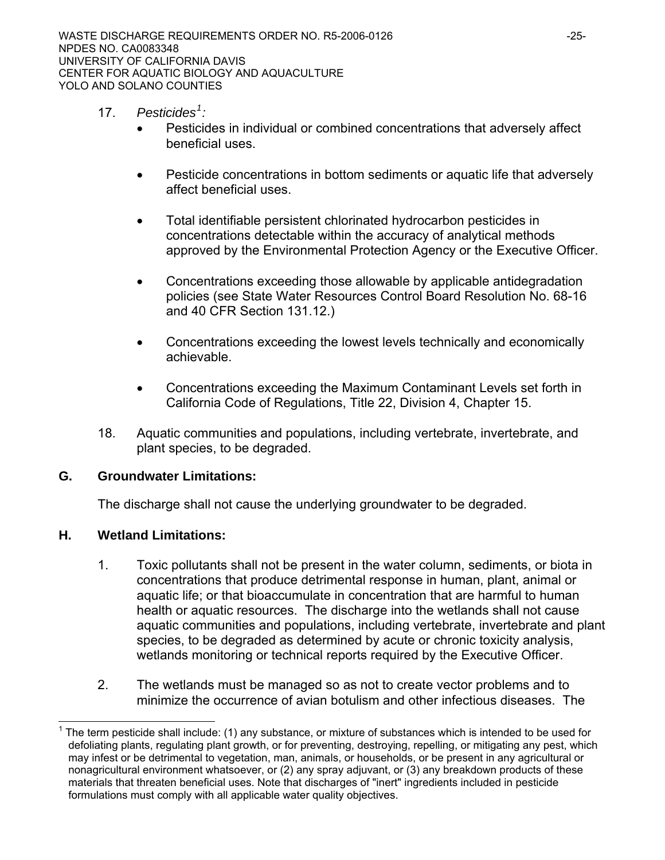- <span id="page-24-0"></span>17. *Pesticides[1](#page-24-0) :*
	- Pesticides in individual or combined concentrations that adversely affect beneficial uses.
	- Pesticide concentrations in bottom sediments or aquatic life that adversely affect beneficial uses.
	- Total identifiable persistent chlorinated hydrocarbon pesticides in concentrations detectable within the accuracy of analytical methods approved by the Environmental Protection Agency or the Executive Officer.
	- Concentrations exceeding those allowable by applicable antidegradation policies (see State Water Resources Control Board Resolution No. 68-16 and 40 CFR Section 131.12.)
	- Concentrations exceeding the lowest levels technically and economically achievable.
	- Concentrations exceeding the Maximum Contaminant Levels set forth in California Code of Regulations, Title 22, Division 4, Chapter 15.
- 18. Aquatic communities and populations, including vertebrate, invertebrate, and plant species, to be degraded.

## **G. Groundwater Limitations:**

The discharge shall not cause the underlying groundwater to be degraded.

## **H. Wetland Limitations:**

 $\overline{a}$ 

- 1. Toxic pollutants shall not be present in the water column, sediments, or biota in concentrations that produce detrimental response in human, plant, animal or aquatic life; or that bioaccumulate in concentration that are harmful to human health or aquatic resources. The discharge into the wetlands shall not cause aquatic communities and populations, including vertebrate, invertebrate and plant species, to be degraded as determined by acute or chronic toxicity analysis, wetlands monitoring or technical reports required by the Executive Officer.
- 2. The wetlands must be managed so as not to create vector problems and to minimize the occurrence of avian botulism and other infectious diseases. The

<sup>1</sup> The term pesticide shall include: (1) any substance, or mixture of substances which is intended to be used for defoliating plants, regulating plant growth, or for preventing, destroying, repelling, or mitigating any pest, which may infest or be detrimental to vegetation, man, animals, or households, or be present in any agricultural or nonagricultural environment whatsoever, or (2) any spray adjuvant, or (3) any breakdown products of these materials that threaten beneficial uses. Note that discharges of "inert" ingredients included in pesticide formulations must comply with all applicable water quality objectives.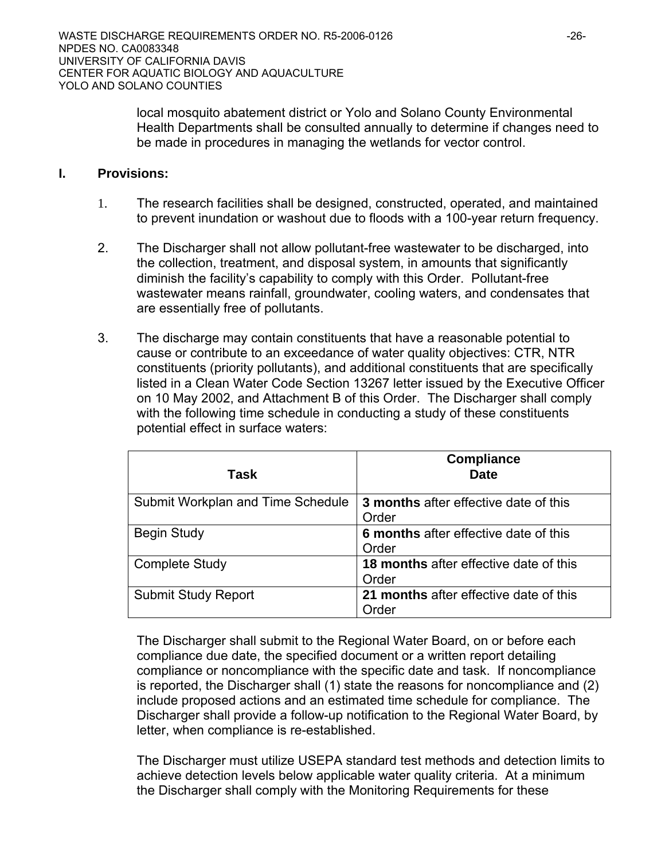local mosquito abatement district or Yolo and Solano County Environmental Health Departments shall be consulted annually to determine if changes need to be made in procedures in managing the wetlands for vector control.

## **I. Provisions:**

- 1. The research facilities shall be designed, constructed, operated, and maintained to prevent inundation or washout due to floods with a 100-year return frequency.
- 2. The Discharger shall not allow pollutant-free wastewater to be discharged, into the collection, treatment, and disposal system, in amounts that significantly diminish the facility's capability to comply with this Order. Pollutant-free wastewater means rainfall, groundwater, cooling waters, and condensates that are essentially free of pollutants.
- 3. The discharge may contain constituents that have a reasonable potential to cause or contribute to an exceedance of water quality objectives: CTR, NTR constituents (priority pollutants), and additional constituents that are specifically listed in a Clean Water Code Section 13267 letter issued by the Executive Officer on 10 May 2002, and Attachment B of this Order. The Discharger shall comply with the following time schedule in conducting a study of these constituents potential effect in surface waters:

| Task                              | <b>Compliance</b><br><b>Date</b>                       |
|-----------------------------------|--------------------------------------------------------|
| Submit Workplan and Time Schedule | 3 months after effective date of this<br>Order         |
| <b>Begin Study</b>                | 6 months after effective date of this<br>Order         |
| <b>Complete Study</b>             | 18 months after effective date of this<br>Order        |
| <b>Submit Study Report</b>        | 21 months after effective date of this<br><b>Order</b> |

 The Discharger shall submit to the Regional Water Board, on or before each compliance due date, the specified document or a written report detailing compliance or noncompliance with the specific date and task. If noncompliance is reported, the Discharger shall (1) state the reasons for noncompliance and (2) include proposed actions and an estimated time schedule for compliance. The Discharger shall provide a follow-up notification to the Regional Water Board, by letter, when compliance is re-established.

The Discharger must utilize USEPA standard test methods and detection limits to achieve detection levels below applicable water quality criteria. At a minimum the Discharger shall comply with the Monitoring Requirements for these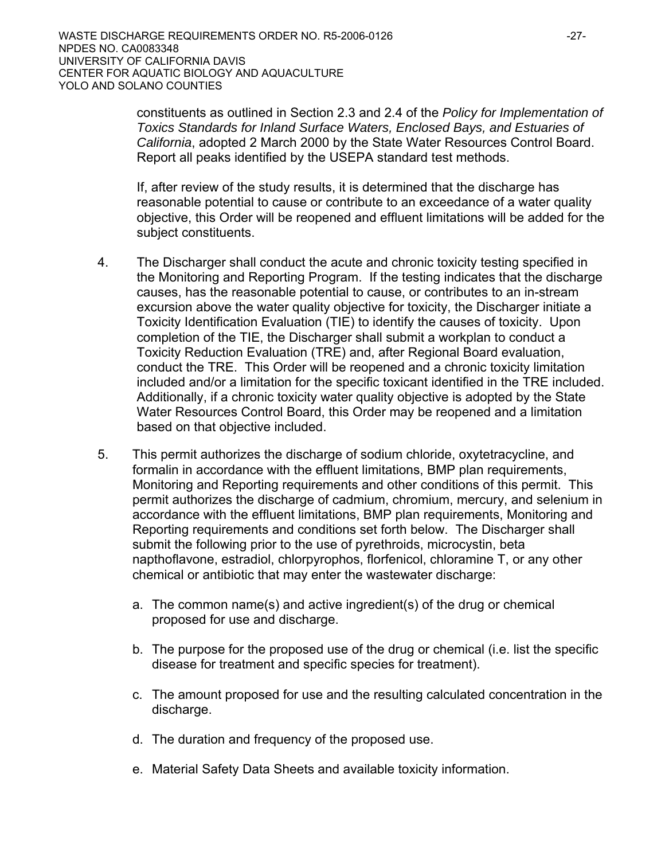constituents as outlined in Section 2.3 and 2.4 of the *Policy for Implementation of Toxics Standards for Inland Surface Waters, Enclosed Bays, and Estuaries of California*, adopted 2 March 2000 by the State Water Resources Control Board. Report all peaks identified by the USEPA standard test methods.

If, after review of the study results, it is determined that the discharge has reasonable potential to cause or contribute to an exceedance of a water quality objective, this Order will be reopened and effluent limitations will be added for the subject constituents.

- 4. The Discharger shall conduct the acute and chronic toxicity testing specified in the Monitoring and Reporting Program. If the testing indicates that the discharge causes, has the reasonable potential to cause, or contributes to an in-stream excursion above the water quality objective for toxicity, the Discharger initiate a Toxicity Identification Evaluation (TIE) to identify the causes of toxicity. Upon completion of the TIE, the Discharger shall submit a workplan to conduct a Toxicity Reduction Evaluation (TRE) and, after Regional Board evaluation, conduct the TRE. This Order will be reopened and a chronic toxicity limitation included and/or a limitation for the specific toxicant identified in the TRE included. Additionally, if a chronic toxicity water quality objective is adopted by the State Water Resources Control Board, this Order may be reopened and a limitation based on that objective included.
- 5. This permit authorizes the discharge of sodium chloride, oxytetracycline, and formalin in accordance with the effluent limitations, BMP plan requirements, Monitoring and Reporting requirements and other conditions of this permit. This permit authorizes the discharge of cadmium, chromium, mercury, and selenium in accordance with the effluent limitations, BMP plan requirements, Monitoring and Reporting requirements and conditions set forth below. The Discharger shall submit the following prior to the use of pyrethroids, microcystin, beta napthoflavone, estradiol, chlorpyrophos, florfenicol, chloramine T, or any other chemical or antibiotic that may enter the wastewater discharge:
	- a. The common name(s) and active ingredient(s) of the drug or chemical proposed for use and discharge.
	- b. The purpose for the proposed use of the drug or chemical (i.e. list the specific disease for treatment and specific species for treatment).
	- c. The amount proposed for use and the resulting calculated concentration in the discharge.
	- d. The duration and frequency of the proposed use.
	- e. Material Safety Data Sheets and available toxicity information.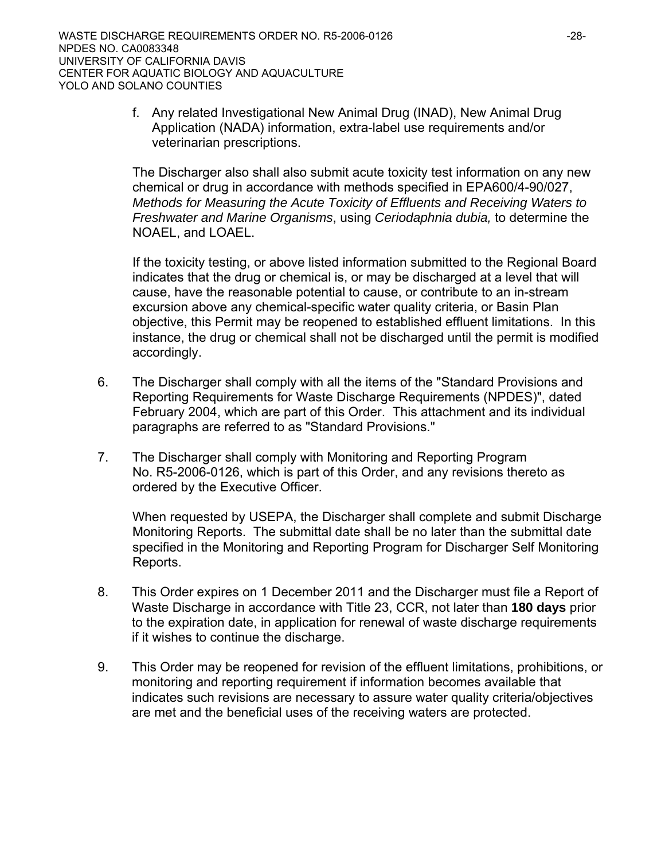f. Any related Investigational New Animal Drug (INAD), New Animal Drug Application (NADA) information, extra-label use requirements and/or veterinarian prescriptions.

The Discharger also shall also submit acute toxicity test information on any new chemical or drug in accordance with methods specified in EPA600/4-90/027, *Methods for Measuring the Acute Toxicity of Effluents and Receiving Waters to Freshwater and Marine Organisms*, using *Ceriodaphnia dubia,* to determine the NOAEL, and LOAEL.

If the toxicity testing, or above listed information submitted to the Regional Board indicates that the drug or chemical is, or may be discharged at a level that will cause, have the reasonable potential to cause, or contribute to an in-stream excursion above any chemical-specific water quality criteria, or Basin Plan objective, this Permit may be reopened to established effluent limitations. In this instance, the drug or chemical shall not be discharged until the permit is modified accordingly.

- 6. The Discharger shall comply with all the items of the "Standard Provisions and Reporting Requirements for Waste Discharge Requirements (NPDES)", dated February 2004, which are part of this Order. This attachment and its individual paragraphs are referred to as "Standard Provisions."
- 7. The Discharger shall comply with Monitoring and Reporting Program No. R5-2006-0126, which is part of this Order, and any revisions thereto as ordered by the Executive Officer.

When requested by USEPA, the Discharger shall complete and submit Discharge Monitoring Reports. The submittal date shall be no later than the submittal date specified in the Monitoring and Reporting Program for Discharger Self Monitoring Reports.

- 8. This Order expires on 1 December 2011 and the Discharger must file a Report of Waste Discharge in accordance with Title 23, CCR, not later than **180 days** prior to the expiration date, in application for renewal of waste discharge requirements if it wishes to continue the discharge.
- 9. This Order may be reopened for revision of the effluent limitations, prohibitions, or monitoring and reporting requirement if information becomes available that indicates such revisions are necessary to assure water quality criteria/objectives are met and the beneficial uses of the receiving waters are protected.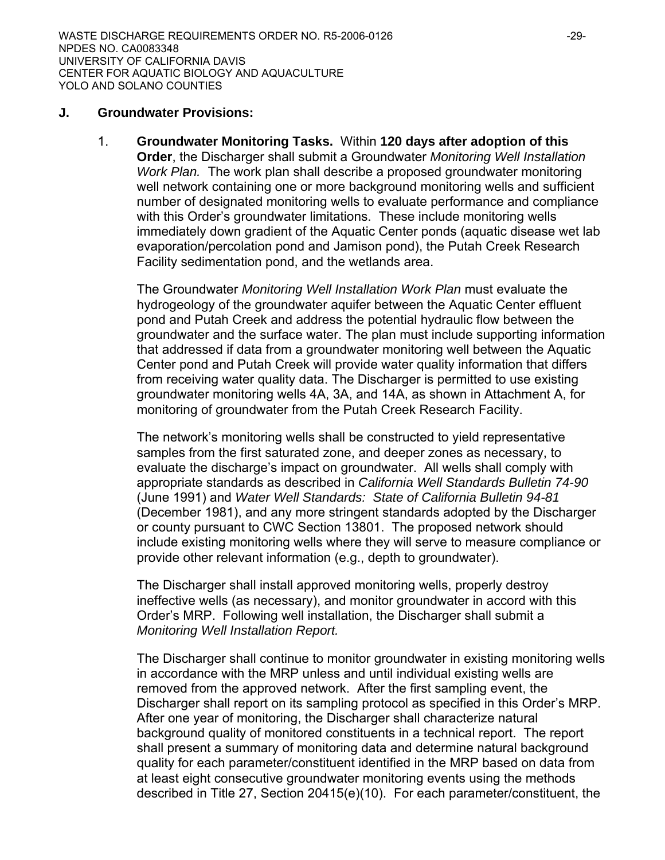#### **J. Groundwater Provisions:**

1. **Groundwater Monitoring Tasks.** Within **120 days after adoption of this Order**, the Discharger shall submit a Groundwater *Monitoring Well Installation Work Plan.* The work plan shall describe a proposed groundwater monitoring well network containing one or more background monitoring wells and sufficient number of designated monitoring wells to evaluate performance and compliance with this Order's groundwater limitations. These include monitoring wells immediately down gradient of the Aquatic Center ponds (aquatic disease wet lab evaporation/percolation pond and Jamison pond), the Putah Creek Research Facility sedimentation pond, and the wetlands area.

The Groundwater *Monitoring Well Installation Work Plan* must evaluate the hydrogeology of the groundwater aquifer between the Aquatic Center effluent pond and Putah Creek and address the potential hydraulic flow between the groundwater and the surface water. The plan must include supporting information that addressed if data from a groundwater monitoring well between the Aquatic Center pond and Putah Creek will provide water quality information that differs from receiving water quality data. The Discharger is permitted to use existing groundwater monitoring wells 4A, 3A, and 14A, as shown in Attachment A, for monitoring of groundwater from the Putah Creek Research Facility.

The network's monitoring wells shall be constructed to yield representative samples from the first saturated zone, and deeper zones as necessary, to evaluate the discharge's impact on groundwater. All wells shall comply with appropriate standards as described in *California Well Standards Bulletin 74-90*  (June 1991) and *Water Well Standards: State of California Bulletin 94-81* (December 1981), and any more stringent standards adopted by the Discharger or county pursuant to CWC Section 13801. The proposed network should include existing monitoring wells where they will serve to measure compliance or provide other relevant information (e.g., depth to groundwater).

The Discharger shall install approved monitoring wells, properly destroy ineffective wells (as necessary), and monitor groundwater in accord with this Order's MRP. Following well installation, the Discharger shall submit a *Monitoring Well Installation Report.*

The Discharger shall continue to monitor groundwater in existing monitoring wells in accordance with the MRP unless and until individual existing wells are removed from the approved network. After the first sampling event, the Discharger shall report on its sampling protocol as specified in this Order's MRP. After one year of monitoring, the Discharger shall characterize natural background quality of monitored constituents in a technical report. The report shall present a summary of monitoring data and determine natural background quality for each parameter/constituent identified in the MRP based on data from at least eight consecutive groundwater monitoring events using the methods described in Title 27, Section 20415(e)(10). For each parameter/constituent, the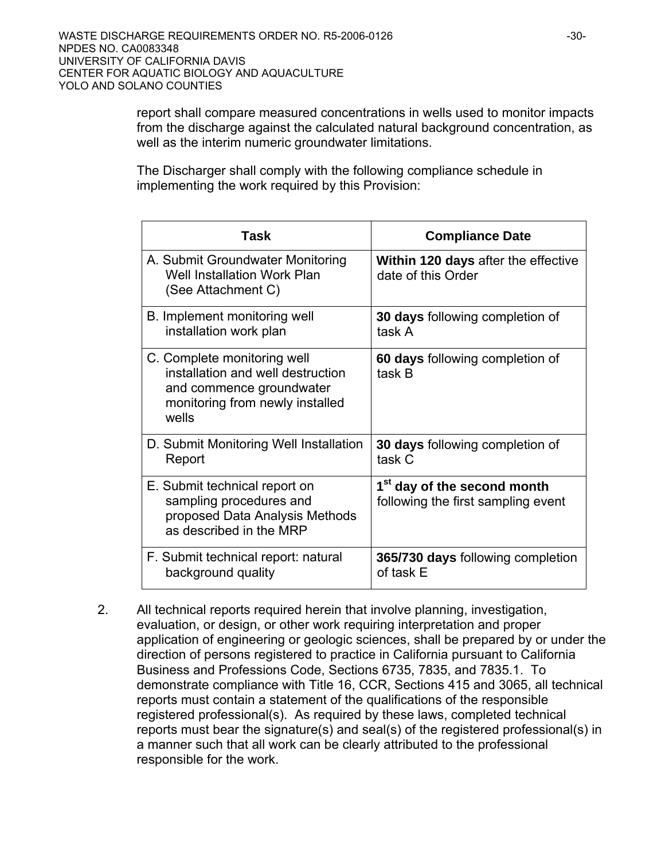report shall compare measured concentrations in wells used to monitor impacts from the discharge against the calculated natural background concentration, as well as the interim numeric groundwater limitations.

The Discharger shall comply with the following compliance schedule in implementing the work required by this Provision:

| Task                                                                                                                                     | <b>Compliance Date</b>                                                        |
|------------------------------------------------------------------------------------------------------------------------------------------|-------------------------------------------------------------------------------|
| A. Submit Groundwater Monitoring<br><b>Well Installation Work Plan</b><br>(See Attachment C)                                             | <b>Within 120 days after the effective</b><br>date of this Order              |
| B. Implement monitoring well<br>installation work plan                                                                                   | 30 days following completion of<br>task A                                     |
| C. Complete monitoring well<br>installation and well destruction<br>and commence groundwater<br>monitoring from newly installed<br>wells | 60 days following completion of<br>task B                                     |
| D. Submit Monitoring Well Installation<br>Report                                                                                         | 30 days following completion of<br>task C                                     |
| E. Submit technical report on<br>sampling procedures and<br>proposed Data Analysis Methods<br>as described in the MRP                    | 1 <sup>st</sup> day of the second month<br>following the first sampling event |
| F. Submit technical report: natural<br>background quality                                                                                | 365/730 days following completion<br>of task E                                |

2. All technical reports required herein that involve planning, investigation, evaluation, or design, or other work requiring interpretation and proper application of engineering or geologic sciences, shall be prepared by or under the direction of persons registered to practice in California pursuant to California Business and Professions Code, Sections 6735, 7835, and 7835.1. To demonstrate compliance with Title 16, CCR, Sections 415 and 3065, all technical reports must contain a statement of the qualifications of the responsible registered professional(s). As required by these laws, completed technical reports must bear the signature(s) and seal(s) of the registered professional(s) in a manner such that all work can be clearly attributed to the professional responsible for the work.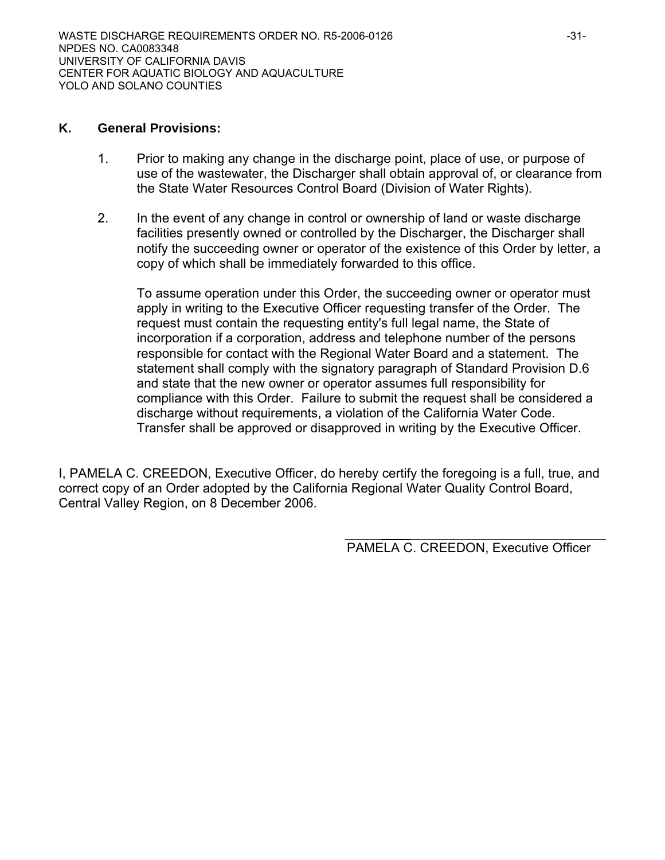#### **K. General Provisions:**

- 1. Prior to making any change in the discharge point, place of use, or purpose of use of the wastewater, the Discharger shall obtain approval of, or clearance from the State Water Resources Control Board (Division of Water Rights).
- 2. In the event of any change in control or ownership of land or waste discharge facilities presently owned or controlled by the Discharger, the Discharger shall notify the succeeding owner or operator of the existence of this Order by letter, a copy of which shall be immediately forwarded to this office.

To assume operation under this Order, the succeeding owner or operator must apply in writing to the Executive Officer requesting transfer of the Order. The request must contain the requesting entity's full legal name, the State of incorporation if a corporation, address and telephone number of the persons responsible for contact with the Regional Water Board and a statement. The statement shall comply with the signatory paragraph of Standard Provision D.6 and state that the new owner or operator assumes full responsibility for compliance with this Order. Failure to submit the request shall be considered a discharge without requirements, a violation of the California Water Code. Transfer shall be approved or disapproved in writing by the Executive Officer.

I, PAMELA C. CREEDON, Executive Officer, do hereby certify the foregoing is a full, true, and correct copy of an Order adopted by the California Regional Water Quality Control Board, Central Valley Region, on 8 December 2006.

 $\frac{1}{\sqrt{2}}$  ,  $\frac{1}{\sqrt{2}}$  ,  $\frac{1}{\sqrt{2}}$  ,  $\frac{1}{\sqrt{2}}$  ,  $\frac{1}{\sqrt{2}}$  ,  $\frac{1}{\sqrt{2}}$  ,  $\frac{1}{\sqrt{2}}$  ,  $\frac{1}{\sqrt{2}}$  ,  $\frac{1}{\sqrt{2}}$  ,  $\frac{1}{\sqrt{2}}$  ,  $\frac{1}{\sqrt{2}}$  ,  $\frac{1}{\sqrt{2}}$  ,  $\frac{1}{\sqrt{2}}$  ,  $\frac{1}{\sqrt{2}}$  ,  $\frac{1}{\sqrt{2}}$ 

PAMELA C. CREEDON, Executive Officer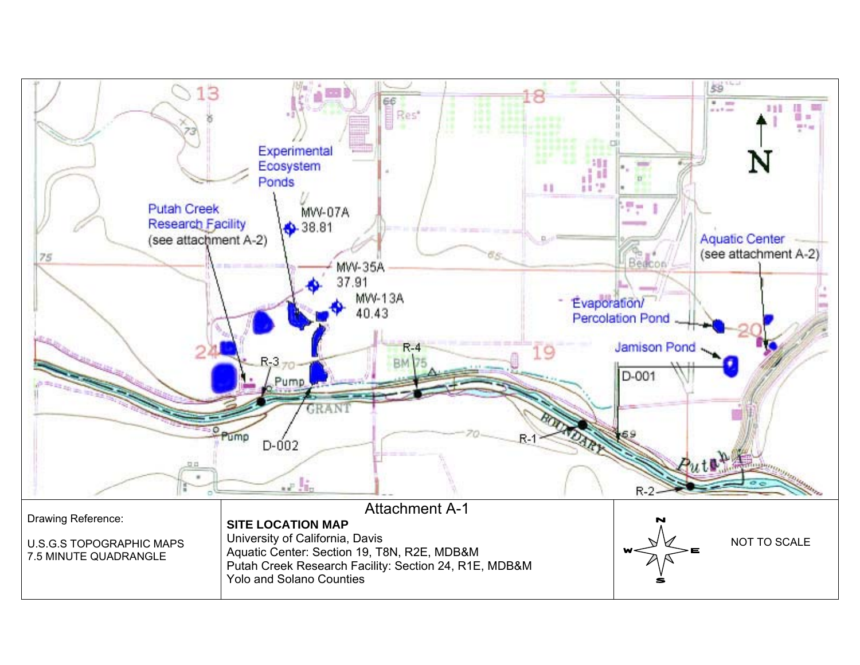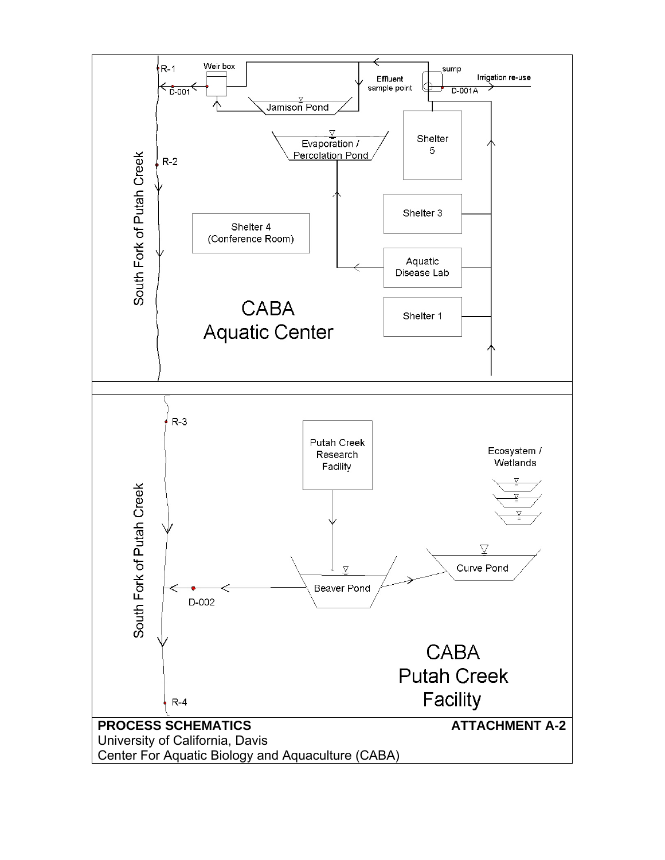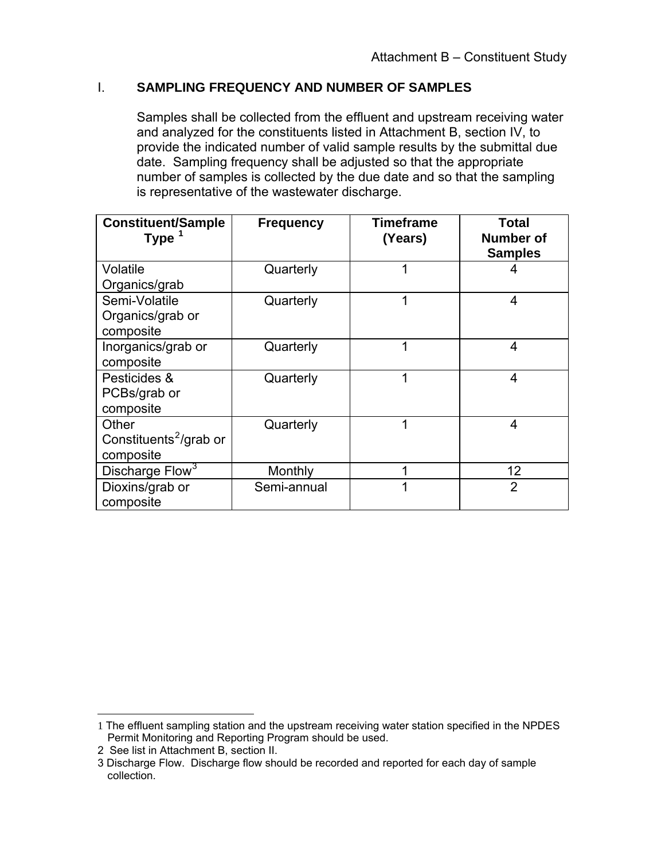## <span id="page-33-0"></span>I. **SAMPLING FREQUENCY AND NUMBER OF SAMPLES**

Samples shall be collected from the effluent and upstream receiving water and analyzed for the constituents listed in Attachment B, section IV, to provide the indicated number of valid sample results by the submittal due date. Sampling frequency shall be adjusted so that the appropriate number of samples is collected by the due date and so that the sampling is representative of the wastewater discharge.

| <b>Constituent/Sample</b><br><b>Type</b>                 | <b>Frequency</b> | <b>Timeframe</b><br>(Years) | <b>Total</b><br><b>Number of</b><br><b>Samples</b> |
|----------------------------------------------------------|------------------|-----------------------------|----------------------------------------------------|
| Volatile<br>Organics/grab                                | Quarterly        | 1                           | 4                                                  |
| Semi-Volatile<br>Organics/grab or<br>composite           | Quarterly        | 1                           | 4                                                  |
| Inorganics/grab or<br>composite                          | Quarterly        | 1                           | 4                                                  |
| Pesticides &<br>PCBs/grab or<br>composite                | Quarterly        | 1                           | $\overline{4}$                                     |
| Other<br>Constituents <sup>2</sup> /grab or<br>composite | Quarterly        | 1                           | $\overline{4}$                                     |
| Discharge Flow <sup>3</sup>                              | Monthly          | 1                           | 12                                                 |
| Dioxins/grab or<br>composite                             | Semi-annual      | 1                           | $\overline{2}$                                     |

 $\overline{a}$ 

<sup>1</sup> The effluent sampling station and the upstream receiving water station specified in the NPDES Permit Monitoring and Reporting Program should be used.

<sup>2</sup> See list in Attachment B, section II.

<sup>3</sup> Discharge Flow. Discharge flow should be recorded and reported for each day of sample collection.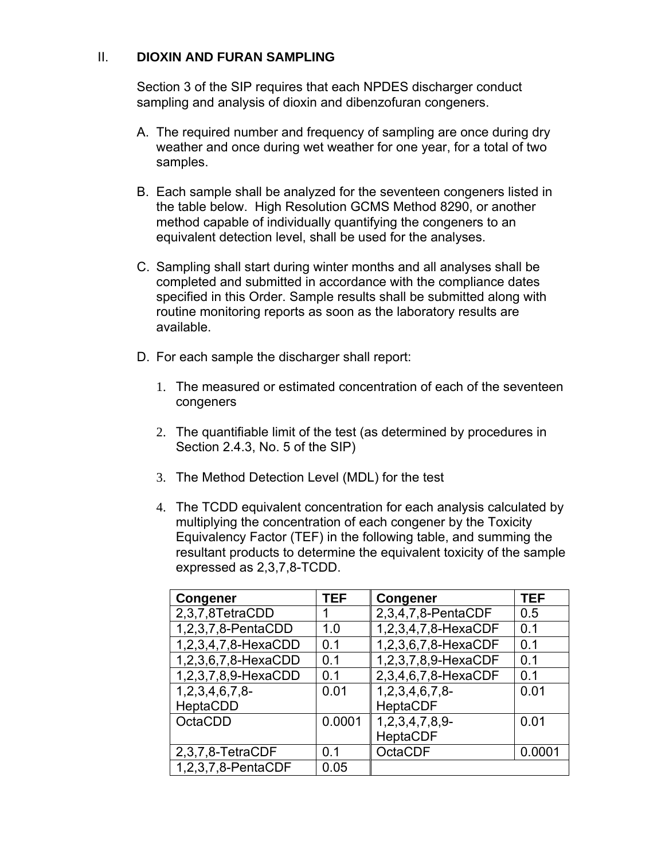## II. **DIOXIN AND FURAN SAMPLING**

Section 3 of the SIP requires that each NPDES discharger conduct sampling and analysis of dioxin and dibenzofuran congeners.

- A. The required number and frequency of sampling are once during dry weather and once during wet weather for one year, for a total of two samples.
- B. Each sample shall be analyzed for the seventeen congeners listed in the table below. High Resolution GCMS Method 8290, or another method capable of individually quantifying the congeners to an equivalent detection level, shall be used for the analyses.
- C. Sampling shall start during winter months and all analyses shall be completed and submitted in accordance with the compliance dates specified in this Order. Sample results shall be submitted along with routine monitoring reports as soon as the laboratory results are available.
- D. For each sample the discharger shall report:
	- 1. The measured or estimated concentration of each of the seventeen congeners
	- 2. The quantifiable limit of the test (as determined by procedures in Section 2.4.3, No. 5 of the SIP)
	- 3. The Method Detection Level (MDL) for the test
	- 4. The TCDD equivalent concentration for each analysis calculated by multiplying the concentration of each congener by the Toxicity Equivalency Factor (TEF) in the following table, and summing the resultant products to determine the equivalent toxicity of the sample expressed as 2,3,7,8-TCDD.

| <b>Congener</b>     | <b>TEF</b> | Congener            | <b>TEF</b> |
|---------------------|------------|---------------------|------------|
| 2,3,7,8TetraCDD     |            | 2,3,4,7,8-PentaCDF  | 0.5        |
| 1,2,3,7,8-PentaCDD  | 1.0        | 1,2,3,4,7,8-HexaCDF | 0.1        |
| 1,2,3,4,7,8-HexaCDD | 0.1        | 1,2,3,6,7,8-HexaCDF | 0.1        |
| 1,2,3,6,7,8-HexaCDD | 0.1        | 1,2,3,7,8,9-HexaCDF | 0.1        |
| 1,2,3,7,8,9-HexaCDD | 0.1        | 2,3,4,6,7,8-HexaCDF | 0.1        |
| $1,2,3,4,6,7,8$ -   | 0.01       | 1, 2, 3, 4, 6, 7, 8 | 0.01       |
| HeptaCDD            |            | <b>HeptaCDF</b>     |            |
| OctaCDD             | 0.0001     | $1,2,3,4,7,8,9$ -   | 0.01       |
|                     |            | <b>HeptaCDF</b>     |            |
| 2,3,7,8-TetraCDF    | 0 1        | <b>OctaCDF</b>      | 0.0001     |
| 1,2,3,7,8-PentaCDF  | 0.05       |                     |            |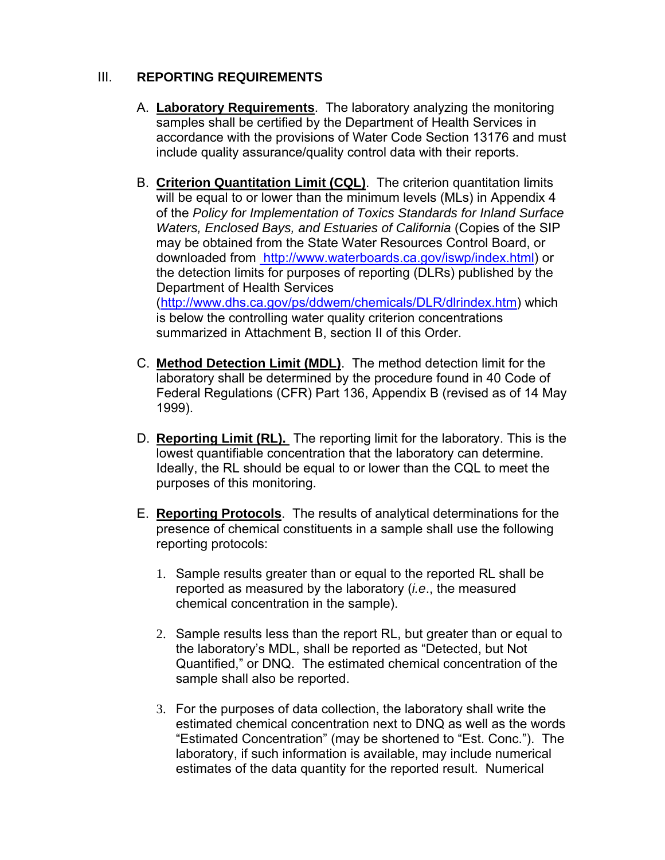## III. **REPORTING REQUIREMENTS**

1999).

- A. **Laboratory Requirements**. The laboratory analyzing the monitoring samples shall be certified by the Department of Health Services in accordance with the provisions of Water Code Section 13176 and must include quality assurance/quality control data with their reports.
- B. **Criterion Quantitation Limit (CQL)**. The criterion quantitation limits will be equal to or lower than the minimum levels (MLs) in Appendix 4 of the *Policy for Implementation of Toxics Standards for Inland Surface Waters, Enclosed Bays, and Estuaries of California* (Copies of the SIP may be obtained from the State Water Resources Control Board, or downloaded from [http://www.waterboards.ca.gov/iswp/index.html](http://www.swrcb.ca.gov/iswp/final.pdf)) or the detection limits for purposes of reporting (DLRs) published by the Department of Health Services (<http://www.dhs.ca.gov/ps/ddwem/chemicals/DLR/dlrindex.htm>) which is below the controlling water quality criterion concentrations

C. **Method Detection Limit (MDL)**. The method detection limit for the laboratory shall be determined by the procedure found in 40 Code of Federal Regulations (CFR) Part 136, Appendix B (revised as of 14 May

summarized in Attachment B, section II of this Order.

- D. **Reporting Limit (RL).** The reporting limit for the laboratory. This is the lowest quantifiable concentration that the laboratory can determine. Ideally, the RL should be equal to or lower than the CQL to meet the purposes of this monitoring.
- E. **Reporting Protocols**. The results of analytical determinations for the presence of chemical constituents in a sample shall use the following reporting protocols:
	- 1. Sample results greater than or equal to the reported RL shall be reported as measured by the laboratory (*i.e*., the measured chemical concentration in the sample).
	- 2. Sample results less than the report RL, but greater than or equal to the laboratory's MDL, shall be reported as "Detected, but Not Quantified," or DNQ. The estimated chemical concentration of the sample shall also be reported.
	- 3. For the purposes of data collection, the laboratory shall write the estimated chemical concentration next to DNQ as well as the words "Estimated Concentration" (may be shortened to "Est. Conc."). The laboratory, if such information is available, may include numerical estimates of the data quantity for the reported result. Numerical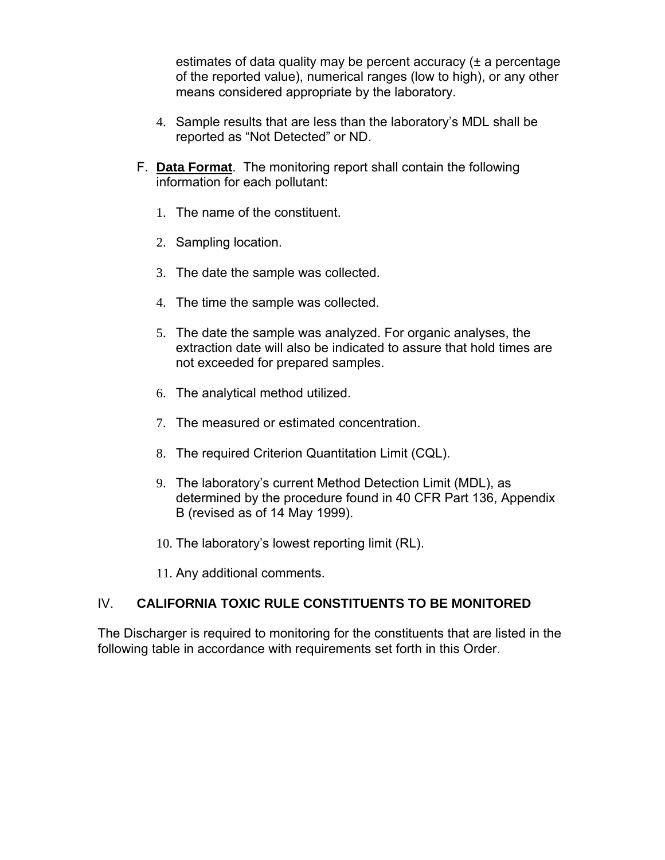estimates of data quality may be percent accuracy (± a percentage of the reported value), numerical ranges (low to high), or any other means considered appropriate by the laboratory.

- 4. Sample results that are less than the laboratory's MDL shall be reported as "Not Detected" or ND.
- F. **Data Format**. The monitoring report shall contain the following information for each pollutant:
	- 1. The name of the constituent.
	- 2. Sampling location.
	- 3. The date the sample was collected.
	- 4. The time the sample was collected.
	- 5. The date the sample was analyzed. For organic analyses, the extraction date will also be indicated to assure that hold times are not exceeded for prepared samples.
	- 6. The analytical method utilized.
	- 7. The measured or estimated concentration.
	- 8. The required Criterion Quantitation Limit (CQL).
	- 9. The laboratory's current Method Detection Limit (MDL), as determined by the procedure found in 40 CFR Part 136, Appendix B (revised as of 14 May 1999).
	- 10. The laboratory's lowest reporting limit (RL).
	- 11. Any additional comments.

# IV. **CALIFORNIA TOXIC RULE CONSTITUENTS TO BE MONITORED**

The Discharger is required to monitoring for the constituents that are listed in the following table in accordance with requirements set forth in this Order.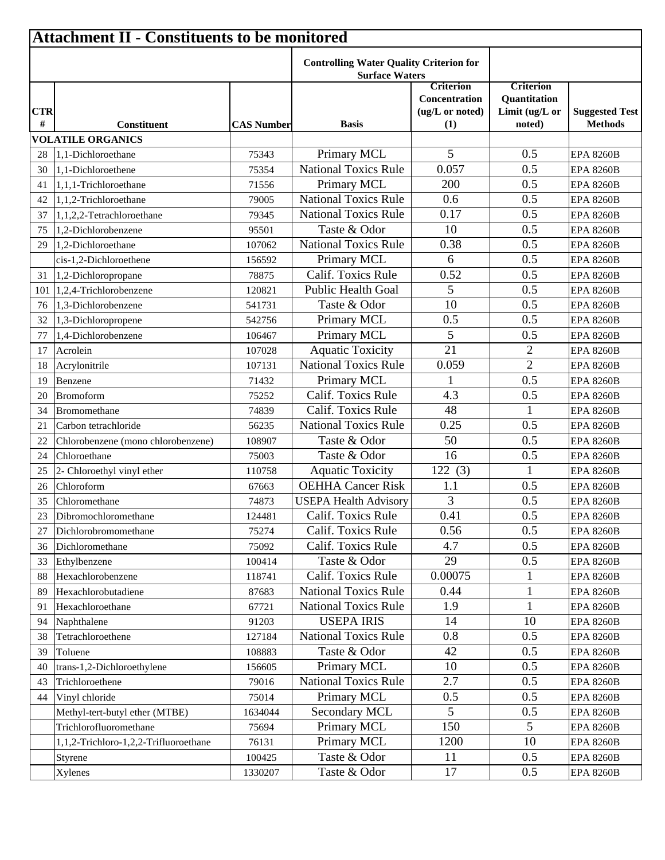|                 | <b>Attachment II - Constituents to be monitored</b> |                   |                                                                         |                                                             |                                                                     |                                         |  |  |  |
|-----------------|-----------------------------------------------------|-------------------|-------------------------------------------------------------------------|-------------------------------------------------------------|---------------------------------------------------------------------|-----------------------------------------|--|--|--|
|                 |                                                     |                   | <b>Controlling Water Quality Criterion for</b><br><b>Surface Waters</b> |                                                             |                                                                     |                                         |  |  |  |
| <b>CTR</b><br># | <b>Constituent</b>                                  | <b>CAS Number</b> | <b>Basis</b>                                                            | <b>Criterion</b><br>Concentration<br>(ug/L or noted)<br>(1) | <b>Criterion</b><br><b>Quantitation</b><br>Limit (ug/L or<br>noted) | <b>Suggested Test</b><br><b>Methods</b> |  |  |  |
|                 | <b>VOLATILE ORGANICS</b>                            |                   |                                                                         |                                                             |                                                                     |                                         |  |  |  |
| 28              | 1,1-Dichloroethane                                  | 75343             | Primary MCL                                                             | 5                                                           | 0.5                                                                 | <b>EPA 8260B</b>                        |  |  |  |
| 30              | 1,1-Dichloroethene                                  | 75354             | <b>National Toxics Rule</b>                                             | 0.057                                                       | 0.5                                                                 | <b>EPA 8260B</b>                        |  |  |  |
| 41              | 1,1,1-Trichloroethane                               | 71556             | Primary MCL                                                             | 200                                                         | 0.5                                                                 | <b>EPA 8260B</b>                        |  |  |  |
| 42              | 1,1,2-Trichloroethane                               | 79005             | <b>National Toxics Rule</b>                                             | 0.6                                                         | 0.5                                                                 | <b>EPA 8260B</b>                        |  |  |  |
| 37              | 1,1,2,2-Tetrachloroethane                           | 79345             | <b>National Toxics Rule</b>                                             | 0.17                                                        | 0.5                                                                 | <b>EPA 8260B</b>                        |  |  |  |
| 75              | 1,2-Dichlorobenzene                                 | 95501             | Taste & Odor                                                            | 10                                                          | 0.5                                                                 | <b>EPA 8260B</b>                        |  |  |  |
| 29              | 1,2-Dichloroethane                                  | 107062            | <b>National Toxics Rule</b>                                             | 0.38                                                        | 0.5                                                                 | <b>EPA 8260B</b>                        |  |  |  |
|                 | cis-1,2-Dichloroethene                              | 156592            | Primary MCL                                                             | 6                                                           | 0.5                                                                 | <b>EPA 8260B</b>                        |  |  |  |
| 31              | 1,2-Dichloropropane                                 | 78875             | Calif. Toxics Rule                                                      | 0.52                                                        | 0.5                                                                 | <b>EPA 8260B</b>                        |  |  |  |
| 101             | 1,2,4-Trichlorobenzene                              | 120821            | <b>Public Health Goal</b>                                               | 5                                                           | 0.5                                                                 | <b>EPA 8260B</b>                        |  |  |  |
| 76              | 1,3-Dichlorobenzene                                 | 541731            | Taste & Odor                                                            | 10                                                          | 0.5                                                                 | <b>EPA 8260B</b>                        |  |  |  |
| 32              | 1,3-Dichloropropene                                 | 542756            | Primary MCL                                                             | 0.5                                                         | 0.5                                                                 | <b>EPA 8260B</b>                        |  |  |  |
| 77              | 1,4-Dichlorobenzene                                 | 106467            | Primary MCL                                                             | 5                                                           | 0.5                                                                 | <b>EPA 8260B</b>                        |  |  |  |
| 17              | Acrolein                                            | 107028            | <b>Aquatic Toxicity</b>                                                 | 21                                                          | $\overline{2}$                                                      | <b>EPA 8260B</b>                        |  |  |  |
| 18              | Acrylonitrile                                       | 107131            | <b>National Toxics Rule</b>                                             | 0.059                                                       | $\overline{2}$                                                      | <b>EPA 8260B</b>                        |  |  |  |
| 19              | Benzene                                             | 71432             | Primary MCL                                                             |                                                             | 0.5                                                                 | <b>EPA 8260B</b>                        |  |  |  |
| 20              | <b>Bromoform</b>                                    | 75252             | Calif. Toxics Rule                                                      | 4.3                                                         | 0.5                                                                 | <b>EPA 8260B</b>                        |  |  |  |
| 34              | Bromomethane                                        | 74839             | Calif. Toxics Rule                                                      | 48                                                          |                                                                     | <b>EPA 8260B</b>                        |  |  |  |
| 21              | Carbon tetrachloride                                | 56235             | <b>National Toxics Rule</b>                                             | 0.25                                                        | 0.5                                                                 | <b>EPA 8260B</b>                        |  |  |  |
| 22              | Chlorobenzene (mono chlorobenzene)                  | 108907            | Taste & Odor                                                            | 50                                                          | 0.5                                                                 | <b>EPA 8260B</b>                        |  |  |  |
| 24              | Chloroethane                                        | 75003             | Taste & Odor                                                            | 16                                                          | 0.5                                                                 | <b>EPA 8260B</b>                        |  |  |  |
| 25              | 2- Chloroethyl vinyl ether                          | 110758            | <b>Aquatic Toxicity</b>                                                 | 122(3)                                                      |                                                                     | <b>EPA 8260B</b>                        |  |  |  |
| 26              | Chloroform                                          | 67663             | <b>OEHHA Cancer Risk</b>                                                | 1.1                                                         | 0.5                                                                 | <b>EPA 8260B</b>                        |  |  |  |
| 35              | Chloromethane                                       | 74873             | <b>USEPA Health Advisory</b>                                            | 3                                                           | 0.5                                                                 | <b>EPA 8260B</b>                        |  |  |  |
| 23              | Dibromochloromethane                                | 124481            | Calif. Toxics Rule                                                      | 0.41                                                        | 0.5                                                                 | <b>EPA 8260B</b>                        |  |  |  |
| 27              | Dichlorobromomethane                                | 75274             | Calif. Toxics Rule                                                      | 0.56                                                        | 0.5                                                                 | <b>EPA 8260B</b>                        |  |  |  |
| 36              | Dichloromethane                                     | 75092             | Calif. Toxics Rule                                                      | 4.7                                                         | 0.5                                                                 | <b>EPA 8260B</b>                        |  |  |  |
| 33              | Ethylbenzene                                        | 100414            | Taste & Odor                                                            | 29                                                          | 0.5                                                                 | <b>EPA 8260B</b>                        |  |  |  |
| 88              | Hexachlorobenzene                                   | 118741            | Calif. Toxics Rule                                                      | 0.00075                                                     |                                                                     | <b>EPA 8260B</b>                        |  |  |  |
| 89              | Hexachlorobutadiene                                 | 87683             | <b>National Toxics Rule</b>                                             | 0.44                                                        |                                                                     | <b>EPA 8260B</b>                        |  |  |  |
| 91              | Hexachloroethane                                    | 67721             | <b>National Toxics Rule</b>                                             | 1.9                                                         | 1                                                                   | <b>EPA 8260B</b>                        |  |  |  |
| 94              | Naphthalene                                         | 91203             | <b>USEPA IRIS</b>                                                       | 14                                                          | 10                                                                  | <b>EPA 8260B</b>                        |  |  |  |
| 38              | Tetrachloroethene                                   | 127184            | <b>National Toxics Rule</b>                                             | 0.8                                                         | 0.5                                                                 | <b>EPA 8260B</b>                        |  |  |  |
| 39              | Toluene                                             | 108883            | Taste & Odor                                                            | 42                                                          | 0.5                                                                 | <b>EPA 8260B</b>                        |  |  |  |
| 40              | trans-1,2-Dichloroethylene                          | 156605            | Primary MCL                                                             | 10                                                          | 0.5                                                                 | <b>EPA 8260B</b>                        |  |  |  |
| 43              | Trichloroethene                                     | 79016             | <b>National Toxics Rule</b>                                             | 2.7                                                         | 0.5                                                                 | <b>EPA 8260B</b>                        |  |  |  |
| 44              | Vinyl chloride                                      | 75014             | Primary MCL                                                             | 0.5                                                         | 0.5                                                                 | <b>EPA 8260B</b>                        |  |  |  |
|                 | Methyl-tert-butyl ether (MTBE)                      | 1634044           | Secondary MCL                                                           | 5                                                           | 0.5                                                                 | <b>EPA 8260B</b>                        |  |  |  |
|                 | Trichlorofluoromethane                              | 75694             | Primary MCL                                                             | 150                                                         | 5                                                                   | <b>EPA 8260B</b>                        |  |  |  |
|                 | 1,1,2-Trichloro-1,2,2-Trifluoroethane               | 76131             | Primary MCL                                                             | 1200                                                        | 10                                                                  | <b>EPA 8260B</b>                        |  |  |  |
|                 | Styrene                                             | 100425            | Taste & Odor                                                            | 11                                                          | 0.5                                                                 | <b>EPA 8260B</b>                        |  |  |  |
|                 | Xylenes                                             | 1330207           | Taste & Odor                                                            | 17                                                          | 0.5                                                                 | <b>EPA 8260B</b>                        |  |  |  |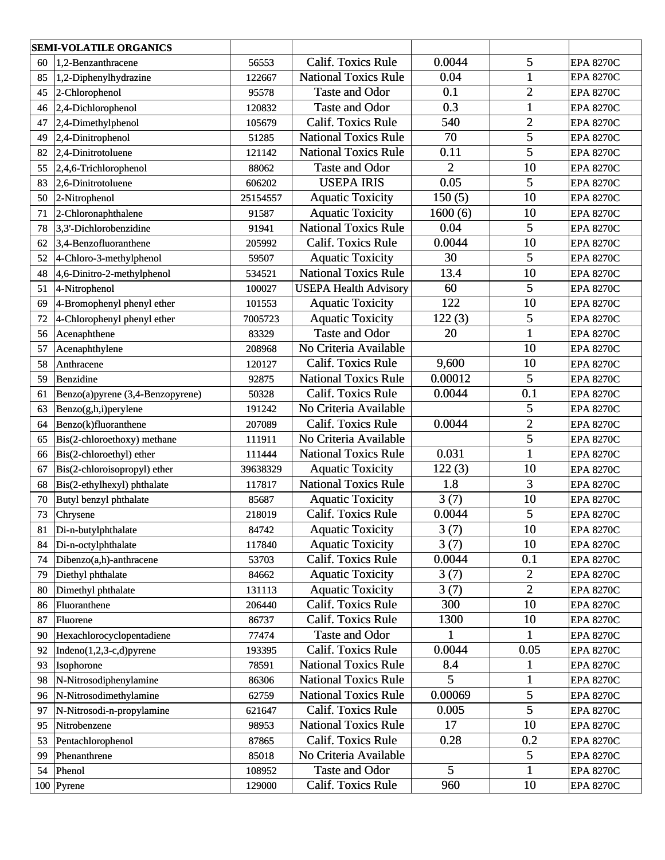| <b>SEMI-VOLATILE ORGANICS</b> |                                                             |          |                              |                |                  |                  |
|-------------------------------|-------------------------------------------------------------|----------|------------------------------|----------------|------------------|------------------|
| 60                            | $1,2$ -Benzanthracene                                       | 56553    | <b>Calif. Toxics Rule</b>    | 0.0044         | 5                | <b>EPA 8270C</b> |
| 85                            | $ 1,2$ -Diphenylhydrazine                                   | 122667   | <b>National Toxics Rule</b>  | 0.04           | $\mathbf{1}$     | <b>EPA 8270C</b> |
| 45                            | 2-Chlorophenol                                              | 95578    | <b>Taste and Odor</b>        | 0.1            | $\overline{2}$   | <b>EPA 8270C</b> |
| 46                            | 2,4-Dichlorophenol                                          | 120832   | <b>Taste and Odor</b>        | 0.3            | $\mathbf{1}$     | <b>EPA 8270C</b> |
| 47                            | $ 2,4$ -Dimethylphenol                                      | 105679   | <b>Calif. Toxics Rule</b>    | 540            | $\overline{2}$   | <b>EPA 8270C</b> |
| 49                            | 2,4-Dinitrophenol                                           | 51285    | <b>National Toxics Rule</b>  | 70             | 5                | <b>EPA 8270C</b> |
| 82                            | $ 2,4$ -Dinitrotoluene                                      | 121142   | <b>National Toxics Rule</b>  | 0.11           | 5                | <b>EPA 8270C</b> |
| 55                            | $2,4,6$ -Trichlorophenol                                    | 88062    | <b>Taste and Odor</b>        | $\overline{2}$ | 10               | <b>EPA 8270C</b> |
| 83                            | 2,6-Dinitrotoluene                                          | 606202   | <b>USEPA IRIS</b>            | 0.05           | 5                | <b>EPA 8270C</b> |
| 50                            | 2-Nitrophenol                                               | 25154557 | <b>Aquatic Toxicity</b>      | 150(5)         | 10               | <b>EPA 8270C</b> |
| 71                            | 2-Chloronaphthalene                                         | 91587    | <b>Aquatic Toxicity</b>      | 1600(6)        | 10               | <b>EPA 8270C</b> |
| 78                            | $3,3'$ -Dichlorobenzidine                                   | 91941    | <b>National Toxics Rule</b>  | 0.04           | 5                | <b>EPA 8270C</b> |
| 62                            | 3,4-Benzofluoranthene                                       | 205992   | <b>Calif. Toxics Rule</b>    | 0.0044         | 10               | <b>EPA 8270C</b> |
| 52                            | 4-Chloro-3-methylphenol                                     | 59507    | <b>Aquatic Toxicity</b>      | 30             | 5                | <b>EPA 8270C</b> |
| 48                            | $4,6$ -Dinitro-2-methylphenol                               | 534521   | <b>National Toxics Rule</b>  | 13.4           | 10               | <b>EPA 8270C</b> |
| 51                            | 4-Nitrophenol                                               | 100027   | <b>USEPA Health Advisory</b> | 60             | 5                | <b>EPA 8270C</b> |
| 69                            | 4-Bromophenyl phenyl ether                                  | 101553   | <b>Aquatic Toxicity</b>      | 122            | 10               | <b>EPA 8270C</b> |
| 72                            | 4-Chlorophenyl phenyl ether                                 | 7005723  | <b>Aquatic Toxicity</b>      | 122(3)         | 5                | <b>EPA 8270C</b> |
| 56                            | Acenaphthene                                                | 83329    | <b>Taste and Odor</b>        | 20             |                  | <b>EPA 8270C</b> |
| 57                            | Acenaphthylene                                              | 208968   | No Criteria Available        |                | 10               | <b>EPA 8270C</b> |
| 58                            | Anthracene                                                  | 120127   | <b>Calif. Toxics Rule</b>    | 9,600          | 10               | <b>EPA 8270C</b> |
| 59                            | Benzidine                                                   | 92875    | <b>National Toxics Rule</b>  | 0.00012        | 5                | <b>EPA 8270C</b> |
| 61                            | Benzo(a)pyrene (3,4-Benzopyrene)                            | 50328    | <b>Calif. Toxics Rule</b>    | 0.0044         | 0.1              | <b>EPA 8270C</b> |
| 63                            | Benzo(g,h,i)perylene                                        | 191242   | No Criteria Available        |                | 5                | <b>EPA 8270C</b> |
| 64                            | <b>Calif. Toxics Rule</b><br>Benzo(k)fluoranthene<br>207089 |          | 0.0044                       | $\overline{2}$ | <b>EPA 8270C</b> |                  |
| 65                            | Bis(2-chloroethoxy) methane                                 | 111911   | No Criteria Available        |                | 5                | <b>EPA 8270C</b> |
| 66                            | Bis(2-chloroethyl) ether                                    | 111444   | <b>National Toxics Rule</b>  | 0.031          |                  | <b>EPA 8270C</b> |
| 67                            | Bis(2-chloroisopropyl) ether                                | 39638329 | <b>Aquatic Toxicity</b>      | 122(3)         | 10               | <b>EPA 8270C</b> |
| 68                            | Bis(2-ethylhexyl) phthalate                                 | 117817   | <b>National Toxics Rule</b>  | 1.8            | 3                | <b>EPA 8270C</b> |
| 70                            | Butyl benzyl phthalate                                      | 85687    | <b>Aquatic Toxicity</b>      | 3(7)           | 10               | <b>EPA 8270C</b> |
| 73                            | Chrysene                                                    | 218019   | <b>Calif. Toxics Rule</b>    | 0.0044         | 5                | <b>EPA 8270C</b> |
| 81                            | Di-n-butylphthalate                                         | 84742    | <b>Aquatic Toxicity</b>      | 3(7)           | 10               | <b>EPA 8270C</b> |
| 84                            | Di-n-octylphthalate                                         | 117840   | <b>Aquatic Toxicity</b>      | 3(7)           | 10               | <b>EPA 8270C</b> |
| 74                            | $Dibenzo(a,h)$ -anthracene                                  | 53703    | Calif. Toxics Rule           | 0.0044         | 0.1              | <b>EPA 8270C</b> |
| 79                            | Diethyl phthalate                                           | 84662    | <b>Aquatic Toxicity</b>      | 3(7)           | $\overline{c}$   | <b>EPA 8270C</b> |
| 80                            | Dimethyl phthalate                                          | 131113   | <b>Aquatic Toxicity</b>      | 3(7)           | $\overline{2}$   | <b>EPA 8270C</b> |
| 86                            | Fluoranthene                                                | 206440   | Calif. Toxics Rule           | 300            | 10               | <b>EPA 8270C</b> |
| 87                            | Fluorene                                                    | 86737    | <b>Calif. Toxics Rule</b>    | 1300           | 10               | <b>EPA 8270C</b> |
| 90                            | Hexachlorocyclopentadiene                                   | 77474    | <b>Taste and Odor</b>        | 1              | 1                | <b>EPA 8270C</b> |
| 92                            | Indeno $(1,2,3-c,d)$ pyrene                                 | 193395   | <b>Calif. Toxics Rule</b>    | 0.0044         | 0.05             | <b>EPA 8270C</b> |
| 93                            | Isophorone                                                  | 78591    | <b>National Toxics Rule</b>  | 8.4            |                  | <b>EPA 8270C</b> |
| 98                            | N-Nitrosodiphenylamine                                      | 86306    | <b>National Toxics Rule</b>  | 5              |                  | <b>EPA 8270C</b> |
| 96                            | N-Nitrosodimethylamine                                      | 62759    | <b>National Toxics Rule</b>  | 0.00069        | 5                | <b>EPA 8270C</b> |
| 97                            | N-Nitrosodi-n-propylamine                                   | 621647   | <b>Calif. Toxics Rule</b>    | 0.005          | 5                | <b>EPA 8270C</b> |
| 95                            | Nitrobenzene                                                | 98953    | <b>National Toxics Rule</b>  | 17             | 10               | <b>EPA 8270C</b> |
| 53                            | Pentachlorophenol                                           | 87865    | <b>Calif. Toxics Rule</b>    | 0.28           | 0.2              | <b>EPA 8270C</b> |
| 99                            | Phenanthrene                                                | 85018    | No Criteria Available        |                | 5                | <b>EPA 8270C</b> |
| 54                            | Phenol                                                      | 108952   | Taste and Odor               | 5              | 1                | <b>EPA 8270C</b> |
|                               | $100$ Pyrene                                                | 129000   | Calif. Toxics Rule           | 960            | 10               | <b>EPA 8270C</b> |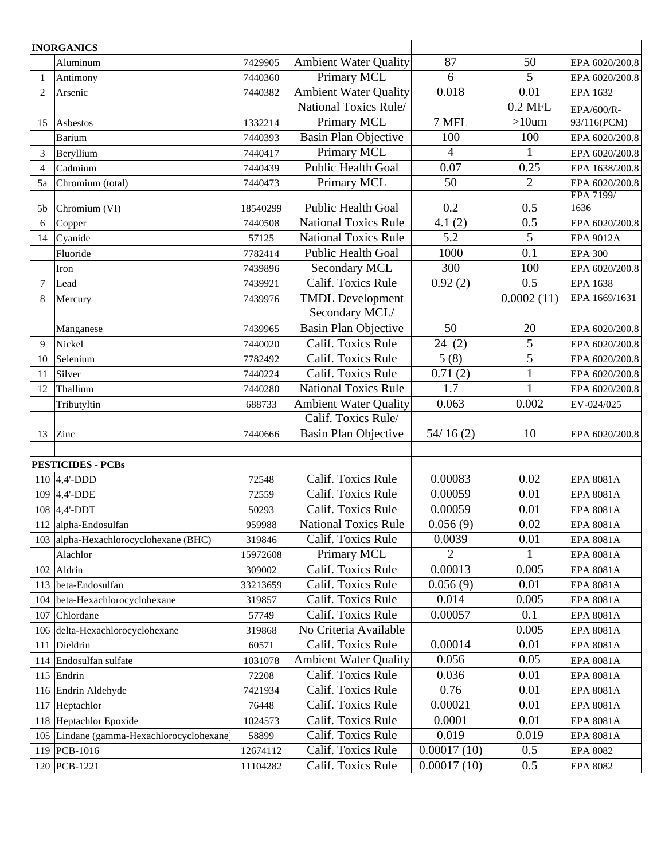|                          | <b>INORGANICS</b>                         |          |                                                    |                |                |                          |
|--------------------------|-------------------------------------------|----------|----------------------------------------------------|----------------|----------------|--------------------------|
|                          | Aluminum                                  | 7429905  | <b>Ambient Water Quality</b>                       | 87             | 50             | EPA 6020/200.8           |
| 1                        | Antimony                                  | 7440360  | Primary MCL                                        | 6              | 5              | EPA 6020/200.8           |
| 2                        | Arsenic                                   | 7440382  | <b>Ambient Water Quality</b>                       | 0.018          | 0.01           | EPA 1632                 |
|                          |                                           |          | National Toxics Rule/                              |                | $0.2$ MFL      | EPA/600/R-               |
| 15                       | Asbestos                                  | 1332214  | Primary MCL                                        | 7 MFL          | $>10$ um       | 93/116(PCM)              |
|                          | Barium                                    | 7440393  | <b>Basin Plan Objective</b>                        | 100            | 100            | EPA 6020/200.8           |
| 3                        | Beryllium                                 | 7440417  | Primary MCL                                        | $\overline{4}$ |                | EPA 6020/200.8           |
| $\overline{\mathcal{A}}$ | Cadmium                                   | 7440439  | <b>Public Health Goal</b>                          | 0.07           | 0.25           | EPA 1638/200.8           |
| 5a                       | Chromium (total)                          | 7440473  | Primary MCL                                        | 50             | $\overline{2}$ | EPA 6020/200.8           |
| 5b                       | Chromium (VI)                             | 18540299 | <b>Public Health Goal</b>                          | 0.2            | 0.5            | <b>EPA 7199/</b><br>1636 |
| 6                        | Copper                                    | 7440508  | <b>National Toxics Rule</b>                        | 4.1(2)         | 0.5            | EPA 6020/200.8           |
| 14                       | Cyanide                                   | 57125    | <b>National Toxics Rule</b>                        | 5.2            | 5              | <b>EPA 9012A</b>         |
|                          | Fluoride                                  | 7782414  | <b>Public Health Goal</b>                          | 1000           | 0.1            | <b>EPA 300</b>           |
|                          | Iron                                      | 7439896  | Secondary MCL                                      | 300            | 100            | EPA 6020/200.8           |
| 7                        | Lead                                      | 7439921  | Calif. Toxics Rule                                 | 0.92(2)        | 0.5            | EPA 1638                 |
| 8                        | Mercury                                   | 7439976  | <b>TMDL</b> Development                            |                | 0.0002(11)     | EPA 1669/1631            |
|                          |                                           |          | Secondary MCL/                                     |                |                |                          |
|                          | Manganese                                 | 7439965  | <b>Basin Plan Objective</b>                        | 50             | 20             | EPA 6020/200.8           |
| $\mathbf Q$              | Nickel                                    | 7440020  | Calif. Toxics Rule                                 | 24(2)          | 5              | EPA 6020/200.8           |
| 10                       | Selenium                                  | 7782492  | Calif. Toxics Rule                                 | 5(8)           | 5              | EPA 6020/200.8           |
| 11                       | Silver                                    | 7440224  | Calif. Toxics Rule                                 | 0.71(2)        | 1              | EPA 6020/200.8           |
| 12                       | Thallium                                  | 7440280  | <b>National Toxics Rule</b>                        | 1.7            | 1              | EPA 6020/200.8           |
|                          | Tributyltin                               | 688733   | <b>Ambient Water Quality</b>                       | 0.063          | 0.002          | EV-024/025               |
| 13                       | Zinc                                      | 7440666  | Calif. Toxics Rule/<br><b>Basin Plan Objective</b> | 54/16(2)       | 10             | EPA 6020/200.8           |
|                          | <b>PESTICIDES - PCBs</b>                  |          |                                                    |                |                |                          |
|                          | 110 $ 4,4$ -DDD                           | 72548    | Calif. Toxics Rule                                 | 0.00083        | 0.02           | <b>EPA 8081A</b>         |
|                          | 109 4,4'-DDE                              | 72559    | Calif. Toxics Rule                                 | 0.00059        | 0.01           | <b>EPA 8081A</b>         |
|                          | 108 4,4'-DDT                              | 50293    | Calif. Toxics Rule                                 | 0.00059        | 0.01           | <b>EPA 8081A</b>         |
|                          | 112 alpha-Endosulfan                      | 959988   | <b>National Toxics Rule</b>                        | 0.056(9)       | 0.02           | <b>EPA 8081A</b>         |
|                          | 103 alpha-Hexachlorocyclohexane (BHC)     | 319846   | Calif. Toxics Rule                                 | 0.0039         | 0.01           | EPA 8081A                |
|                          | Alachlor                                  | 15972608 | Primary MCL                                        | 2              |                | <b>EPA 8081A</b>         |
|                          | 102 Aldrin                                | 309002   | Calif. Toxics Rule                                 | 0.00013        | 0.005          | EPA 8081A                |
|                          | 113 beta-Endosulfan                       | 33213659 | Calif. Toxics Rule                                 | 0.056(9)       | 0.01           | EPA 8081A                |
|                          | 104 beta-Hexachlorocyclohexane            | 319857   | Calif. Toxics Rule                                 | 0.014          | 0.005          | EPA 8081A                |
|                          | 107 Chlordane                             | 57749    | Calif. Toxics Rule                                 | 0.00057        | 0.1            | <b>EPA 8081A</b>         |
|                          | 106 delta-Hexachlorocyclohexane           | 319868   | No Criteria Available                              |                | 0.005          | <b>EPA 8081A</b>         |
|                          | 111 Dieldrin                              | 60571    | Calif. Toxics Rule                                 | 0.00014        | 0.01           | EPA 8081A                |
|                          | 114 Endosulfan sulfate                    | 1031078  | <b>Ambient Water Quality</b>                       | 0.056          | 0.05           | EPA 8081A                |
|                          | $115$ Endrin                              | 72208    | Calif. Toxics Rule                                 | 0.036          | 0.01           | <b>EPA 8081A</b>         |
|                          | 116 Endrin Aldehyde                       | 7421934  | Calif. Toxics Rule                                 | 0.76           | 0.01           | EPA 8081A                |
|                          | 117 Heptachlor                            | 76448    | Calif. Toxics Rule                                 | 0.00021        | 0.01           | EPA 8081A                |
|                          | 118 Heptachlor Epoxide                    | 1024573  | Calif. Toxics Rule                                 | 0.0001         | 0.01           | <b>EPA 8081A</b>         |
|                          | 105 Lindane (gamma-Hexachlorocyclohexane) | 58899    | Calif. Toxics Rule                                 | 0.019          | 0.019          | EPA 8081A                |
|                          | 119 PCB-1016                              | 12674112 | Calif. Toxics Rule                                 | 0.00017(10)    | 0.5            | <b>EPA 8082</b>          |
|                          | 120 PCB-1221                              | 11104282 | Calif. Toxics Rule                                 | 0.00017(10)    | 0.5            | <b>EPA 8082</b>          |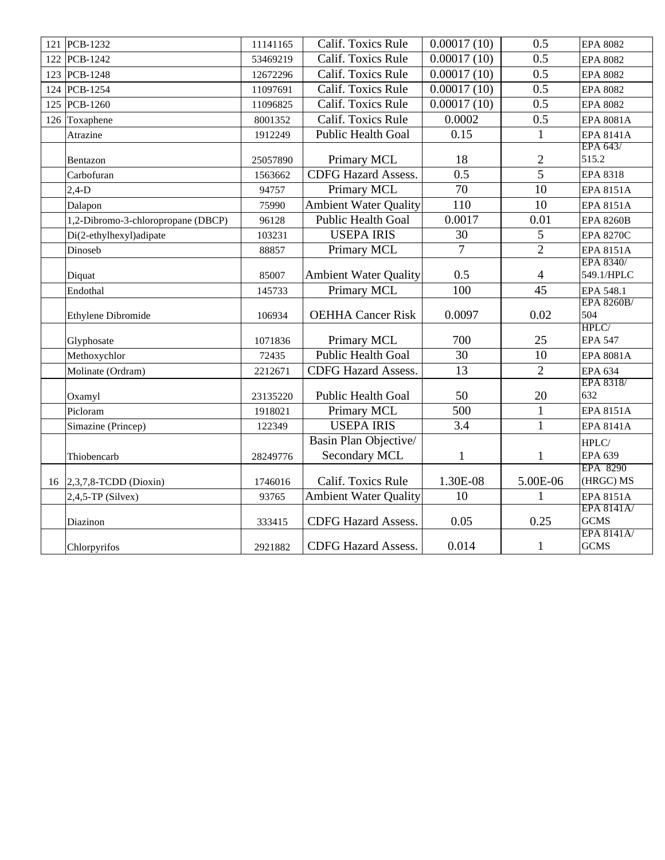| 121 PCB-1232                               | 11141165 | Calif. Toxics Rule           | 0.00017(10)    | 0.5                      | <b>EPA 8082</b>                  |
|--------------------------------------------|----------|------------------------------|----------------|--------------------------|----------------------------------|
| 122 PCB-1242                               | 53469219 | Calif. Toxics Rule           | 0.00017(10)    | 0.5                      | <b>EPA 8082</b>                  |
| 123 PCB-1248                               | 12672296 | Calif. Toxics Rule           | 0.00017(10)    | 0.5                      | <b>EPA 8082</b>                  |
| 124 PCB-1254                               | 11097691 | Calif. Toxics Rule           | 0.00017(10)    | 0.5                      | <b>EPA 8082</b>                  |
| 125 PCB-1260                               | 11096825 | Calif. Toxics Rule           | 0.00017(10)    | 0.5                      | <b>EPA 8082</b>                  |
| 126 Toxaphene                              | 8001352  | Calif. Toxics Rule           | 0.0002         | 0.5                      | <b>EPA 8081A</b>                 |
| Atrazine                                   | 1912249  | <b>Public Health Goal</b>    | 0.15           | $\mathbf{1}$             | <b>EPA 8141A</b>                 |
|                                            |          |                              |                |                          | EPA 643/                         |
| Bentazon                                   | 25057890 | Primary MCL                  | 18             | $\overline{2}$           | 515.2                            |
| Carbofuran                                 | 1563662  | <b>CDFG Hazard Assess.</b>   | 0.5            | $\overline{5}$           | <b>EPA 8318</b>                  |
| $2,4-D$                                    | 94757    | Primary MCL                  | 70             | 10                       | <b>EPA 8151A</b>                 |
| Dalapon                                    | 75990    | <b>Ambient Water Quality</b> | 110            | 10                       | <b>EPA 8151A</b>                 |
| 1,2-Dibromo-3-chloropropane (DBCP)         | 96128    | Public Health Goal           | 0.0017         | 0.01                     | <b>EPA 8260B</b>                 |
| Di(2-ethylhexyl)adipate                    | 103231   | <b>USEPA IRIS</b>            | 30             | 5                        | <b>EPA 8270C</b>                 |
| Dinoseb                                    | 88857    | Primary MCL                  | $\overline{7}$ | $\overline{2}$           | <b>EPA 8151A</b>                 |
|                                            |          |                              |                |                          | EPA 8340/                        |
| Diquat                                     | 85007    | <b>Ambient Water Quality</b> | 0.5            | $\overline{\mathcal{A}}$ | 549.1/HPLC                       |
| Endothal                                   | 145733   | Primary MCL                  | 100            | 45                       | EPA 548.1                        |
|                                            |          |                              |                |                          | <b>EPA 8260B/</b>                |
| Ethylene Dibromide                         | 106934   | <b>OEHHA Cancer Risk</b>     | 0.0097         | 0.02                     | 504<br>HPLC/                     |
| Glyphosate                                 | 1071836  | Primary MCL                  | 700            | 25                       | <b>EPA 547</b>                   |
| Methoxychlor                               | 72435    | <b>Public Health Goal</b>    | 30             | 10                       | EPA 8081A                        |
| Molinate (Ordram)                          | 2212671  | <b>CDFG Hazard Assess.</b>   | 13             | $\overline{2}$           | <b>EPA 634</b>                   |
|                                            |          |                              |                |                          | EPA 8318/                        |
| Oxamyl                                     | 23135220 | <b>Public Health Goal</b>    | 50             | 20                       | 632                              |
| Picloram                                   | 1918021  | Primary MCL                  | 500            | $\mathbf{1}$             | <b>EPA 8151A</b>                 |
| Simazine (Princep)                         | 122349   | <b>USEPA IRIS</b>            | 3.4            | $\mathbf{1}$             | <b>EPA 8141A</b>                 |
|                                            |          | Basin Plan Objective/        |                |                          | HPLC/                            |
| Thiobencarb                                | 28249776 | Secondary MCL                | $\mathbf{1}$   | $\mathbf{1}$             | EPA 639                          |
|                                            |          |                              |                |                          | <b>EPA 8290</b>                  |
| 16 $\left  2,3,7,8 \right $ -TCDD (Dioxin) | 1746016  | Calif. Toxics Rule           | 1.30E-08       | 5.00E-06                 | (HRGC) MS                        |
| $2,4,5$ -TP (Silvex)                       | 93765    | <b>Ambient Water Quality</b> | 10             | $\mathbf{1}$             | <b>EPA 8151A</b>                 |
|                                            |          |                              |                |                          | <b>EPA 8141A/</b><br><b>GCMS</b> |
| Diazinon                                   | 333415   | <b>CDFG Hazard Assess.</b>   | 0.05           | 0.25                     | <b>EPA 8141A/</b>                |
| Chlorpyrifos                               | 2921882  | CDFG Hazard Assess.          | 0.014          | $\mathbf{1}$             | <b>GCMS</b>                      |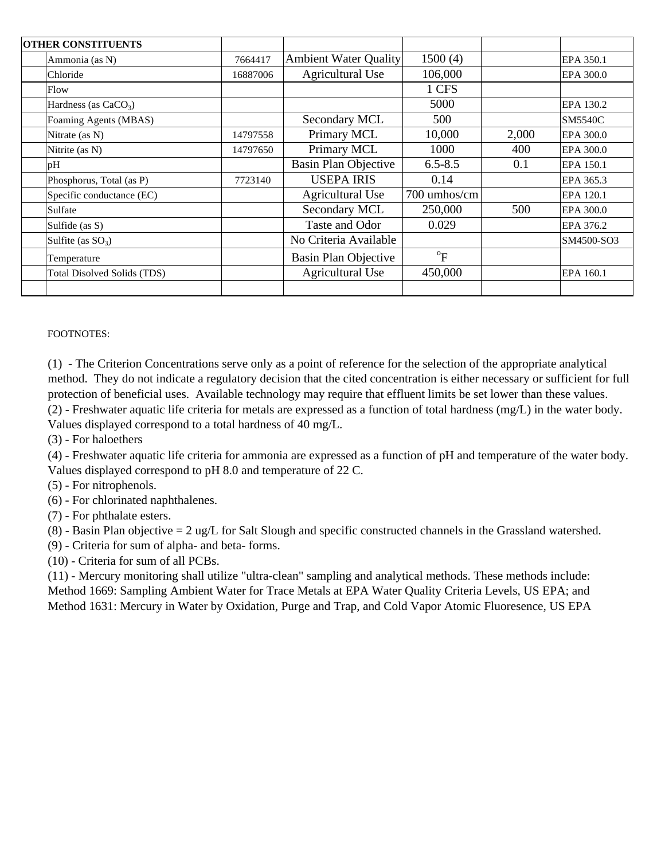| <b>OTHER CONSTITUENTS</b>          |          |                              |                           |       |                |
|------------------------------------|----------|------------------------------|---------------------------|-------|----------------|
| Ammonia (as N)                     |          | <b>Ambient Water Quality</b> | 1500(4)                   |       | EPA 350.1      |
| Chloride                           | 16887006 | <b>Agricultural Use</b>      | 106,000                   |       | EPA 300.0      |
| Flow                               |          |                              | 1 CFS                     |       |                |
| Hardness (as $CaCO3$ )             |          |                              | 5000                      |       | EPA 130.2      |
| Foaming Agents (MBAS)              |          | Secondary MCL                | 500                       |       | <b>SM5540C</b> |
| Nitrate (as N)                     | 14797558 | Primary MCL                  | 10,000                    | 2,000 | EPA 300.0      |
| Nitrite (as N)                     | 14797650 | Primary MCL                  | 1000                      | 400   | EPA 300.0      |
| pH                                 |          | <b>Basin Plan Objective</b>  | $6.5 - 8.5$               | 0.1   | EPA 150.1      |
| Phosphorus, Total (as P)           | 7723140  | <b>USEPA IRIS</b>            | 0.14                      |       | EPA 365.3      |
| Specific conductance (EC)          |          | <b>Agricultural Use</b>      | 700 umhos/cm              |       | EPA 120.1      |
| Sulfate                            |          | Secondary MCL                | 250,000                   | 500   | EPA 300.0      |
| Sulfide (as S)                     |          | Taste and Odor               | 0.029                     |       | EPA 376.2      |
| Sulfite (as $SO_3$ )               |          | No Criteria Available        |                           |       | SM4500-SO3     |
| Temperature                        |          | <b>Basin Plan Objective</b>  | $\mathrm{P}^{\mathrm{o}}$ |       |                |
| <b>Total Disolved Solids (TDS)</b> |          | <b>Agricultural Use</b>      | 450,000                   |       | EPA 160.1      |
|                                    |          |                              |                           |       |                |

FOOTNOTES:

(2) - Freshwater aquatic life criteria for metals are expressed as a function of total hardness (mg/L) in the water body. Values displayed correspond to a total hardness of 40 mg/L. (1) - The Criterion Concentrations serve only as a point of reference for the selection of the appropriate analytical method. They do not indicate a regulatory decision that the cited concentration is either necessary or sufficient for full protection of beneficial uses. Available technology may require that effluent limits be set lower than these values.

(3) - For haloethers

(4) - Freshwater aquatic life criteria for ammonia are expressed as a function of pH and temperature of the water body. Values displayed correspond to pH 8.0 and temperature of 22 C.

(5) - For nitrophenols.

(6) - For chlorinated naphthalenes.

(7) - For phthalate esters.

(8) - Basin Plan objective = 2 ug/L for Salt Slough and specific constructed channels in the Grassland watershed.

(9) - Criteria for sum of alpha- and beta- forms.

(10) - Criteria for sum of all PCBs.

(11) - Mercury monitoring shall utilize "ultra-clean" sampling and analytical methods. These methods include: Method 1669: Sampling Ambient Water for Trace Metals at EPA Water Quality Criteria Levels, US EPA; and Method 1631: Mercury in Water by Oxidation, Purge and Trap, and Cold Vapor Atomic Fluoresence, US EPA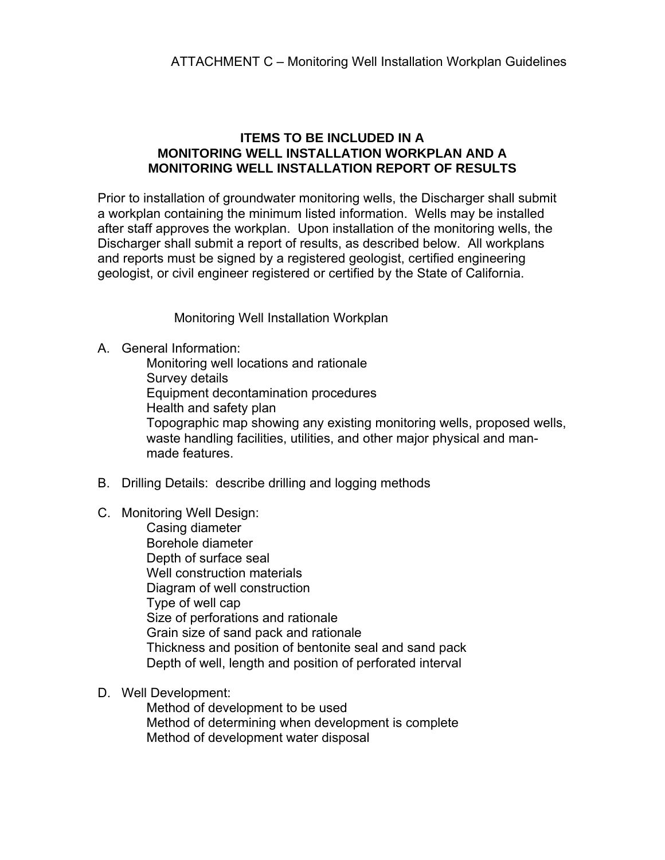### **ITEMS TO BE INCLUDED IN A MONITORING WELL INSTALLATION WORKPLAN AND A MONITORING WELL INSTALLATION REPORT OF RESULTS**

Prior to installation of groundwater monitoring wells, the Discharger shall submit a workplan containing the minimum listed information. Wells may be installed after staff approves the workplan. Upon installation of the monitoring wells, the Discharger shall submit a report of results, as described below. All workplans and reports must be signed by a registered geologist, certified engineering geologist, or civil engineer registered or certified by the State of California.

Monitoring Well Installation Workplan

A. General Information:

 Monitoring well locations and rationale Survey details Equipment decontamination procedures Health and safety plan Topographic map showing any existing monitoring wells, proposed wells, waste handling facilities, utilities, and other major physical and manmade features.

- B. Drilling Details: describe drilling and logging methods
- C. Monitoring Well Design:

 Casing diameter Borehole diameter Depth of surface seal Well construction materials Diagram of well construction Type of well cap Size of perforations and rationale Grain size of sand pack and rationale Thickness and position of bentonite seal and sand pack Depth of well, length and position of perforated interval

D. Well Development:

 Method of development to be used Method of determining when development is complete Method of development water disposal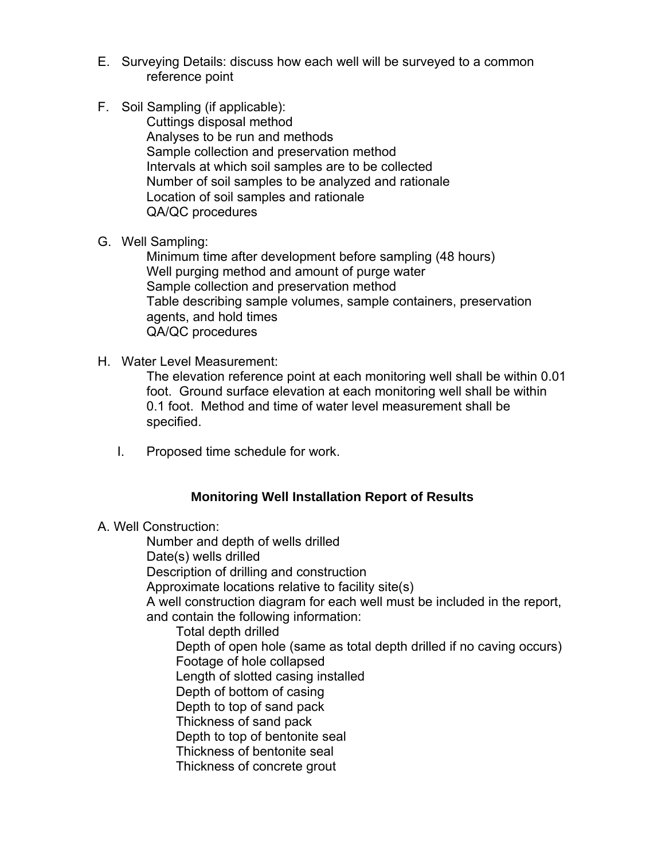- E. Surveying Details: discuss how each well will be surveyed to a common reference point
- F. Soil Sampling (if applicable):

 Cuttings disposal method Analyses to be run and methods Sample collection and preservation method Intervals at which soil samples are to be collected Number of soil samples to be analyzed and rationale Location of soil samples and rationale QA/QC procedures

G. Well Sampling:

 Minimum time after development before sampling (48 hours) Well purging method and amount of purge water Sample collection and preservation method Table describing sample volumes, sample containers, preservation agents, and hold times QA/QC procedures

H. Water Level Measurement:

 The elevation reference point at each monitoring well shall be within 0.01 foot. Ground surface elevation at each monitoring well shall be within 0.1 foot. Method and time of water level measurement shall be specified.

I. Proposed time schedule for work.

# **Monitoring Well Installation Report of Results**

A. Well Construction:

Number and depth of wells drilled

Date(s) wells drilled

Description of drilling and construction

Approximate locations relative to facility site(s)

A well construction diagram for each well must be included in the report, and contain the following information:

 Total depth drilled Depth of open hole (same as total depth drilled if no caving occurs) Footage of hole collapsed Length of slotted casing installed Depth of bottom of casing Depth to top of sand pack Thickness of sand pack Depth to top of bentonite seal Thickness of bentonite seal Thickness of concrete grout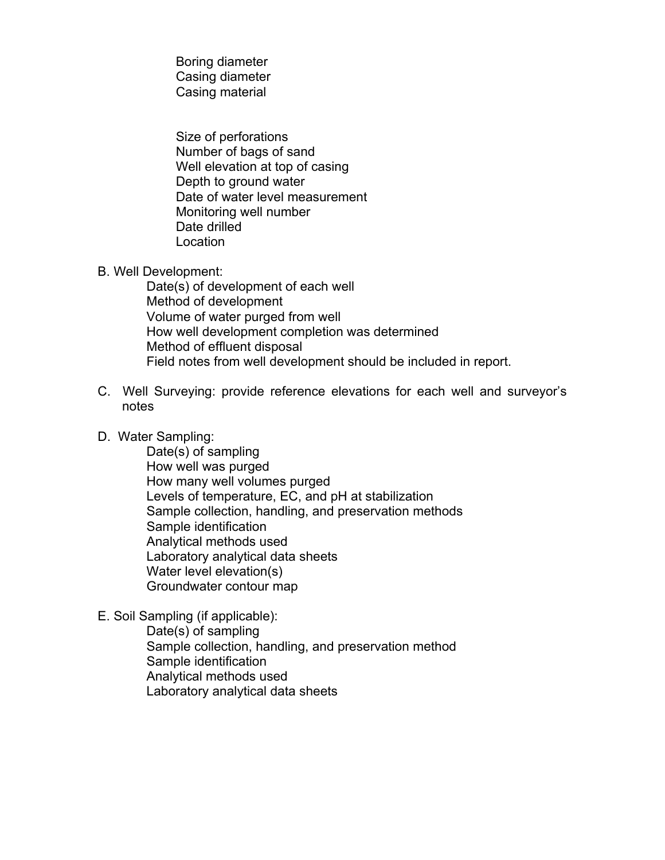Boring diameter Casing diameter Casing material

 Size of perforations Number of bags of sand Well elevation at top of casing Depth to ground water Date of water level measurement Monitoring well number Date drilled Location

B. Well Development:

 Date(s) of development of each well Method of development Volume of water purged from well How well development completion was determined Method of effluent disposal Field notes from well development should be included in report.

- C. Well Surveying: provide reference elevations for each well and surveyor's notes
- D. Water Sampling:

 Date(s) of sampling How well was purged How many well volumes purged Levels of temperature, EC, and pH at stabilization Sample collection, handling, and preservation methods Sample identification Analytical methods used Laboratory analytical data sheets Water level elevation(s) Groundwater contour map

E. Soil Sampling (if applicable):

 Date(s) of sampling Sample collection, handling, and preservation method Sample identification Analytical methods used Laboratory analytical data sheets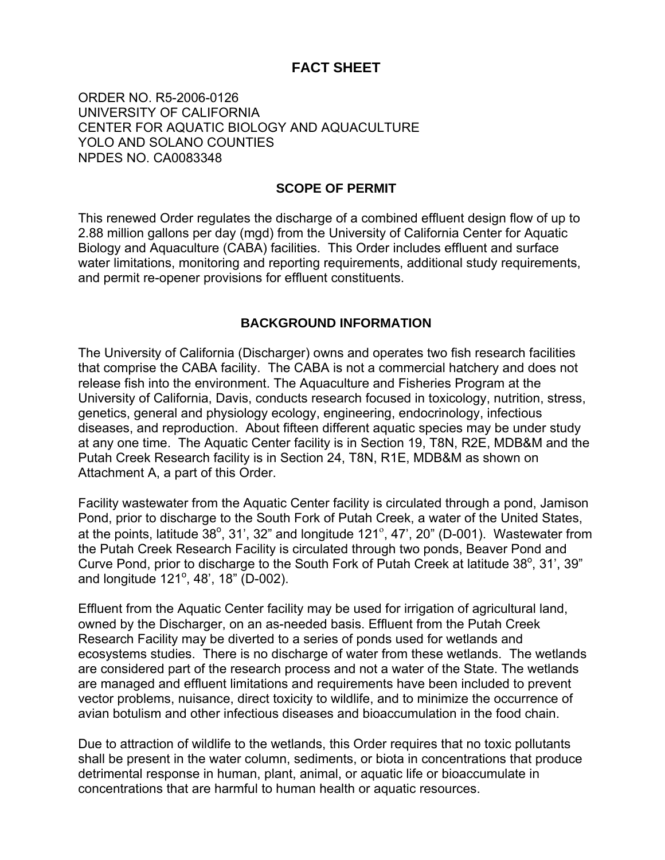# **FACT SHEET**

ORDER NO. R5-2006-0126 UNIVERSITY OF CALIFORNIA CENTER FOR AQUATIC BIOLOGY AND AQUACULTURE YOLO AND SOLANO COUNTIES NPDES NO. CA0083348

#### **SCOPE OF PERMIT**

This renewed Order regulates the discharge of a combined effluent design flow of up to 2.88 million gallons per day (mgd) from the University of California Center for Aquatic Biology and Aquaculture (CABA) facilities. This Order includes effluent and surface water limitations, monitoring and reporting requirements, additional study requirements, and permit re-opener provisions for effluent constituents.

#### **BACKGROUND INFORMATION**

The University of California (Discharger) owns and operates two fish research facilities that comprise the CABA facility. The CABA is not a commercial hatchery and does not release fish into the environment. The Aquaculture and Fisheries Program at the University of California, Davis, conducts research focused in toxicology, nutrition, stress, genetics, general and physiology ecology, engineering, endocrinology, infectious diseases, and reproduction. About fifteen different aquatic species may be under study at any one time. The Aquatic Center facility is in Section 19, T8N, R2E, MDB&M and the Putah Creek Research facility is in Section 24, T8N, R1E, MDB&M as shown on Attachment A, a part of this Order.

Facility wastewater from the Aquatic Center facility is circulated through a pond, Jamison Pond, prior to discharge to the South Fork of Putah Creek, a water of the United States, at the points, latitude 38 $^{\circ}$ , 31', 32" and longitude 121 $^{\circ}$ , 47', 20" (D-001). Wastewater from the Putah Creek Research Facility is circulated through two ponds, Beaver Pond and Curve Pond, prior to discharge to the South Fork of Putah Creek at latitude  $38^\circ$ ,  $31^\prime$ ,  $39^{\prime\prime}$ and longitude 121°, 48', 18" (D-002).

Effluent from the Aquatic Center facility may be used for irrigation of agricultural land, owned by the Discharger, on an as-needed basis. Effluent from the Putah Creek Research Facility may be diverted to a series of ponds used for wetlands and ecosystems studies. There is no discharge of water from these wetlands. The wetlands are considered part of the research process and not a water of the State. The wetlands are managed and effluent limitations and requirements have been included to prevent vector problems, nuisance, direct toxicity to wildlife, and to minimize the occurrence of avian botulism and other infectious diseases and bioaccumulation in the food chain.

Due to attraction of wildlife to the wetlands, this Order requires that no toxic pollutants shall be present in the water column, sediments, or biota in concentrations that produce detrimental response in human, plant, animal, or aquatic life or bioaccumulate in concentrations that are harmful to human health or aquatic resources.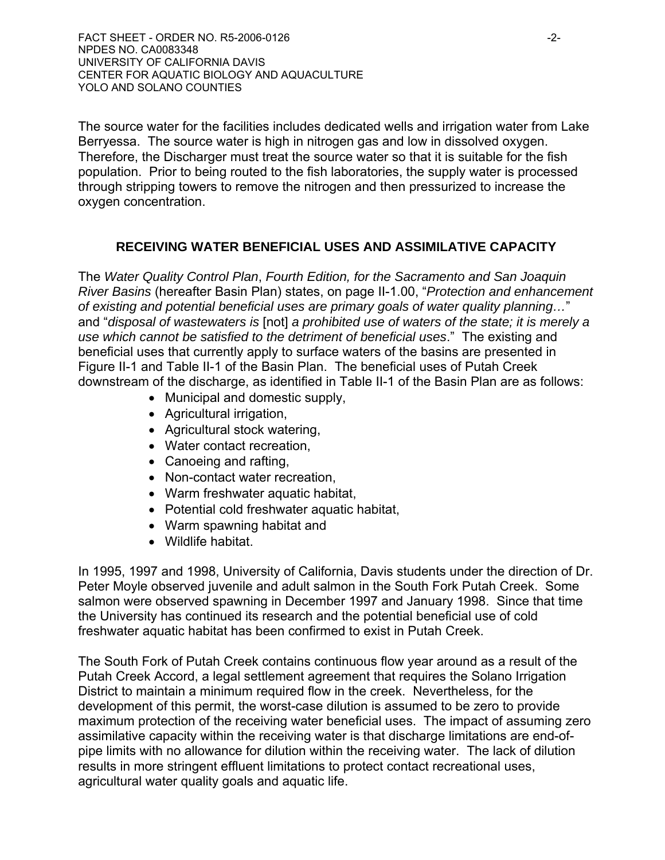FACT SHEET - ORDER NO. R5-2006-0126 -2- NPDES NO. CA0083348 UNIVERSITY OF CALIFORNIA DAVIS CENTER FOR AQUATIC BIOLOGY AND AQUACULTURE YOLO AND SOLANO COUNTIES

The source water for the facilities includes dedicated wells and irrigation water from Lake Berryessa. The source water is high in nitrogen gas and low in dissolved oxygen. Therefore, the Discharger must treat the source water so that it is suitable for the fish population. Prior to being routed to the fish laboratories, the supply water is processed through stripping towers to remove the nitrogen and then pressurized to increase the oxygen concentration.

# **RECEIVING WATER BENEFICIAL USES AND ASSIMILATIVE CAPACITY**

The *Water Quality Control Plan*, *Fourth Edition, for the Sacramento and San Joaquin River Basins* (hereafter Basin Plan) states, on page II-1.00, "*Protection and enhancement of existing and potential beneficial uses are primary goals of water quality planning…*" and "*disposal of wastewaters is* [not] *a prohibited use of waters of the state; it is merely a use which cannot be satisfied to the detriment of beneficial uses*." The existing and beneficial uses that currently apply to surface waters of the basins are presented in Figure II-1 and Table II-1 of the Basin Plan. The beneficial uses of Putah Creek downstream of the discharge, as identified in Table II-1 of the Basin Plan are as follows:

- Municipal and domestic supply,
- Agricultural irrigation,
- Agricultural stock watering,
- Water contact recreation,
- Canoeing and rafting,
- Non-contact water recreation,
- Warm freshwater aquatic habitat,
- Potential cold freshwater aquatic habitat,
- Warm spawning habitat and
- Wildlife habitat.

In 1995, 1997 and 1998, University of California, Davis students under the direction of Dr. Peter Moyle observed juvenile and adult salmon in the South Fork Putah Creek. Some salmon were observed spawning in December 1997 and January 1998. Since that time the University has continued its research and the potential beneficial use of cold freshwater aquatic habitat has been confirmed to exist in Putah Creek.

The South Fork of Putah Creek contains continuous flow year around as a result of the Putah Creek Accord, a legal settlement agreement that requires the Solano Irrigation District to maintain a minimum required flow in the creek. Nevertheless, for the development of this permit, the worst-case dilution is assumed to be zero to provide maximum protection of the receiving water beneficial uses. The impact of assuming zero assimilative capacity within the receiving water is that discharge limitations are end-ofpipe limits with no allowance for dilution within the receiving water. The lack of dilution results in more stringent effluent limitations to protect contact recreational uses, agricultural water quality goals and aquatic life.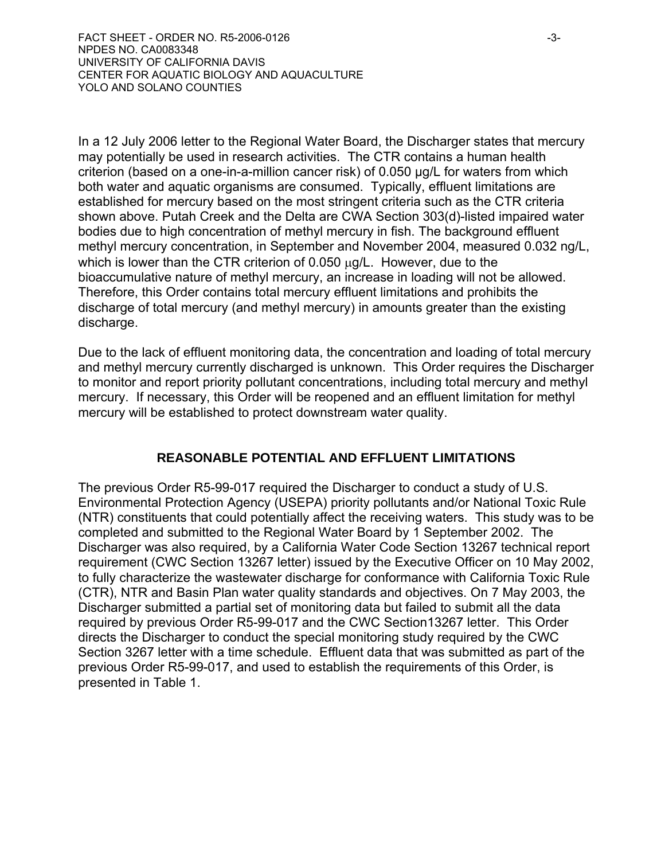In a 12 July 2006 letter to the Regional Water Board, the Discharger states that mercury may potentially be used in research activities. The CTR contains a human health criterion (based on a one-in-a-million cancer risk) of 0.050 µg/L for waters from which both water and aquatic organisms are consumed. Typically, effluent limitations are established for mercury based on the most stringent criteria such as the CTR criteria shown above. Putah Creek and the Delta are CWA Section 303(d)-listed impaired water bodies due to high concentration of methyl mercury in fish. The background effluent methyl mercury concentration, in September and November 2004, measured 0.032 ng/L, which is lower than the CTR criterion of 0.050  $\mu$ g/L. However, due to the bioaccumulative nature of methyl mercury, an increase in loading will not be allowed. Therefore, this Order contains total mercury effluent limitations and prohibits the discharge of total mercury (and methyl mercury) in amounts greater than the existing discharge.

Due to the lack of effluent monitoring data, the concentration and loading of total mercury and methyl mercury currently discharged is unknown. This Order requires the Discharger to monitor and report priority pollutant concentrations, including total mercury and methyl mercury. If necessary, this Order will be reopened and an effluent limitation for methyl mercury will be established to protect downstream water quality.

# **REASONABLE POTENTIAL AND EFFLUENT LIMITATIONS**

The previous Order R5-99-017 required the Discharger to conduct a study of U.S. Environmental Protection Agency (USEPA) priority pollutants and/or National Toxic Rule (NTR) constituents that could potentially affect the receiving waters. This study was to be completed and submitted to the Regional Water Board by 1 September 2002. The Discharger was also required, by a California Water Code Section 13267 technical report requirement (CWC Section 13267 letter) issued by the Executive Officer on 10 May 2002, to fully characterize the wastewater discharge for conformance with California Toxic Rule (CTR), NTR and Basin Plan water quality standards and objectives. On 7 May 2003, the Discharger submitted a partial set of monitoring data but failed to submit all the data required by previous Order R5-99-017 and the CWC Section13267 letter. This Order directs the Discharger to conduct the special monitoring study required by the CWC Section 3267 letter with a time schedule. Effluent data that was submitted as part of the previous Order R5-99-017, and used to establish the requirements of this Order, is presented in Table 1.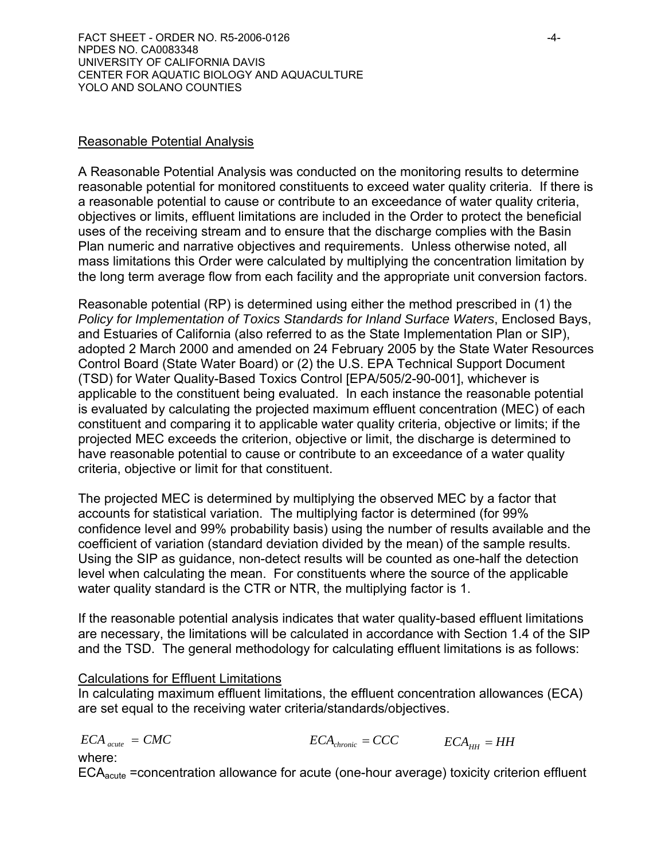#### Reasonable Potential Analysis

A Reasonable Potential Analysis was conducted on the monitoring results to determine reasonable potential for monitored constituents to exceed water quality criteria. If there is a reasonable potential to cause or contribute to an exceedance of water quality criteria, objectives or limits, effluent limitations are included in the Order to protect the beneficial uses of the receiving stream and to ensure that the discharge complies with the Basin Plan numeric and narrative objectives and requirements. Unless otherwise noted, all mass limitations this Order were calculated by multiplying the concentration limitation by the long term average flow from each facility and the appropriate unit conversion factors.

Reasonable potential (RP) is determined using either the method prescribed in (1) the *Policy for Implementation of Toxics Standards for Inland Surface Waters*, Enclosed Bays, and Estuaries of California (also referred to as the State Implementation Plan or SIP), adopted 2 March 2000 and amended on 24 February 2005 by the State Water Resources Control Board (State Water Board) or (2) the U.S. EPA Technical Support Document (TSD) for Water Quality-Based Toxics Control [EPA/505/2-90-001], whichever is applicable to the constituent being evaluated. In each instance the reasonable potential is evaluated by calculating the projected maximum effluent concentration (MEC) of each constituent and comparing it to applicable water quality criteria, objective or limits; if the projected MEC exceeds the criterion, objective or limit, the discharge is determined to have reasonable potential to cause or contribute to an exceedance of a water quality criteria, objective or limit for that constituent.

The projected MEC is determined by multiplying the observed MEC by a factor that accounts for statistical variation. The multiplying factor is determined (for 99% confidence level and 99% probability basis) using the number of results available and the coefficient of variation (standard deviation divided by the mean) of the sample results. Using the SIP as guidance, non-detect results will be counted as one-half the detection level when calculating the mean. For constituents where the source of the applicable water quality standard is the CTR or NTR, the multiplying factor is 1.

If the reasonable potential analysis indicates that water quality-based effluent limitations are necessary, the limitations will be calculated in accordance with Section 1.4 of the SIP and the TSD. The general methodology for calculating effluent limitations is as follows:

### Calculations for Effluent Limitations

In calculating maximum effluent limitations, the effluent concentration allowances (ECA) are set equal to the receiving water criteria/standards/objectives.

$$
ECA_{acute} = CMC
$$
 
$$
ECA_{chromic} = CCC
$$
 
$$
ECA_{HH} = HH
$$

where:

 $ECA<sub>acute</sub>$  =concentration allowance for acute (one-hour average) toxicity criterion effluent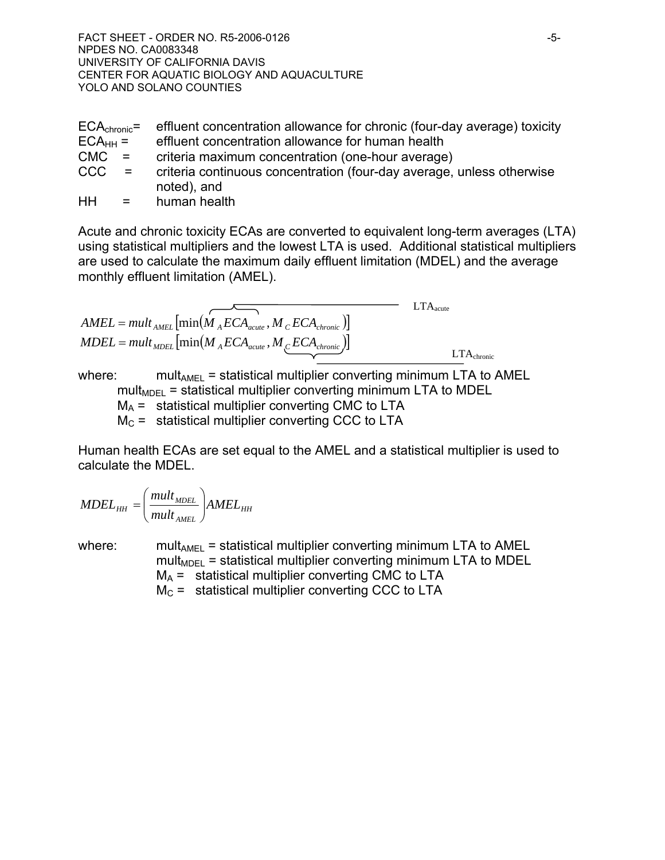FACT SHEET - ORDER NO. R5-2006-0126 NPDES NO. CA0083348 UNIVERSITY OF CALIFORNIA DAVIS CENTER FOR AQUATIC BIOLOGY AND AQUACULTURE YOLO AND SOLANO COUNTIES

|              | $ECA_{\text{chronic}}$ = effluent concentration allowance for chronic (four-day average) toxicity |
|--------------|---------------------------------------------------------------------------------------------------|
| $ECA_{HH} =$ | effluent concentration allowance for human health                                                 |
| $CMC =$      | criteria maximum concentration (one-hour average)                                                 |
| $CCC =$      | criteria continuous concentration (four-day average, unless otherwise                             |
|              | noted), and                                                                                       |

HH = human health

Acute and chronic toxicity ECAs are converted to equivalent long-term averages (LTA) using statistical multipliers and the lowest LTA is used. Additional statistical multipliers are used to calculate the maximum daily effluent limitation (MDEL) and the average monthly effluent limitation (AMEL).

| $AMEL = mult_{AMEL} \left[ min(M_{A}ECA_{acute}, M_{C}ECA_{chronic}) \right]$ | $LTA_{acute}$   |
|-------------------------------------------------------------------------------|-----------------|
| $MDEL = mult_{MDEL} \left[ min(M_{A}ECA_{acute}, M_{C}ECA_{chronic}) \right]$ | $LTA_{chronic}$ |

where:  $mult_{AMEL}$  = statistical multiplier converting minimum LTA to AMEL  $mult<sub>MDFI</sub>$  = statistical multiplier converting minimum LTA to MDEL  $M_A$  = statistical multiplier converting CMC to LTA  $M<sub>C</sub>$  = statistical multiplier converting CCC to LTA

Human health ECAs are set equal to the AMEL and a statistical multiplier is used to calculate the MDEL.

$$
MDEL_{HH} = \left(\frac{mult_{MDEL}}{mult_{AMEL}}\right) AMEL_{HH}
$$

where: mult<sub>AMEL</sub> = statistical multiplier converting minimum LTA to AMEL  $mult<sub>MDFI</sub>$  = statistical multiplier converting minimum LTA to MDEL  $M_A$  = statistical multiplier converting CMC to LTA  $M<sub>C</sub>$  = statistical multiplier converting CCC to LTA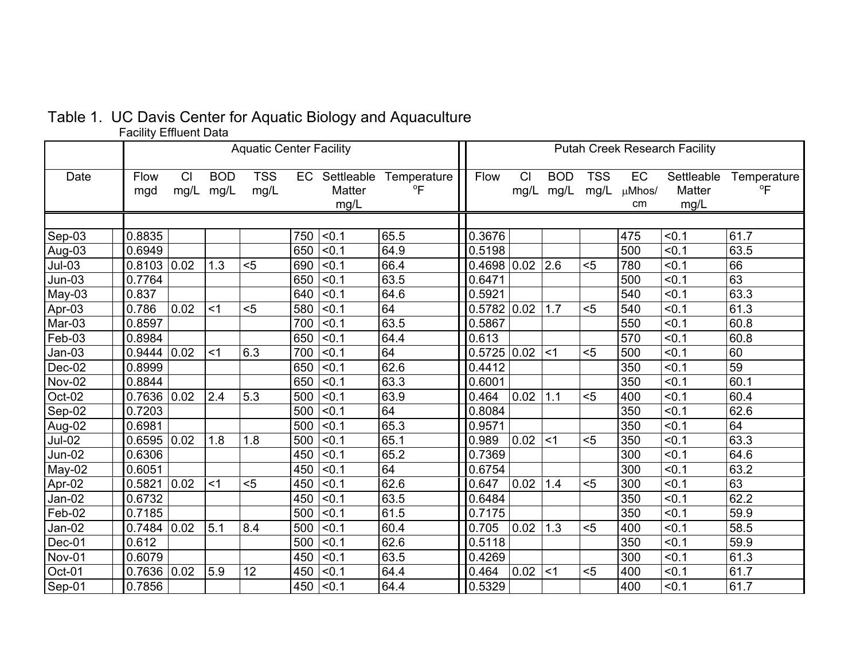# Table 1. UC Davis Center for Aquatic Biology and Aquaculture

Facility Effluent Data

|               | <b>Aquatic Center Facility</b> |            |                    |                    |     |                                 | <b>Putah Creek Research Facility</b> |                   |            |                    |                    |                           |                              |                               |
|---------------|--------------------------------|------------|--------------------|--------------------|-----|---------------------------------|--------------------------------------|-------------------|------------|--------------------|--------------------|---------------------------|------------------------------|-------------------------------|
| Date          | Flow<br>mgd                    | CI<br>mg/L | <b>BOD</b><br>mg/L | <b>TSS</b><br>mg/L |     | EC Settleable<br>Matter<br>mg/L | Temperature<br>$\mathrm{P}$          | Flow              | CI<br>mg/L | <b>BOD</b><br>mg/L | <b>TSS</b><br>mg/L | <b>EC</b><br>µMhos/<br>cm | Settleable<br>Matter<br>mg/L | Temperature<br>$\overline{P}$ |
|               |                                |            |                    |                    |     |                                 |                                      |                   |            |                    |                    |                           |                              |                               |
| Sep-03        | 0.8835                         |            |                    |                    | 750 | < 0.1                           | 65.5                                 | 0.3676            |            |                    |                    | 475                       | < 0.1                        | 61.7                          |
| Aug-03        | 0.6949                         |            |                    |                    | 650 | < 0.1                           | 64.9                                 | 0.5198            |            |                    |                    | 500                       | < 0.1                        | 63.5                          |
| $Jul-03$      | $0.8103$ 0.02                  |            | 1.3                | $5$                | 690 | < 0.1                           | 66.4                                 | $0.4698$ 0.02 2.6 |            |                    | $5$                | 780                       | < 0.1                        | 66                            |
| $Jun-03$      | 0.7764                         |            |                    |                    | 650 | < 0.1                           | 63.5                                 | 0.6471            |            |                    |                    | 500                       | < 0.1                        | 63                            |
| May-03        | 0.837                          |            |                    |                    | 640 | < 0.1                           | 64.6                                 | 0.5921            |            |                    |                    | 540                       | < 0.1                        | 63.3                          |
| Apr-03        | 0.786                          | 0.02       | $<$ 1              | $5$                | 580 | < 0.1                           | 64                                   | 0.5782   0.02     |            | 1.7                | $5$                | 540                       | < 0.1                        | 61.3                          |
| Mar-03        | 0.8597                         |            |                    |                    | 700 | < 0.1                           | 63.5                                 | 0.5867            |            |                    |                    | 550                       | < 0.1                        | 60.8                          |
| Feb-03        | 0.8984                         |            |                    |                    | 650 | < 0.1                           | 64.4                                 | 0.613             |            |                    |                    | 570                       | < 0.1                        | 60.8                          |
| Jan-03        | 0.9444                         | 0.02       | $<$ 1              | 6.3                | 700 | < 0.1                           | 64                                   | 0.5725   0.02     |            | < 1                | $5$                | 500                       | < 0.1                        | 60                            |
| Dec-02        | 0.8999                         |            |                    |                    | 650 | < 0.1                           | 62.6                                 | 0.4412            |            |                    |                    | 350                       | < 0.1                        | 59                            |
| <b>Nov-02</b> | 0.8844                         |            |                    |                    | 650 | < 0.1                           | 63.3                                 | 0.6001            |            |                    |                    | 350                       | < 0.1                        | 60.1                          |
| Oct-02        | 0.7636                         | 0.02       | 2.4                | 5.3                | 500 | < 0.1                           | 63.9                                 | 0.464             | 0.02       | 1.1                | $5$                | 400                       | < 0.1                        | 60.4                          |
| Sep-02        | 0.7203                         |            |                    |                    | 500 | < 0.1                           | 64                                   | 0.8084            |            |                    |                    | 350                       | < 0.1                        | 62.6                          |
| Aug-02        | 0.6981                         |            |                    |                    | 500 | < 0.1                           | 65.3                                 | 0.9571            |            |                    |                    | 350                       | < 0.1                        | 64                            |
| <b>Jul-02</b> | 0.6595                         | 0.02       | 1.8                | 1.8                | 500 | < 0.1                           | 65.1                                 | 0.989             | 0.02 <1    |                    | $5$                | 350                       | < 0.1                        | 63.3                          |
| $Jun-02$      | 0.6306                         |            |                    |                    | 450 | < 0.1                           | 65.2                                 | 0.7369            |            |                    |                    | 300                       | < 0.1                        | 64.6                          |
| May-02        | 0.6051                         |            |                    |                    | 450 | < 0.1                           | 64                                   | 0.6754            |            |                    |                    | 300                       | < 0.1                        | 63.2                          |
| Apr-02        | 0.5821                         | 0.02       | $<$ 1              | $5$                | 450 | < 0.1                           | 62.6                                 | 0.647             | 0.02       | 1.4                | $5$                | 300                       | < 0.1                        | 63                            |
| Jan-02        | 0.6732                         |            |                    |                    | 450 | < 0.1                           | 63.5                                 | 0.6484            |            |                    |                    | 350                       | < 0.1                        | 62.2                          |
| Feb-02        | 0.7185                         |            |                    |                    | 500 | < 0.1                           | 61.5                                 | 0.7175            |            |                    |                    | 350                       | < 0.1                        | 59.9                          |
| Jan-02        | $0.7484$ 0.02                  |            | 5.1                | 8.4                | 500 | < 0.1                           | 60.4                                 | 0.705             | 0.02       | 1.3                | $5$                | 400                       | < 0.1                        | 58.5                          |
| Dec-01        | 0.612                          |            |                    |                    | 500 | < 0.1                           | 62.6                                 | 0.5118            |            |                    |                    | 350                       | < 0.1                        | 59.9                          |
| <b>Nov-01</b> | 0.6079                         |            |                    |                    | 450 | < 0.1                           | 63.5                                 | 0.4269            |            |                    |                    | 300                       | < 0.1                        | 61.3                          |
| Oct-01        | 0.7636                         | 0.02       | 5.9                | 12                 | 450 | < 0.1                           | 64.4                                 | 0.464             | 0.02       | $<$ 1              | $5$                | 400                       | < 0.1                        | 61.7                          |
| Sep-01        | 0.7856                         |            |                    |                    | 450 | < 0.1                           | 64.4                                 | 0.5329            |            |                    |                    | 400                       | < 0.1                        | 61.7                          |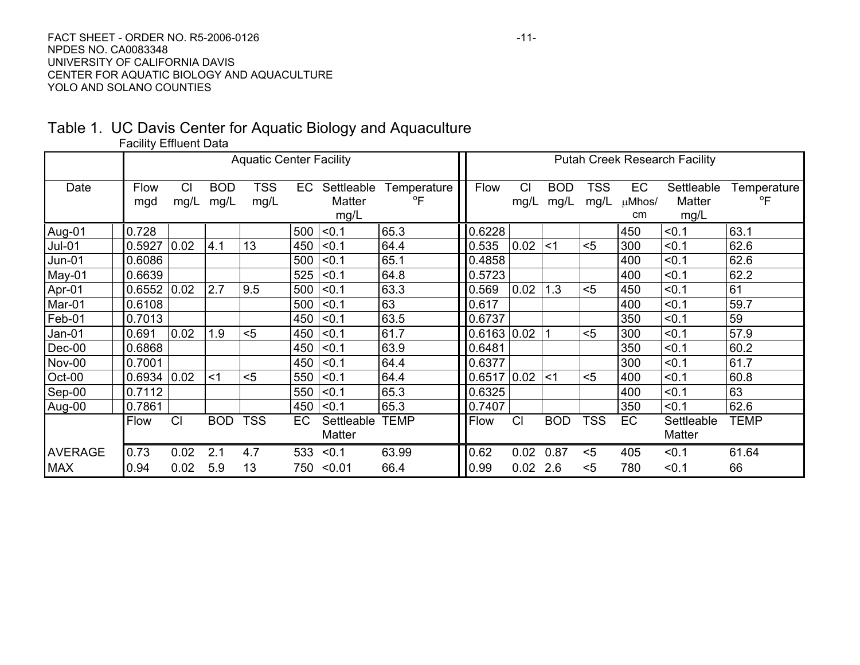#### FACT SHEET - ORDER NO. R5-2006-0126 NPDES NO. CA0083348 UNIVERSITY OF CALIFORNIA DAVIS CENTER FOR AQUATIC BIOLOGY AND AQUACULTURE YOLO AND SOLANO COUNTIES

## Table 1. UC Davis Center for Aquatic Biology and Aquaculture Facility Effluent Data

|                | <b>Aquatic Center Facility</b> |            |                    |             |     |                              | <b>Putah Creek Research Facility</b> |  |               |                   |                    |             |                    |                              |                   |
|----------------|--------------------------------|------------|--------------------|-------------|-----|------------------------------|--------------------------------------|--|---------------|-------------------|--------------------|-------------|--------------------|------------------------------|-------------------|
| Date           | Flow<br>mgd                    | CI<br>mg/L | <b>BOD</b><br>mg/L | TSS<br>mg/L | EC  | Settleable<br>Matter<br>mg/L | Temperature<br>$\overline{P}$        |  | Flow          | <b>CI</b><br>mg/L | <b>BOD</b><br>mg/L | TSS<br>mg/L | EC<br>µMhos/<br>cm | Settleable<br>Matter<br>mg/L | Temperature<br>°F |
| Aug-01         | 0.728                          |            |                    |             | 500 | < 0.1                        | 65.3                                 |  | 0.6228        |                   |                    |             | 450                | < 0.1                        | 63.1              |
| <b>Jul-01</b>  | 0.5927                         | 0.02       | 4.1                | 13          | 450 | < 0.1                        | 64.4                                 |  | 0.535         | 0.02              | $<$ 1              | $5$         | 300                | < 0.1                        | 62.6              |
| Jun-01         | 0.6086                         |            |                    |             | 500 | < 0.1                        | 65.1                                 |  | 0.4858        |                   |                    |             | 400                | < 0.1                        | 62.6              |
| May-01         | 0.6639                         |            |                    |             | 525 | < 0.1                        | 64.8                                 |  | 0.5723        |                   |                    |             | 400                | < 0.1                        | 62.2              |
| Apr-01         | 0.6552                         | 0.02       | 2.7                | 9.5         | 500 | < 0.1                        | 63.3                                 |  | 0.569         | 0.02              | 1.3                | $5$         | 450                | < 0.1                        | 61                |
| Mar-01         | 0.6108                         |            |                    |             | 500 | < 0.1                        | 63                                   |  | 0.617         |                   |                    |             | 400                | < 0.1                        | 59.7              |
| Feb-01         | 0.7013                         |            |                    |             | 450 | < 0.1                        | 63.5                                 |  | 0.6737        |                   |                    |             | 350                | < 0.1                        | 59                |
| Jan-01         | 0.691                          | 0.02       | 1.9                | $5$         | 450 | < 0.1                        | 61.7                                 |  | 0.6163   0.02 |                   |                    | $5$         | 300                | < 0.1                        | 57.9              |
| Dec-00         | 0.6868                         |            |                    |             | 450 | < 0.1                        | 63.9                                 |  | 0.6481        |                   |                    |             | 350                | < 0.1                        | 60.2              |
| Nov-00         | 0.7001                         |            |                    |             | 450 | < 0.1                        | 64.4                                 |  | 0.6377        |                   |                    |             | 300                | < 0.1                        | 61.7              |
| Oct-00         | 0.6934                         | 0.02       | $<$ 1              | $5$         | 550 | < 0.1                        | 64.4                                 |  | 0.6517        | 0.02              | $<$ 1              | $5$         | 400                | < 0.1                        | 60.8              |
| Sep-00         | 0.7112                         |            |                    |             | 550 | < 0.1                        | 65.3                                 |  | 0.6325        |                   |                    |             | 400                | < 0.1                        | 63                |
| Aug-00         | 0.7861                         |            |                    |             | 450 | < 0.1                        | 65.3                                 |  | 0.7407        |                   |                    |             | 350                | < 0.1                        | 62.6              |
|                | Flow                           | CI         | <b>BOD</b>         | <b>TSS</b>  | EC  | Settleable<br>Matter         | TEMP                                 |  | Flow          | CI                | <b>BOD</b>         | <b>TSS</b>  | EC                 | Settleable<br>Matter         | <b>TEMP</b>       |
| <b>AVERAGE</b> | 0.73                           | 0.02       | 2.1                | 4.7         | 533 | < 0.1                        | 63.99                                |  | 0.62          | 0.02              | 0.87               | $5$         | 405                | < 0.1                        | 61.64             |
| <b>MAX</b>     | 0.94                           | 0.02       | 5.9                | 13          | 750 | < 0.01                       | 66.4                                 |  | 0.99          | 0.02              | 2.6                | $5$         | 780                | < 0.1                        | 66                |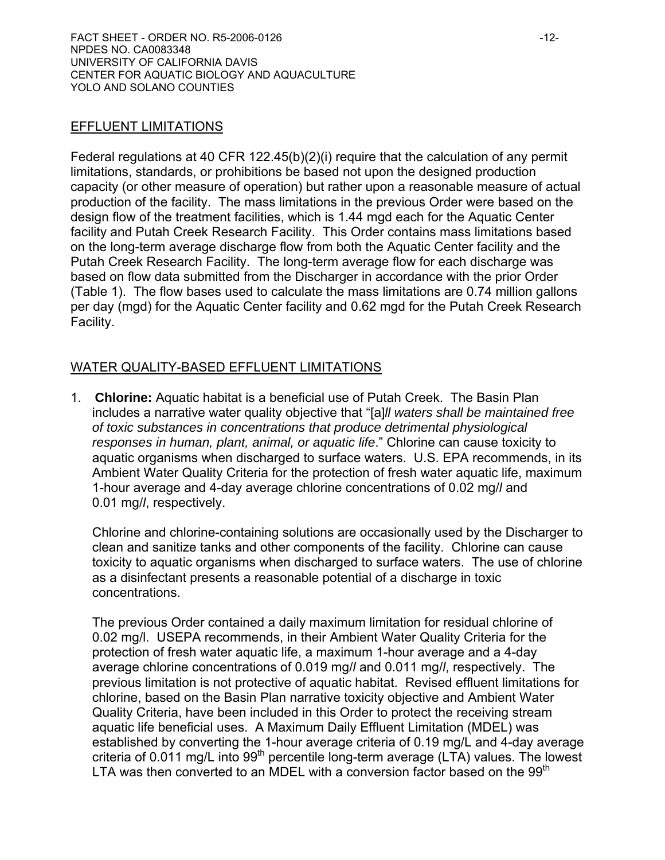#### EFFLUENT LIMITATIONS

Federal regulations at 40 CFR 122.45(b)(2)(i) require that the calculation of any permit limitations, standards, or prohibitions be based not upon the designed production capacity (or other measure of operation) but rather upon a reasonable measure of actual production of the facility. The mass limitations in the previous Order were based on the design flow of the treatment facilities, which is 1.44 mgd each for the Aquatic Center facility and Putah Creek Research Facility. This Order contains mass limitations based on the long-term average discharge flow from both the Aquatic Center facility and the Putah Creek Research Facility. The long-term average flow for each discharge was based on flow data submitted from the Discharger in accordance with the prior Order (Table 1). The flow bases used to calculate the mass limitations are 0.74 million gallons per day (mgd) for the Aquatic Center facility and 0.62 mgd for the Putah Creek Research Facility.

## WATER QUALITY-BASED EFFLUENT LIMITATIONS

1. **Chlorine:** Aquatic habitat is a beneficial use of Putah Creek. The Basin Plan includes a narrative water quality objective that "[a]*ll waters shall be maintained free of toxic substances in concentrations that produce detrimental physiological responses in human, plant, animal, or aquatic life*." Chlorine can cause toxicity to aquatic organisms when discharged to surface waters. U.S. EPA recommends, in its Ambient Water Quality Criteria for the protection of fresh water aquatic life, maximum 1-hour average and 4-day average chlorine concentrations of 0.02 mg/*l* and 0.01 mg/*l*, respectively.

Chlorine and chlorine-containing solutions are occasionally used by the Discharger to clean and sanitize tanks and other components of the facility. Chlorine can cause toxicity to aquatic organisms when discharged to surface waters. The use of chlorine as a disinfectant presents a reasonable potential of a discharge in toxic concentrations.

The previous Order contained a daily maximum limitation for residual chlorine of 0.02 mg/l. USEPA recommends, in their Ambient Water Quality Criteria for the protection of fresh water aquatic life, a maximum 1-hour average and a 4-day average chlorine concentrations of 0.019 mg/*l* and 0.011 mg/*l*, respectively. The previous limitation is not protective of aquatic habitat. Revised effluent limitations for chlorine, based on the Basin Plan narrative toxicity objective and Ambient Water Quality Criteria, have been included in this Order to protect the receiving stream aquatic life beneficial uses. A Maximum Daily Effluent Limitation (MDEL) was established by converting the 1-hour average criteria of 0.19 mg/L and 4-day average criteria of 0.011 mg/L into  $99<sup>th</sup>$  percentile long-term average (LTA) values. The lowest LTA was then converted to an MDEL with a conversion factor based on the  $99<sup>th</sup>$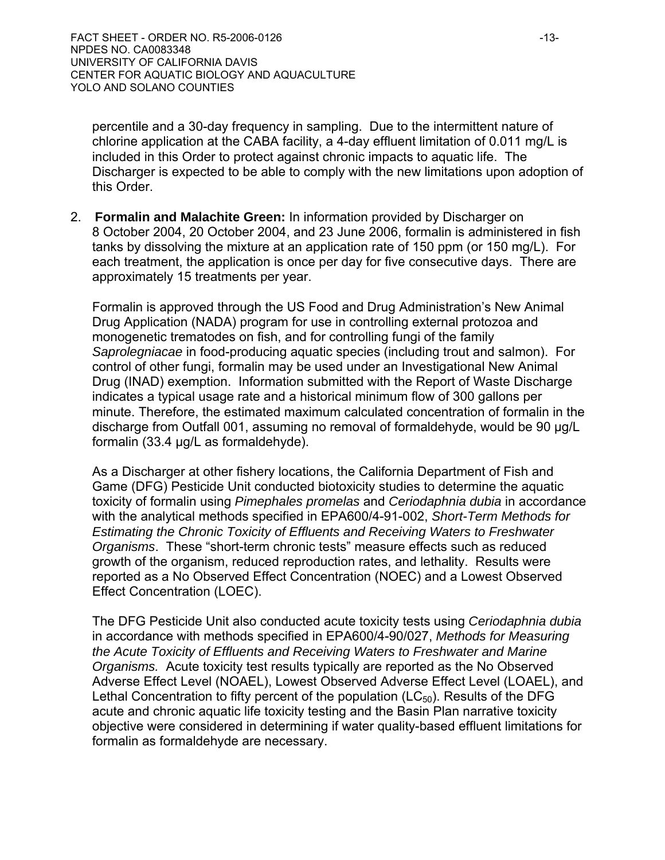percentile and a 30-day frequency in sampling. Due to the intermittent nature of chlorine application at the CABA facility, a 4-day effluent limitation of 0.011 mg/L is included in this Order to protect against chronic impacts to aquatic life. The Discharger is expected to be able to comply with the new limitations upon adoption of this Order.

2. **Formalin and Malachite Green:** In information provided by Discharger on 8 October 2004, 20 October 2004, and 23 June 2006, formalin is administered in fish tanks by dissolving the mixture at an application rate of 150 ppm (or 150 mg/L). For each treatment, the application is once per day for five consecutive days. There are approximately 15 treatments per year.

Formalin is approved through the US Food and Drug Administration's New Animal Drug Application (NADA) program for use in controlling external protozoa and monogenetic trematodes on fish, and for controlling fungi of the family *Saprolegniacae* in food-producing aquatic species (including trout and salmon). For control of other fungi, formalin may be used under an Investigational New Animal Drug (INAD) exemption. Information submitted with the Report of Waste Discharge indicates a typical usage rate and a historical minimum flow of 300 gallons per minute. Therefore, the estimated maximum calculated concentration of formalin in the discharge from Outfall 001, assuming no removal of formaldehyde, would be 90 μg/L formalin (33.4 μg/L as formaldehyde).

As a Discharger at other fishery locations, the California Department of Fish and Game (DFG) Pesticide Unit conducted biotoxicity studies to determine the aquatic toxicity of formalin using *Pimephales promelas* and *Ceriodaphnia dubia* in accordance with the analytical methods specified in EPA600/4-91-002, *Short-Term Methods for Estimating the Chronic Toxicity of Effluents and Receiving Waters to Freshwater Organisms*. These "short-term chronic tests" measure effects such as reduced growth of the organism, reduced reproduction rates, and lethality. Results were reported as a No Observed Effect Concentration (NOEC) and a Lowest Observed Effect Concentration (LOEC).

The DFG Pesticide Unit also conducted acute toxicity tests using *Ceriodaphnia dubia* in accordance with methods specified in EPA600/4-90/027, *Methods for Measuring the Acute Toxicity of Effluents and Receiving Waters to Freshwater and Marine Organisms.* Acute toxicity test results typically are reported as the No Observed Adverse Effect Level (NOAEL), Lowest Observed Adverse Effect Level (LOAEL), and Lethal Concentration to fifty percent of the population  $(LC_{50})$ . Results of the DFG acute and chronic aquatic life toxicity testing and the Basin Plan narrative toxicity objective were considered in determining if water quality-based effluent limitations for formalin as formaldehyde are necessary.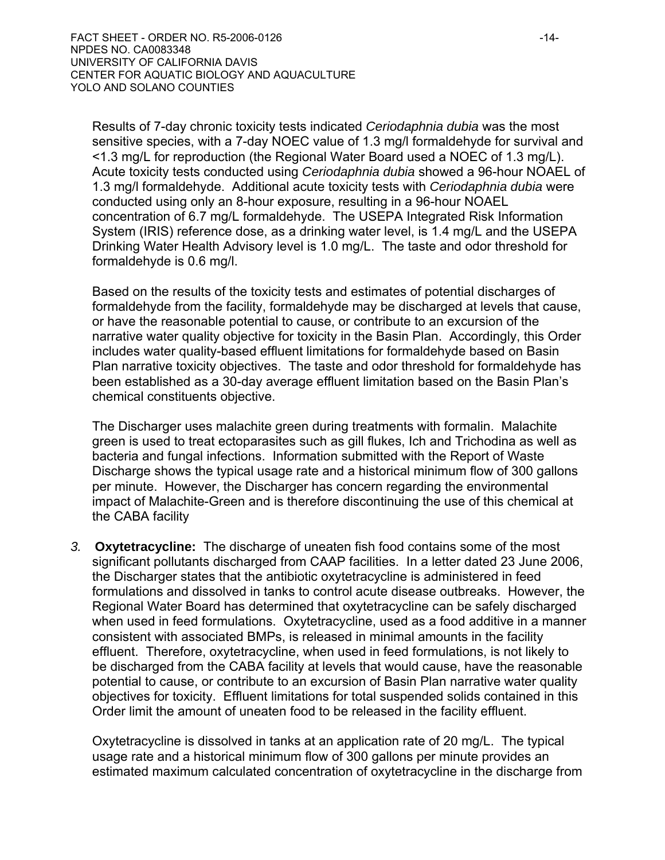Results of 7-day chronic toxicity tests indicated *Ceriodaphnia dubia* was the most sensitive species, with a 7-day NOEC value of 1.3 mg/l formaldehyde for survival and <1.3 mg/L for reproduction (the Regional Water Board used a NOEC of 1.3 mg/L). Acute toxicity tests conducted using *Ceriodaphnia dubia* showed a 96-hour NOAEL of 1.3 mg/l formaldehyde. Additional acute toxicity tests with *Ceriodaphnia dubia* were conducted using only an 8-hour exposure, resulting in a 96-hour NOAEL concentration of 6.7 mg/L formaldehyde. The USEPA Integrated Risk Information System (IRIS) reference dose, as a drinking water level, is 1.4 mg/L and the USEPA Drinking Water Health Advisory level is 1.0 mg/L. The taste and odor threshold for formaldehyde is 0.6 mg/l.

Based on the results of the toxicity tests and estimates of potential discharges of formaldehyde from the facility, formaldehyde may be discharged at levels that cause, or have the reasonable potential to cause, or contribute to an excursion of the narrative water quality objective for toxicity in the Basin Plan. Accordingly, this Order includes water quality-based effluent limitations for formaldehyde based on Basin Plan narrative toxicity objectives. The taste and odor threshold for formaldehyde has been established as a 30-day average effluent limitation based on the Basin Plan's chemical constituents objective.

The Discharger uses malachite green during treatments with formalin. Malachite green is used to treat ectoparasites such as gill flukes, Ich and Trichodina as well as bacteria and fungal infections. Information submitted with the Report of Waste Discharge shows the typical usage rate and a historical minimum flow of 300 gallons per minute. However, the Discharger has concern regarding the environmental impact of Malachite-Green and is therefore discontinuing the use of this chemical at the CABA facility

*3.* **Oxytetracycline:** The discharge of uneaten fish food contains some of the most significant pollutants discharged from CAAP facilities. In a letter dated 23 June 2006, the Discharger states that the antibiotic oxytetracycline is administered in feed formulations and dissolved in tanks to control acute disease outbreaks. However, the Regional Water Board has determined that oxytetracycline can be safely discharged when used in feed formulations. Oxytetracycline, used as a food additive in a manner consistent with associated BMPs, is released in minimal amounts in the facility effluent. Therefore, oxytetracycline, when used in feed formulations, is not likely to be discharged from the CABA facility at levels that would cause, have the reasonable potential to cause, or contribute to an excursion of Basin Plan narrative water quality objectives for toxicity. Effluent limitations for total suspended solids contained in this Order limit the amount of uneaten food to be released in the facility effluent.

Oxytetracycline is dissolved in tanks at an application rate of 20 mg/L. The typical usage rate and a historical minimum flow of 300 gallons per minute provides an estimated maximum calculated concentration of oxytetracycline in the discharge from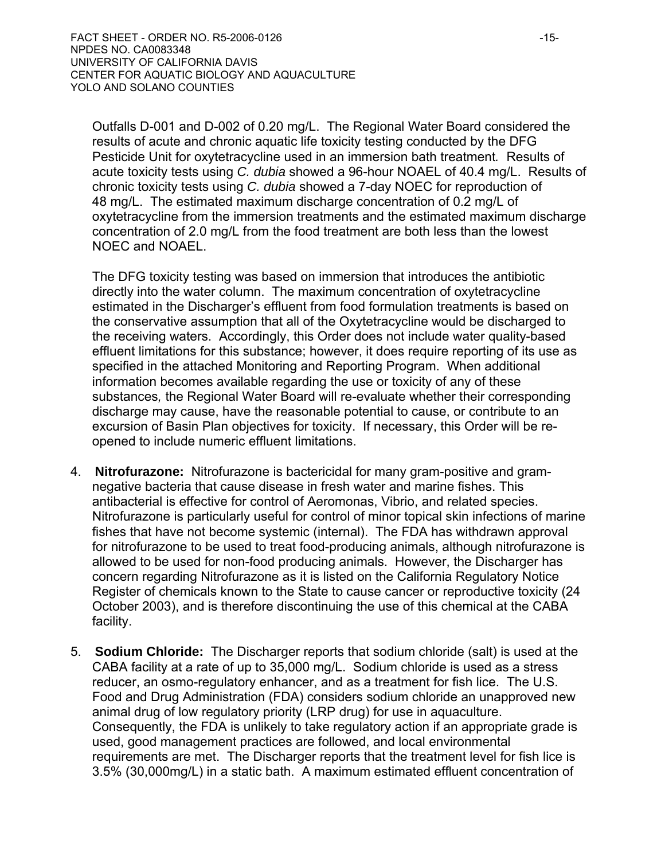Outfalls D-001 and D-002 of 0.20 mg/L. The Regional Water Board considered the results of acute and chronic aquatic life toxicity testing conducted by the DFG Pesticide Unit for oxytetracycline used in an immersion bath treatment*.* Results of acute toxicity tests using *C. dubia* showed a 96-hour NOAEL of 40.4 mg/L. Results of chronic toxicity tests using *C. dubia* showed a 7-day NOEC for reproduction of 48 mg/L. The estimated maximum discharge concentration of 0.2 mg/L of oxytetracycline from the immersion treatments and the estimated maximum discharge concentration of 2.0 mg/L from the food treatment are both less than the lowest NOEC and NOAEL.

The DFG toxicity testing was based on immersion that introduces the antibiotic directly into the water column. The maximum concentration of oxytetracycline estimated in the Discharger's effluent from food formulation treatments is based on the conservative assumption that all of the Oxytetracycline would be discharged to the receiving waters. Accordingly, this Order does not include water quality-based effluent limitations for this substance; however, it does require reporting of its use as specified in the attached Monitoring and Reporting Program. When additional information becomes available regarding the use or toxicity of any of these substances*,* the Regional Water Board will re-evaluate whether their corresponding discharge may cause, have the reasonable potential to cause, or contribute to an excursion of Basin Plan objectives for toxicity. If necessary, this Order will be reopened to include numeric effluent limitations.

- 4. **Nitrofurazone:** Nitrofurazone is bactericidal for many gram-positive and gramnegative bacteria that cause disease in fresh water and marine fishes. This antibacterial is effective for control of Aeromonas, Vibrio, and related species. Nitrofurazone is particularly useful for control of minor topical skin infections of marine fishes that have not become systemic (internal). The FDA has withdrawn approval for nitrofurazone to be used to treat food-producing animals, although nitrofurazone is allowed to be used for non-food producing animals. However, the Discharger has concern regarding Nitrofurazone as it is listed on the California Regulatory Notice Register of chemicals known to the State to cause cancer or reproductive toxicity (24 October 2003), and is therefore discontinuing the use of this chemical at the CABA facility.
- 5. **Sodium Chloride:** The Discharger reports that sodium chloride (salt) is used at the CABA facility at a rate of up to 35,000 mg/L. Sodium chloride is used as a stress reducer, an osmo-regulatory enhancer, and as a treatment for fish lice. The U.S. Food and Drug Administration (FDA) considers sodium chloride an unapproved new animal drug of low regulatory priority (LRP drug) for use in aquaculture. Consequently, the FDA is unlikely to take regulatory action if an appropriate grade is used, good management practices are followed, and local environmental requirements are met. The Discharger reports that the treatment level for fish lice is 3.5% (30,000mg/L) in a static bath. A maximum estimated effluent concentration of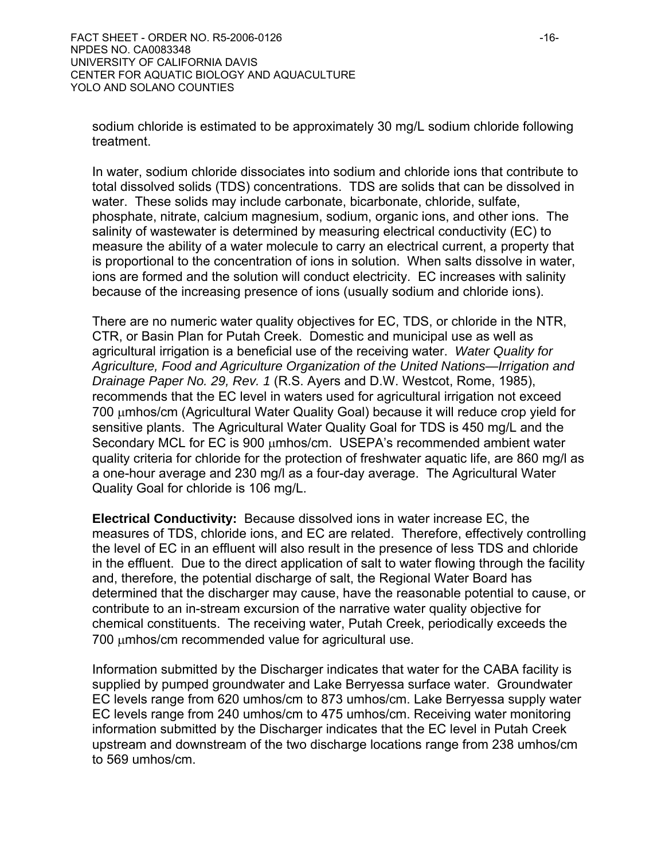sodium chloride is estimated to be approximately 30 mg/L sodium chloride following treatment.

In water, sodium chloride dissociates into sodium and chloride ions that contribute to total dissolved solids (TDS) concentrations. TDS are solids that can be dissolved in water. These solids may include carbonate, bicarbonate, chloride, sulfate, phosphate, nitrate, calcium magnesium, sodium, organic ions, and other ions. The salinity of wastewater is determined by measuring electrical conductivity (EC) to measure the ability of a water molecule to carry an electrical current, a property that is proportional to the concentration of ions in solution. When salts dissolve in water, ions are formed and the solution will conduct electricity. EC increases with salinity because of the increasing presence of ions (usually sodium and chloride ions).

There are no numeric water quality objectives for EC, TDS, or chloride in the NTR, CTR, or Basin Plan for Putah Creek. Domestic and municipal use as well as agricultural irrigation is a beneficial use of the receiving water. *Water Quality for Agriculture, Food and Agriculture Organization of the United Nations—Irrigation and Drainage Paper No. 29, Rev. 1* (R.S. Ayers and D.W. Westcot, Rome, 1985), recommends that the EC level in waters used for agricultural irrigation not exceed 700 μmhos/cm (Agricultural Water Quality Goal) because it will reduce crop yield for sensitive plants. The Agricultural Water Quality Goal for TDS is 450 mg/L and the Secondary MCL for EC is 900 μmhos/cm. USEPA's recommended ambient water quality criteria for chloride for the protection of freshwater aquatic life, are 860 mg/l as a one-hour average and 230 mg/l as a four-day average. The Agricultural Water Quality Goal for chloride is 106 mg/L.

**Electrical Conductivity:** Because dissolved ions in water increase EC, the measures of TDS, chloride ions, and EC are related. Therefore, effectively controlling the level of EC in an effluent will also result in the presence of less TDS and chloride in the effluent. Due to the direct application of salt to water flowing through the facility and, therefore, the potential discharge of salt, the Regional Water Board has determined that the discharger may cause, have the reasonable potential to cause, or contribute to an in-stream excursion of the narrative water quality objective for chemical constituents. The receiving water, Putah Creek, periodically exceeds the 700 μmhos/cm recommended value for agricultural use.

Information submitted by the Discharger indicates that water for the CABA facility is supplied by pumped groundwater and Lake Berryessa surface water. Groundwater EC levels range from 620 umhos/cm to 873 umhos/cm. Lake Berryessa supply water EC levels range from 240 umhos/cm to 475 umhos/cm. Receiving water monitoring information submitted by the Discharger indicates that the EC level in Putah Creek upstream and downstream of the two discharge locations range from 238 umhos/cm to 569 umhos/cm.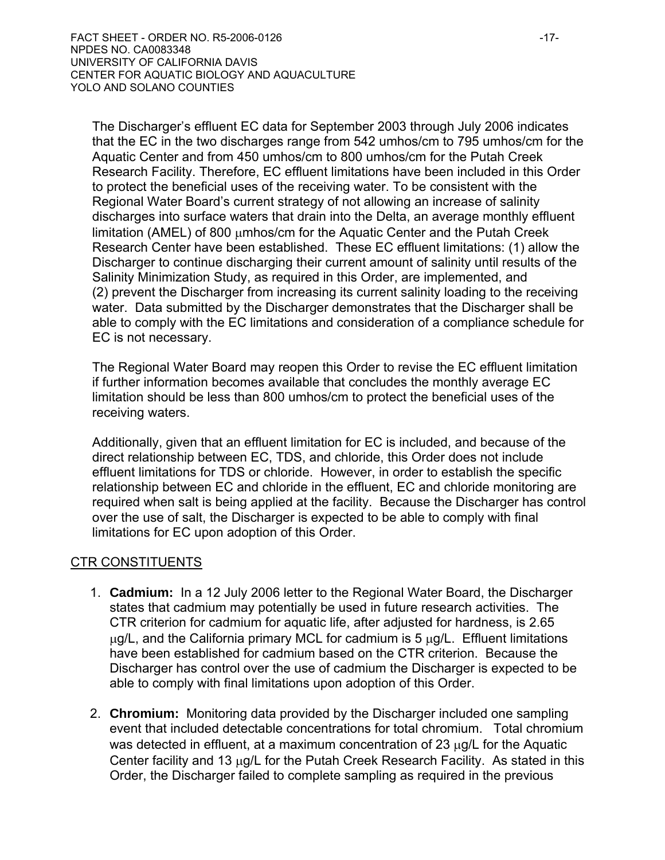The Discharger's effluent EC data for September 2003 through July 2006 indicates that the EC in the two discharges range from 542 umhos/cm to 795 umhos/cm for the Aquatic Center and from 450 umhos/cm to 800 umhos/cm for the Putah Creek Research Facility. Therefore, EC effluent limitations have been included in this Order to protect the beneficial uses of the receiving water. To be consistent with the Regional Water Board's current strategy of not allowing an increase of salinity discharges into surface waters that drain into the Delta, an average monthly effluent limitation (AMEL) of 800 μmhos/cm for the Aquatic Center and the Putah Creek Research Center have been established. These EC effluent limitations: (1) allow the Discharger to continue discharging their current amount of salinity until results of the Salinity Minimization Study, as required in this Order, are implemented, and (2) prevent the Discharger from increasing its current salinity loading to the receiving water. Data submitted by the Discharger demonstrates that the Discharger shall be able to comply with the EC limitations and consideration of a compliance schedule for EC is not necessary.

The Regional Water Board may reopen this Order to revise the EC effluent limitation if further information becomes available that concludes the monthly average EC limitation should be less than 800 umhos/cm to protect the beneficial uses of the receiving waters.

Additionally, given that an effluent limitation for EC is included, and because of the direct relationship between EC, TDS, and chloride, this Order does not include effluent limitations for TDS or chloride. However, in order to establish the specific relationship between EC and chloride in the effluent, EC and chloride monitoring are required when salt is being applied at the facility. Because the Discharger has control over the use of salt, the Discharger is expected to be able to comply with final limitations for EC upon adoption of this Order.

### CTR CONSTITUENTS

- 1. **Cadmium:** In a 12 July 2006 letter to the Regional Water Board, the Discharger states that cadmium may potentially be used in future research activities. The CTR criterion for cadmium for aquatic life, after adjusted for hardness, is 2.65  $\mu$ g/L, and the California primary MCL for cadmium is 5  $\mu$ g/L. Effluent limitations have been established for cadmium based on the CTR criterion. Because the Discharger has control over the use of cadmium the Discharger is expected to be able to comply with final limitations upon adoption of this Order.
- 2. **Chromium:** Monitoring data provided by the Discharger included one sampling event that included detectable concentrations for total chromium. Total chromium was detected in effluent, at a maximum concentration of 23 μg/L for the Aquatic Center facility and 13 μg/L for the Putah Creek Research Facility. As stated in this Order, the Discharger failed to complete sampling as required in the previous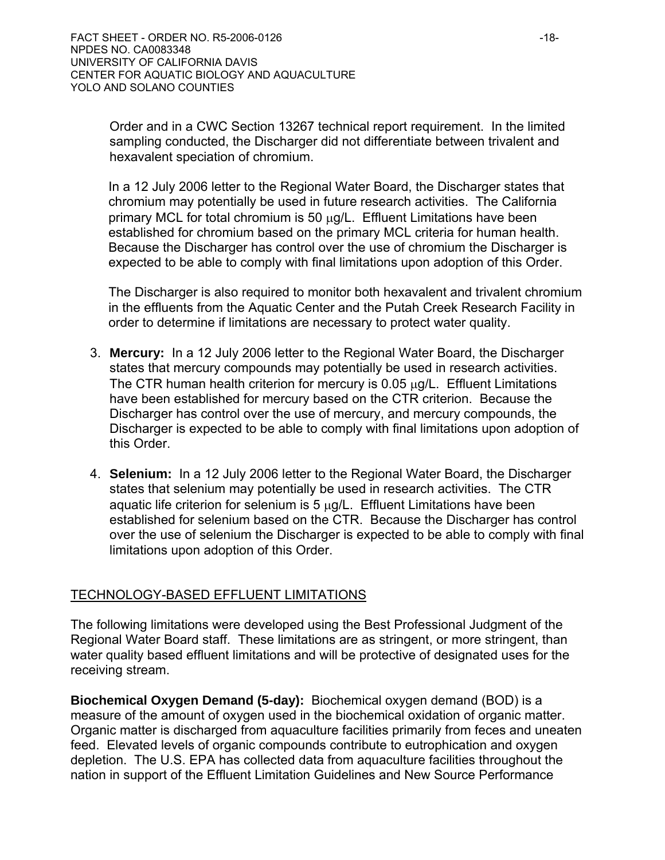Order and in a CWC Section 13267 technical report requirement. In the limited sampling conducted, the Discharger did not differentiate between trivalent and hexavalent speciation of chromium.

In a 12 July 2006 letter to the Regional Water Board, the Discharger states that chromium may potentially be used in future research activities. The California primary MCL for total chromium is 50 μg/L. Effluent Limitations have been established for chromium based on the primary MCL criteria for human health. Because the Discharger has control over the use of chromium the Discharger is expected to be able to comply with final limitations upon adoption of this Order.

The Discharger is also required to monitor both hexavalent and trivalent chromium in the effluents from the Aquatic Center and the Putah Creek Research Facility in order to determine if limitations are necessary to protect water quality.

- 3. **Mercury:** In a 12 July 2006 letter to the Regional Water Board, the Discharger states that mercury compounds may potentially be used in research activities. The CTR human health criterion for mercury is 0.05 μg/L. Effluent Limitations have been established for mercury based on the CTR criterion. Because the Discharger has control over the use of mercury, and mercury compounds, the Discharger is expected to be able to comply with final limitations upon adoption of this Order.
- 4. **Selenium:** In a 12 July 2006 letter to the Regional Water Board, the Discharger states that selenium may potentially be used in research activities. The CTR aquatic life criterion for selenium is  $5 \mu g/L$ . Effluent Limitations have been established for selenium based on the CTR. Because the Discharger has control over the use of selenium the Discharger is expected to be able to comply with final limitations upon adoption of this Order.

### TECHNOLOGY-BASED EFFLUENT LIMITATIONS

The following limitations were developed using the Best Professional Judgment of the Regional Water Board staff. These limitations are as stringent, or more stringent, than water quality based effluent limitations and will be protective of designated uses for the receiving stream.

**Biochemical Oxygen Demand (5-day):** Biochemical oxygen demand (BOD) is a measure of the amount of oxygen used in the biochemical oxidation of organic matter. Organic matter is discharged from aquaculture facilities primarily from feces and uneaten feed. Elevated levels of organic compounds contribute to eutrophication and oxygen depletion. The U.S. EPA has collected data from aquaculture facilities throughout the nation in support of the Effluent Limitation Guidelines and New Source Performance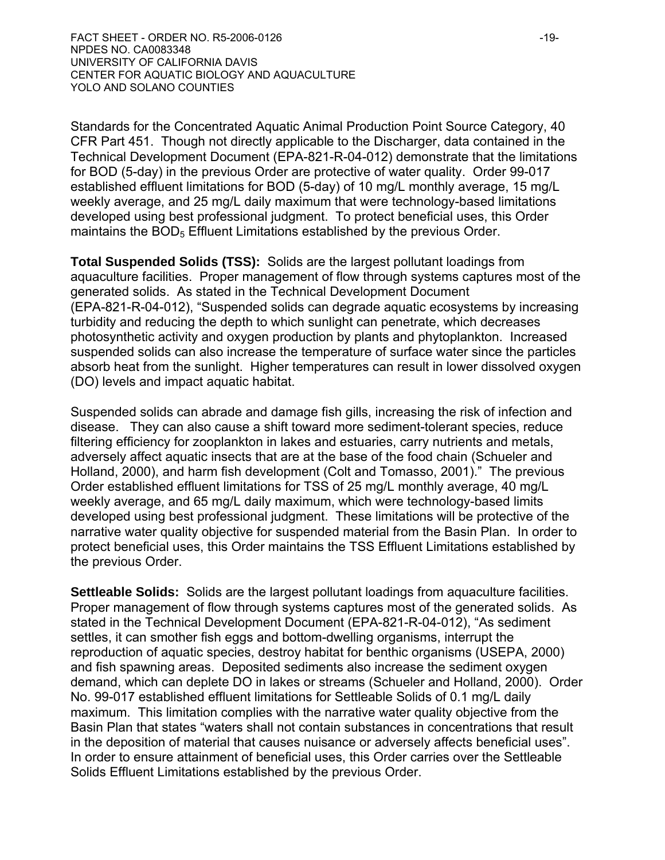Standards for the Concentrated Aquatic Animal Production Point Source Category, 40 CFR Part 451. Though not directly applicable to the Discharger, data contained in the Technical Development Document (EPA-821-R-04-012) demonstrate that the limitations for BOD (5-day) in the previous Order are protective of water quality. Order 99-017 established effluent limitations for BOD (5-day) of 10 mg/L monthly average, 15 mg/L weekly average, and 25 mg/L daily maximum that were technology-based limitations developed using best professional judgment. To protect beneficial uses, this Order maintains the BOD<sub>5</sub> Effluent Limitations established by the previous Order.

**Total Suspended Solids (TSS):** Solids are the largest pollutant loadings from aquaculture facilities. Proper management of flow through systems captures most of the generated solids. As stated in the Technical Development Document (EPA-821-R-04-012), "Suspended solids can degrade aquatic ecosystems by increasing turbidity and reducing the depth to which sunlight can penetrate, which decreases photosynthetic activity and oxygen production by plants and phytoplankton. Increased suspended solids can also increase the temperature of surface water since the particles absorb heat from the sunlight. Higher temperatures can result in lower dissolved oxygen (DO) levels and impact aquatic habitat.

Suspended solids can abrade and damage fish gills, increasing the risk of infection and disease. They can also cause a shift toward more sediment-tolerant species, reduce filtering efficiency for zooplankton in lakes and estuaries, carry nutrients and metals, adversely affect aquatic insects that are at the base of the food chain (Schueler and Holland, 2000), and harm fish development (Colt and Tomasso, 2001)." The previous Order established effluent limitations for TSS of 25 mg/L monthly average, 40 mg/L weekly average, and 65 mg/L daily maximum, which were technology-based limits developed using best professional judgment. These limitations will be protective of the narrative water quality objective for suspended material from the Basin Plan. In order to protect beneficial uses, this Order maintains the TSS Effluent Limitations established by the previous Order.

**Settleable Solids:** Solids are the largest pollutant loadings from aquaculture facilities. Proper management of flow through systems captures most of the generated solids. As stated in the Technical Development Document (EPA-821-R-04-012), "As sediment settles, it can smother fish eggs and bottom-dwelling organisms, interrupt the reproduction of aquatic species, destroy habitat for benthic organisms (USEPA, 2000) and fish spawning areas. Deposited sediments also increase the sediment oxygen demand, which can deplete DO in lakes or streams (Schueler and Holland, 2000). Order No. 99-017 established effluent limitations for Settleable Solids of 0.1 mg/L daily maximum. This limitation complies with the narrative water quality objective from the Basin Plan that states "waters shall not contain substances in concentrations that result in the deposition of material that causes nuisance or adversely affects beneficial uses". In order to ensure attainment of beneficial uses, this Order carries over the Settleable Solids Effluent Limitations established by the previous Order.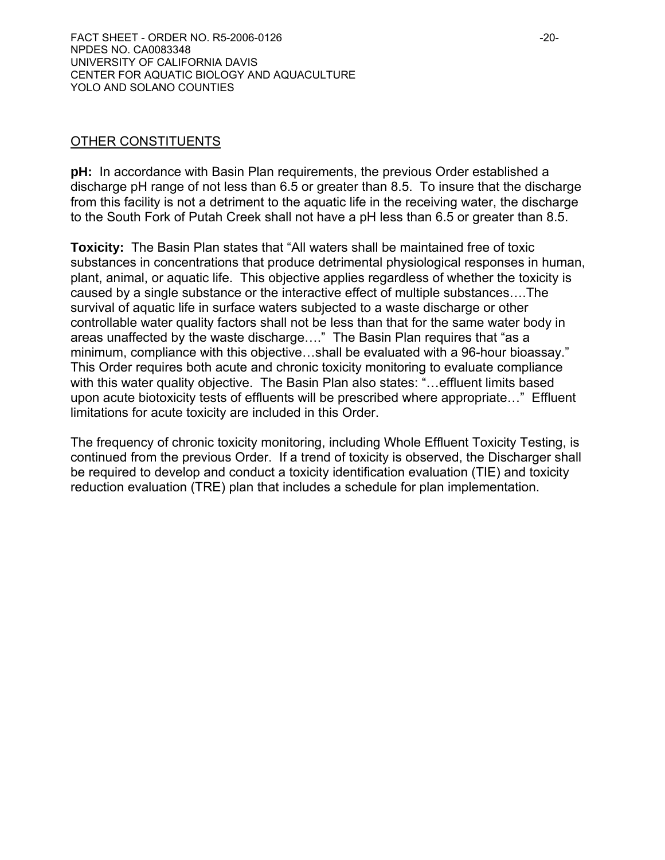### OTHER CONSTITUENTS

**pH:** In accordance with Basin Plan requirements, the previous Order established a discharge pH range of not less than 6.5 or greater than 8.5. To insure that the discharge from this facility is not a detriment to the aquatic life in the receiving water, the discharge to the South Fork of Putah Creek shall not have a pH less than 6.5 or greater than 8.5.

**Toxicity:** The Basin Plan states that "All waters shall be maintained free of toxic substances in concentrations that produce detrimental physiological responses in human, plant, animal, or aquatic life. This objective applies regardless of whether the toxicity is caused by a single substance or the interactive effect of multiple substances….The survival of aquatic life in surface waters subjected to a waste discharge or other controllable water quality factors shall not be less than that for the same water body in areas unaffected by the waste discharge…." The Basin Plan requires that "as a minimum, compliance with this objective…shall be evaluated with a 96-hour bioassay." This Order requires both acute and chronic toxicity monitoring to evaluate compliance with this water quality objective. The Basin Plan also states: "…effluent limits based upon acute biotoxicity tests of effluents will be prescribed where appropriate…" Effluent limitations for acute toxicity are included in this Order.

The frequency of chronic toxicity monitoring, including Whole Effluent Toxicity Testing, is continued from the previous Order. If a trend of toxicity is observed, the Discharger shall be required to develop and conduct a toxicity identification evaluation (TIE) and toxicity reduction evaluation (TRE) plan that includes a schedule for plan implementation.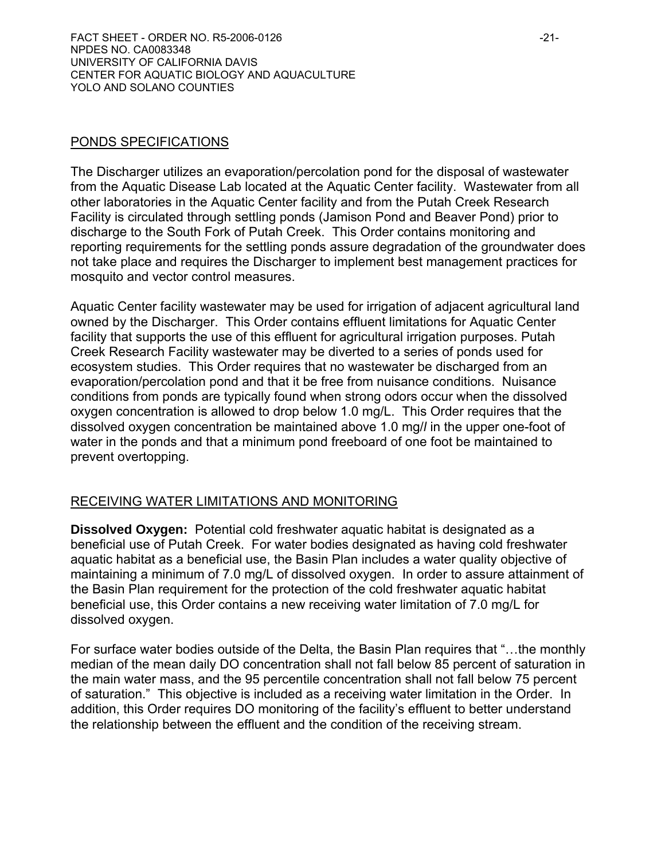### PONDS SPECIFICATIONS

The Discharger utilizes an evaporation/percolation pond for the disposal of wastewater from the Aquatic Disease Lab located at the Aquatic Center facility. Wastewater from all other laboratories in the Aquatic Center facility and from the Putah Creek Research Facility is circulated through settling ponds (Jamison Pond and Beaver Pond) prior to discharge to the South Fork of Putah Creek. This Order contains monitoring and reporting requirements for the settling ponds assure degradation of the groundwater does not take place and requires the Discharger to implement best management practices for mosquito and vector control measures.

Aquatic Center facility wastewater may be used for irrigation of adjacent agricultural land owned by the Discharger. This Order contains effluent limitations for Aquatic Center facility that supports the use of this effluent for agricultural irrigation purposes. Putah Creek Research Facility wastewater may be diverted to a series of ponds used for ecosystem studies. This Order requires that no wastewater be discharged from an evaporation/percolation pond and that it be free from nuisance conditions. Nuisance conditions from ponds are typically found when strong odors occur when the dissolved oxygen concentration is allowed to drop below 1.0 mg/L. This Order requires that the dissolved oxygen concentration be maintained above 1.0 mg/*l* in the upper one-foot of water in the ponds and that a minimum pond freeboard of one foot be maintained to prevent overtopping.

# RECEIVING WATER LIMITATIONS AND MONITORING

**Dissolved Oxygen:**Potential cold freshwater aquatic habitat is designated as a beneficial use of Putah Creek. For water bodies designated as having cold freshwater aquatic habitat as a beneficial use, the Basin Plan includes a water quality objective of maintaining a minimum of 7.0 mg/L of dissolved oxygen. In order to assure attainment of the Basin Plan requirement for the protection of the cold freshwater aquatic habitat beneficial use, this Order contains a new receiving water limitation of 7.0 mg/L for dissolved oxygen.

For surface water bodies outside of the Delta, the Basin Plan requires that "…the monthly median of the mean daily DO concentration shall not fall below 85 percent of saturation in the main water mass, and the 95 percentile concentration shall not fall below 75 percent of saturation." This objective is included as a receiving water limitation in the Order. In addition, this Order requires DO monitoring of the facility's effluent to better understand the relationship between the effluent and the condition of the receiving stream.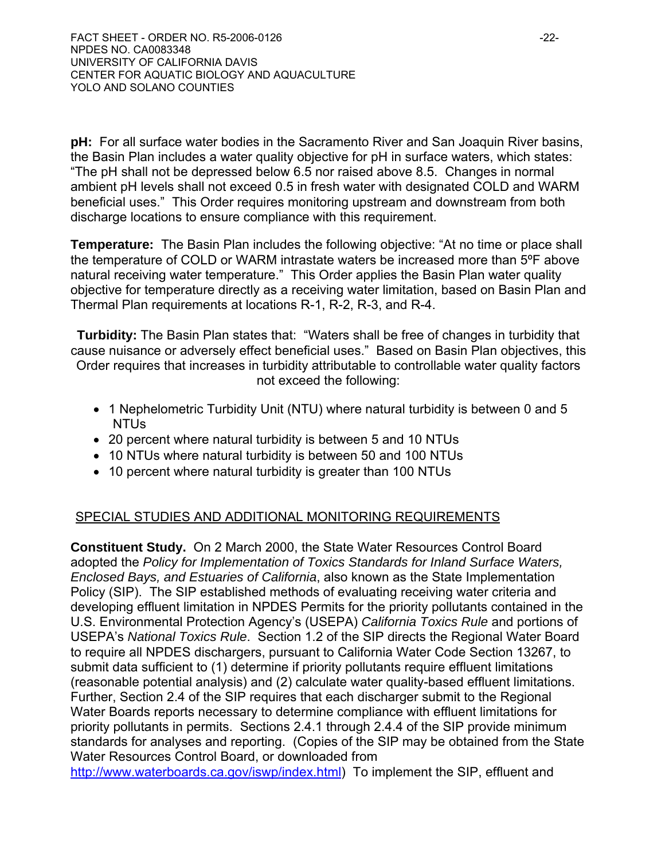**pH:**For all surface water bodies in the Sacramento River and San Joaquin River basins, the Basin Plan includes a water quality objective for pH in surface waters, which states: "The pH shall not be depressed below 6.5 nor raised above 8.5. Changes in normal ambient pH levels shall not exceed 0.5 in fresh water with designated COLD and WARM beneficial uses." This Order requires monitoring upstream and downstream from both discharge locations to ensure compliance with this requirement.

**Temperature:**The Basin Plan includes the following objective: "At no time or place shall the temperature of COLD or WARM intrastate waters be increased more than 5ºF above natural receiving water temperature." This Order applies the Basin Plan water quality objective for temperature directly as a receiving water limitation, based on Basin Plan and Thermal Plan requirements at locations R-1, R-2, R-3, and R-4.

**Turbidity:** The Basin Plan states that: "Waters shall be free of changes in turbidity that cause nuisance or adversely effect beneficial uses." Based on Basin Plan objectives, this Order requires that increases in turbidity attributable to controllable water quality factors not exceed the following:

- 1 Nephelometric Turbidity Unit (NTU) where natural turbidity is between 0 and 5 NTUs
- 20 percent where natural turbidity is between 5 and 10 NTUs
- 10 NTUs where natural turbidity is between 50 and 100 NTUs
- 10 percent where natural turbidity is greater than 100 NTUs

# SPECIAL STUDIES AND ADDITIONAL MONITORING REQUIREMENTS

**Constituent Study.** On 2 March 2000, the State Water Resources Control Board adopted the *Policy for Implementation of Toxics Standards for Inland Surface Waters, Enclosed Bays, and Estuaries of California*, also known as the State Implementation Policy (SIP). The SIP established methods of evaluating receiving water criteria and developing effluent limitation in NPDES Permits for the priority pollutants contained in the U.S. Environmental Protection Agency's (USEPA) *California Toxics Rule* and portions of USEPA's *National Toxics Rule*. Section 1.2 of the SIP directs the Regional Water Board to require all NPDES dischargers, pursuant to California Water Code Section 13267, to submit data sufficient to (1) determine if priority pollutants require effluent limitations (reasonable potential analysis) and (2) calculate water quality-based effluent limitations. Further, Section 2.4 of the SIP requires that each discharger submit to the Regional Water Boards reports necessary to determine compliance with effluent limitations for priority pollutants in permits. Sections 2.4.1 through 2.4.4 of the SIP provide minimum standards for analyses and reporting. (Copies of the SIP may be obtained from the State Water Resources Control Board, or downloaded from

http://www.waterboards.ca.gov/iswp/index.html) To implement the SIP, effluent and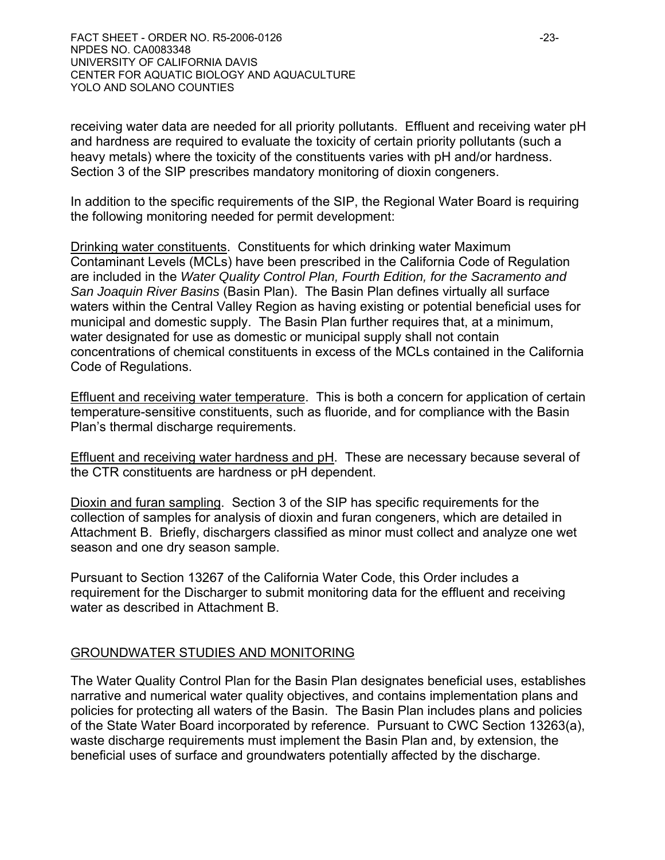FACT SHEET - ORDER NO. R5-2006-0126 -23- NPDES NO. CA0083348 UNIVERSITY OF CALIFORNIA DAVIS CENTER FOR AQUATIC BIOLOGY AND AQUACULTURE YOLO AND SOLANO COUNTIES

receiving water data are needed for all priority pollutants. Effluent and receiving water pH and hardness are required to evaluate the toxicity of certain priority pollutants (such a heavy metals) where the toxicity of the constituents varies with pH and/or hardness. Section 3 of the SIP prescribes mandatory monitoring of dioxin congeners.

In addition to the specific requirements of the SIP, the Regional Water Board is requiring the following monitoring needed for permit development:

Drinking water constituents. Constituents for which drinking water Maximum Contaminant Levels (MCLs) have been prescribed in the California Code of Regulation are included in the *Water Quality Control Plan, Fourth Edition, for the Sacramento and San Joaquin River Basins* (Basin Plan). The Basin Plan defines virtually all surface waters within the Central Valley Region as having existing or potential beneficial uses for municipal and domestic supply. The Basin Plan further requires that, at a minimum, water designated for use as domestic or municipal supply shall not contain concentrations of chemical constituents in excess of the MCLs contained in the California Code of Regulations.

Effluent and receiving water temperature. This is both a concern for application of certain temperature-sensitive constituents, such as fluoride, and for compliance with the Basin Plan's thermal discharge requirements.

Effluent and receiving water hardness and pH. These are necessary because several of the CTR constituents are hardness or pH dependent.

Dioxin and furan sampling. Section 3 of the SIP has specific requirements for the collection of samples for analysis of dioxin and furan congeners, which are detailed in Attachment B. Briefly, dischargers classified as minor must collect and analyze one wet season and one dry season sample.

Pursuant to Section 13267 of the California Water Code, this Order includes a requirement for the Discharger to submit monitoring data for the effluent and receiving water as described in Attachment B.

### GROUNDWATER STUDIES AND MONITORING

The Water Quality Control Plan for the Basin Plan designates beneficial uses, establishes narrative and numerical water quality objectives, and contains implementation plans and policies for protecting all waters of the Basin. The Basin Plan includes plans and policies of the State Water Board incorporated by reference. Pursuant to CWC Section 13263(a), waste discharge requirements must implement the Basin Plan and, by extension, the beneficial uses of surface and groundwaters potentially affected by the discharge.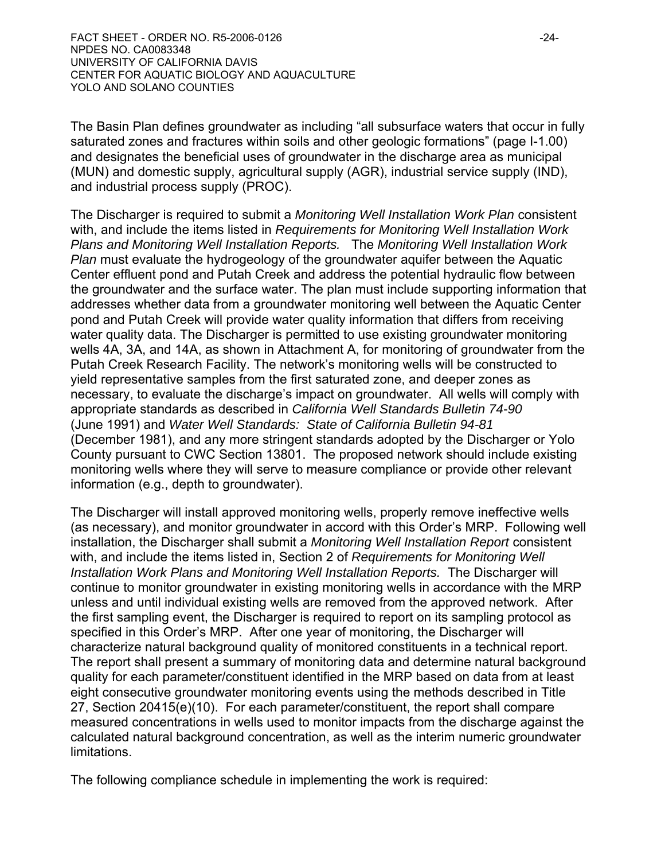The Basin Plan defines groundwater as including "all subsurface waters that occur in fully saturated zones and fractures within soils and other geologic formations" (page I-1.00) and designates the beneficial uses of groundwater in the discharge area as municipal (MUN) and domestic supply, agricultural supply (AGR), industrial service supply (IND), and industrial process supply (PROC).

The Discharger is required to submit a *Monitoring Well Installation Work Plan* consistent with, and include the items listed in *Requirements for Monitoring Well Installation Work Plans and Monitoring Well Installation Reports.* The *Monitoring Well Installation Work Plan* must evaluate the hydrogeology of the groundwater aquifer between the Aquatic Center effluent pond and Putah Creek and address the potential hydraulic flow between the groundwater and the surface water. The plan must include supporting information that addresses whether data from a groundwater monitoring well between the Aquatic Center pond and Putah Creek will provide water quality information that differs from receiving water quality data. The Discharger is permitted to use existing groundwater monitoring wells 4A, 3A, and 14A, as shown in Attachment A, for monitoring of groundwater from the Putah Creek Research Facility. The network's monitoring wells will be constructed to yield representative samples from the first saturated zone, and deeper zones as necessary, to evaluate the discharge's impact on groundwater. All wells will comply with appropriate standards as described in *California Well Standards Bulletin 74-90*  (June 1991) and *Water Well Standards: State of California Bulletin 94-81* (December 1981), and any more stringent standards adopted by the Discharger or Yolo County pursuant to CWC Section 13801. The proposed network should include existing monitoring wells where they will serve to measure compliance or provide other relevant information (e.g., depth to groundwater).

The Discharger will install approved monitoring wells, properly remove ineffective wells (as necessary), and monitor groundwater in accord with this Order's MRP. Following well installation, the Discharger shall submit a *Monitoring Well Installation Report* consistent with, and include the items listed in, Section 2 of *Requirements for Monitoring Well Installation Work Plans and Monitoring Well Installation Reports.* The Discharger will continue to monitor groundwater in existing monitoring wells in accordance with the MRP unless and until individual existing wells are removed from the approved network. After the first sampling event, the Discharger is required to report on its sampling protocol as specified in this Order's MRP. After one year of monitoring, the Discharger will characterize natural background quality of monitored constituents in a technical report. The report shall present a summary of monitoring data and determine natural background quality for each parameter/constituent identified in the MRP based on data from at least eight consecutive groundwater monitoring events using the methods described in Title 27, Section 20415(e)(10). For each parameter/constituent, the report shall compare measured concentrations in wells used to monitor impacts from the discharge against the calculated natural background concentration, as well as the interim numeric groundwater limitations.

The following compliance schedule in implementing the work is required: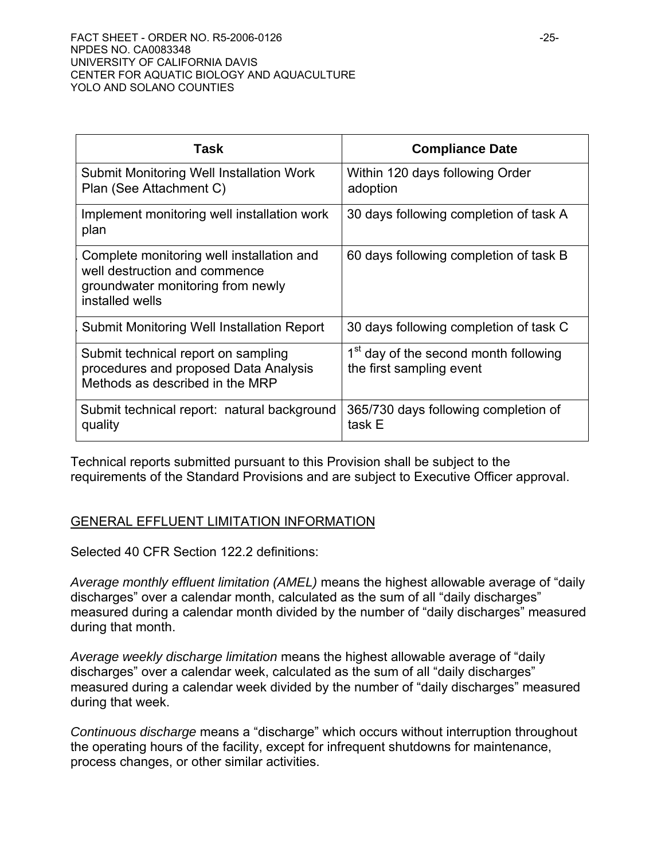| Task                                                                                                                               | <b>Compliance Date</b>                                                        |
|------------------------------------------------------------------------------------------------------------------------------------|-------------------------------------------------------------------------------|
| Submit Monitoring Well Installation Work<br>Plan (See Attachment C)                                                                | Within 120 days following Order<br>adoption                                   |
| Implement monitoring well installation work<br>plan                                                                                | 30 days following completion of task A                                        |
| Complete monitoring well installation and<br>well destruction and commence<br>groundwater monitoring from newly<br>installed wells | 60 days following completion of task B                                        |
| Submit Monitoring Well Installation Report                                                                                         | 30 days following completion of task C                                        |
| Submit technical report on sampling<br>procedures and proposed Data Analysis<br>Methods as described in the MRP                    | 1 <sup>st</sup> day of the second month following<br>the first sampling event |
| Submit technical report: natural background<br>quality                                                                             | 365/730 days following completion of<br>task E                                |

Technical reports submitted pursuant to this Provision shall be subject to the requirements of the Standard Provisions and are subject to Executive Officer approval.

# GENERAL EFFLUENT LIMITATION INFORMATION

Selected 40 CFR Section 122.2 definitions:

*Average monthly effluent limitation (AMEL)* means the highest allowable average of "daily discharges" over a calendar month, calculated as the sum of all "daily discharges" measured during a calendar month divided by the number of "daily discharges" measured during that month.

*Average weekly discharge limitation* means the highest allowable average of "daily discharges" over a calendar week, calculated as the sum of all "daily discharges" measured during a calendar week divided by the number of "daily discharges" measured during that week.

*Continuous discharge* means a "discharge" which occurs without interruption throughout the operating hours of the facility, except for infrequent shutdowns for maintenance, process changes, or other similar activities.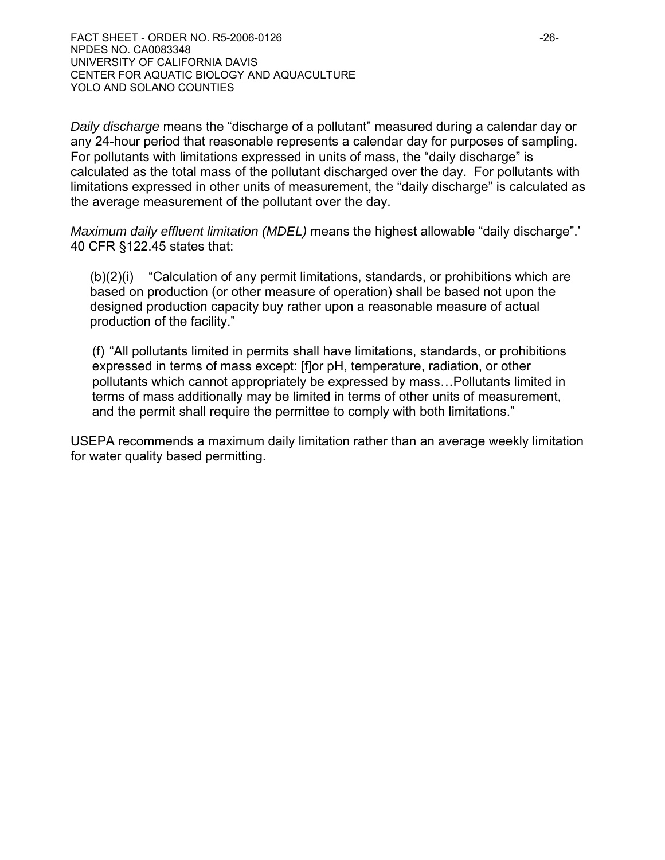FACT SHEET - ORDER NO. R5-2006-0126 -26- NPDES NO. CA0083348 UNIVERSITY OF CALIFORNIA DAVIS CENTER FOR AQUATIC BIOLOGY AND AQUACULTURE YOLO AND SOLANO COUNTIES

*Daily discharge* means the "discharge of a pollutant" measured during a calendar day or any 24-hour period that reasonable represents a calendar day for purposes of sampling. For pollutants with limitations expressed in units of mass, the "daily discharge" is calculated as the total mass of the pollutant discharged over the day. For pollutants with limitations expressed in other units of measurement, the "daily discharge" is calculated as the average measurement of the pollutant over the day.

*Maximum daily effluent limitation (MDEL)* means the highest allowable "daily discharge".' 40 CFR §122.45 states that:

(b)(2)(i) "Calculation of any permit limitations, standards, or prohibitions which are based on production (or other measure of operation) shall be based not upon the designed production capacity buy rather upon a reasonable measure of actual production of the facility."

(f) "All pollutants limited in permits shall have limitations, standards, or prohibitions expressed in terms of mass except: [f]or pH, temperature, radiation, or other pollutants which cannot appropriately be expressed by mass…Pollutants limited in terms of mass additionally may be limited in terms of other units of measurement, and the permit shall require the permittee to comply with both limitations."

USEPA recommends a maximum daily limitation rather than an average weekly limitation for water quality based permitting.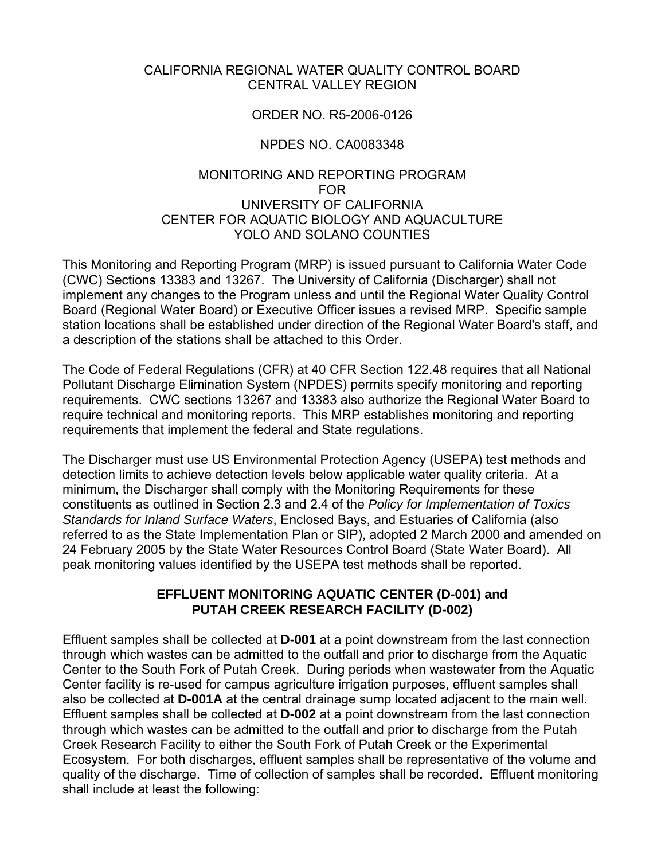#### CALIFORNIA REGIONAL WATER QUALITY CONTROL BOARD CENTRAL VALLEY REGION

#### ORDER NO. R5-2006-0126

### NPDES NO. CA0083348

#### MONITORING AND REPORTING PROGRAM FOR UNIVERSITY OF CALIFORNIA CENTER FOR AQUATIC BIOLOGY AND AQUACULTURE YOLO AND SOLANO COUNTIES

This Monitoring and Reporting Program (MRP) is issued pursuant to California Water Code (CWC) Sections 13383 and 13267. The University of California (Discharger) shall not implement any changes to the Program unless and until the Regional Water Quality Control Board (Regional Water Board) or Executive Officer issues a revised MRP. Specific sample station locations shall be established under direction of the Regional Water Board's staff, and a description of the stations shall be attached to this Order.

The Code of Federal Regulations (CFR) at 40 CFR Section 122.48 requires that all National Pollutant Discharge Elimination System (NPDES) permits specify monitoring and reporting requirements. CWC sections 13267 and 13383 also authorize the Regional Water Board to require technical and monitoring reports. This MRP establishes monitoring and reporting requirements that implement the federal and State regulations.

The Discharger must use US Environmental Protection Agency (USEPA) test methods and detection limits to achieve detection levels below applicable water quality criteria. At a minimum, the Discharger shall comply with the Monitoring Requirements for these constituents as outlined in Section 2.3 and 2.4 of the *Policy for Implementation of Toxics Standards for Inland Surface Waters*, Enclosed Bays, and Estuaries of California (also referred to as the State Implementation Plan or SIP), adopted 2 March 2000 and amended on 24 February 2005 by the State Water Resources Control Board (State Water Board). All peak monitoring values identified by the USEPA test methods shall be reported.

#### **EFFLUENT MONITORING AQUATIC CENTER (D-001) and PUTAH CREEK RESEARCH FACILITY (D-002)**

Effluent samples shall be collected at **D-001** at a point downstream from the last connection through which wastes can be admitted to the outfall and prior to discharge from the Aquatic Center to the South Fork of Putah Creek. During periods when wastewater from the Aquatic Center facility is re-used for campus agriculture irrigation purposes, effluent samples shall also be collected at **D-001A** at the central drainage sump located adjacent to the main well. Effluent samples shall be collected at **D-002** at a point downstream from the last connection through which wastes can be admitted to the outfall and prior to discharge from the Putah Creek Research Facility to either the South Fork of Putah Creek or the Experimental Ecosystem. For both discharges, effluent samples shall be representative of the volume and quality of the discharge. Time of collection of samples shall be recorded. Effluent monitoring shall include at least the following: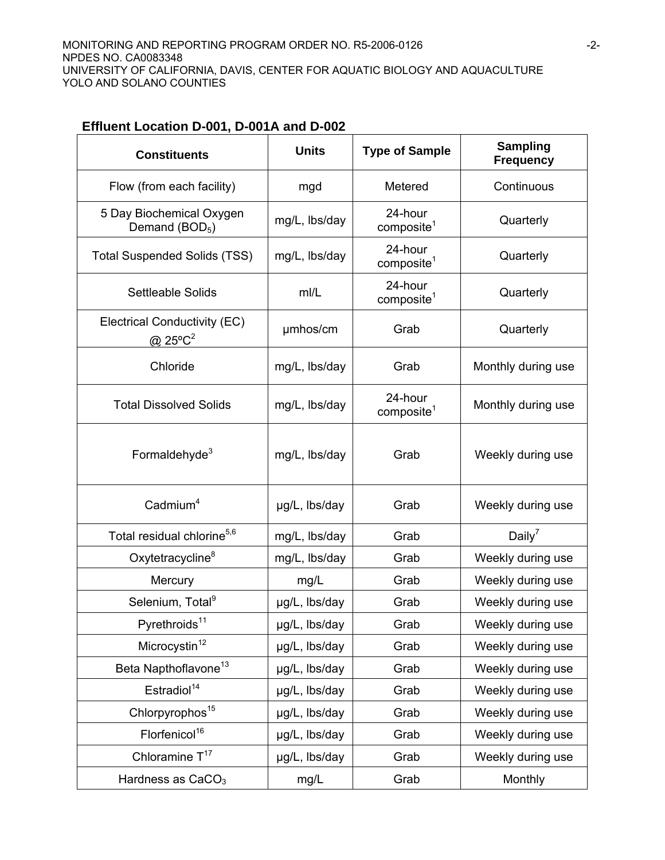**Effluent Location D-001, D-001A and D-002** 

| <b>Constituents</b>                                    | <b>Units</b>  | <b>Type of Sample</b>             | <b>Sampling</b><br><b>Frequency</b> |
|--------------------------------------------------------|---------------|-----------------------------------|-------------------------------------|
| Flow (from each facility)                              | mgd           | Metered                           | Continuous                          |
| 5 Day Biochemical Oxygen<br>Demand (BOD <sub>5</sub> ) | mg/L, lbs/day | 24-hour<br>composite <sup>1</sup> | Quarterly                           |
| <b>Total Suspended Solids (TSS)</b>                    | mg/L, lbs/day | 24-hour<br>composite <sup>1</sup> | Quarterly                           |
| <b>Settleable Solids</b>                               | mI/L          | 24-hour<br>composite <sup>1</sup> | Quarterly                           |
| Electrical Conductivity (EC)<br>@ $25^{\circ}C^2$      | umhos/cm      | Grab                              | Quarterly                           |
| Chloride                                               | mg/L, lbs/day | Grab                              | Monthly during use                  |
| <b>Total Dissolved Solids</b>                          | mg/L, lbs/day | 24-hour<br>composite <sup>1</sup> | Monthly during use                  |
| Formaldehyde <sup>3</sup>                              | mg/L, lbs/day | Grab                              | Weekly during use                   |
| $C$ admium <sup>4</sup>                                | µg/L, lbs/day | Grab                              | Weekly during use                   |
| Total residual chlorine <sup>5,6</sup>                 | mg/L, lbs/day | Grab                              | Daily <sup>7</sup>                  |
| Oxytetracycline <sup>8</sup>                           | mg/L, lbs/day | Grab                              | Weekly during use                   |
| Mercury                                                | mg/L          | Grab                              | Weekly during use                   |
| Selenium, Total <sup>9</sup>                           | µg/L, lbs/day | Grab                              | Weekly during use                   |
| Pyrethroids <sup>11</sup>                              | µg/L, lbs/day | Grab                              | Weekly during use                   |
| Microcystin <sup>12</sup>                              | µg/L, lbs/day | Grab                              | Weekly during use                   |
| Beta Napthoflavone <sup>13</sup>                       | µg/L, lbs/day | Grab                              | Weekly during use                   |
| Estradiol <sup>14</sup>                                | µg/L, lbs/day | Grab                              | Weekly during use                   |
| Chlorpyrophos <sup>15</sup>                            | µg/L, lbs/day | Grab                              | Weekly during use                   |
| Florfenicol <sup>16</sup>                              | µg/L, lbs/day | Grab                              | Weekly during use                   |
| Chloramine T <sup>17</sup>                             | µg/L, lbs/day | Grab                              | Weekly during use                   |
| Hardness as CaCO <sub>3</sub>                          | mg/L          | Grab                              | Monthly                             |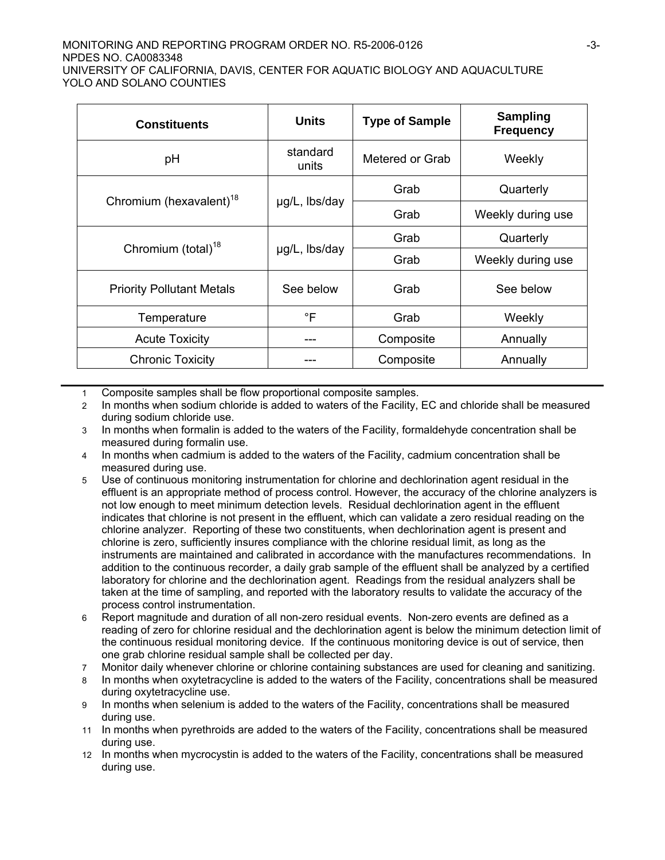#### MONITORING AND REPORTING PROGRAM ORDER NO. R5-2006-0126 NPDES NO. CA0083348 UNIVERSITY OF CALIFORNIA, DAVIS, CENTER FOR AQUATIC BIOLOGY AND AQUACULTURE YOLO AND SOLANO COUNTIES

| <b>Constituents</b>                 | <b>Units</b>                         | <b>Type of Sample</b> | <b>Sampling</b><br><b>Frequency</b> |  |
|-------------------------------------|--------------------------------------|-----------------------|-------------------------------------|--|
| pH                                  | standard<br>Metered or Grab<br>units |                       | Weekly                              |  |
|                                     |                                      | Grab                  | Quarterly                           |  |
| Chromium (hexavalent) <sup>18</sup> | µg/L, lbs/day                        | Grab                  | Weekly during use                   |  |
| Chromium (total) <sup>18</sup>      |                                      | Grab                  | Quarterly                           |  |
|                                     | µg/L, lbs/day                        | Grab                  | Weekly during use                   |  |
| <b>Priority Pollutant Metals</b>    | See below                            | Grab                  | See below                           |  |
| Temperature                         | $\mathsf{P}$                         | Grab                  | Weekly                              |  |
| <b>Acute Toxicity</b>               | ---                                  | Composite             | Annually                            |  |
| <b>Chronic Toxicity</b>             |                                      | Composite             | Annually                            |  |

1 Composite samples shall be flow proportional composite samples.

- 2 In months when sodium chloride is added to waters of the Facility, EC and chloride shall be measured during sodium chloride use.
- 3 In months when formalin is added to the waters of the Facility, formaldehyde concentration shall be measured during formalin use.
- 4 In months when cadmium is added to the waters of the Facility, cadmium concentration shall be measured during use.
- 5 Use of continuous monitoring instrumentation for chlorine and dechlorination agent residual in the effluent is an appropriate method of process control. However, the accuracy of the chlorine analyzers is not low enough to meet minimum detection levels. Residual dechlorination agent in the effluent indicates that chlorine is not present in the effluent, which can validate a zero residual reading on the chlorine analyzer. Reporting of these two constituents, when dechlorination agent is present and chlorine is zero, sufficiently insures compliance with the chlorine residual limit, as long as the instruments are maintained and calibrated in accordance with the manufactures recommendations. In addition to the continuous recorder, a daily grab sample of the effluent shall be analyzed by a certified laboratory for chlorine and the dechlorination agent. Readings from the residual analyzers shall be taken at the time of sampling, and reported with the laboratory results to validate the accuracy of the process control instrumentation.
- 6 Report magnitude and duration of all non-zero residual events. Non-zero events are defined as a reading of zero for chlorine residual and the dechlorination agent is below the minimum detection limit of the continuous residual monitoring device. If the continuous monitoring device is out of service, then one grab chlorine residual sample shall be collected per day.
- 7 Monitor daily whenever chlorine or chlorine containing substances are used for cleaning and sanitizing.
- 8 In months when oxytetracycline is added to the waters of the Facility, concentrations shall be measured during oxytetracycline use.
- 9 In months when selenium is added to the waters of the Facility, concentrations shall be measured during use.
- 11 In months when pyrethroids are added to the waters of the Facility, concentrations shall be measured during use.
- 12 In months when mycrocystin is added to the waters of the Facility, concentrations shall be measured during use.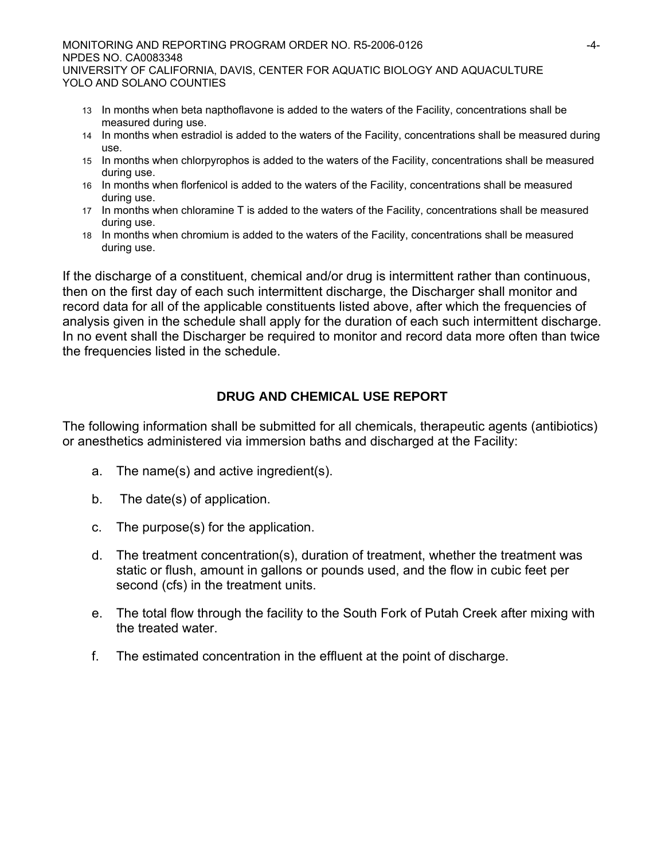MONITORING AND REPORTING PROGRAM ORDER NO. R5-2006-0126 -4- NPDES NO. CA0083348 UNIVERSITY OF CALIFORNIA, DAVIS, CENTER FOR AQUATIC BIOLOGY AND AQUACULTURE YOLO AND SOLANO COUNTIES

- 13 In months when beta napthoflavone is added to the waters of the Facility, concentrations shall be measured during use.
- 14 In months when estradiol is added to the waters of the Facility, concentrations shall be measured during use.
- 15 In months when chlorpyrophos is added to the waters of the Facility, concentrations shall be measured during use.
- 16 In months when florfenicol is added to the waters of the Facility, concentrations shall be measured during use.
- 17 In months when chloramine T is added to the waters of the Facility, concentrations shall be measured during use.
- 18 In months when chromium is added to the waters of the Facility, concentrations shall be measured during use.

If the discharge of a constituent, chemical and/or drug is intermittent rather than continuous, then on the first day of each such intermittent discharge, the Discharger shall monitor and record data for all of the applicable constituents listed above, after which the frequencies of analysis given in the schedule shall apply for the duration of each such intermittent discharge. In no event shall the Discharger be required to monitor and record data more often than twice the frequencies listed in the schedule.

# **DRUG AND CHEMICAL USE REPORT**

The following information shall be submitted for all chemicals, therapeutic agents (antibiotics) or anesthetics administered via immersion baths and discharged at the Facility:

- a. The name(s) and active ingredient(s).
- b. The date(s) of application.
- c. The purpose(s) for the application.
- d. The treatment concentration(s), duration of treatment, whether the treatment was static or flush, amount in gallons or pounds used, and the flow in cubic feet per second (cfs) in the treatment units.
- e. The total flow through the facility to the South Fork of Putah Creek after mixing with the treated water.
- f. The estimated concentration in the effluent at the point of discharge.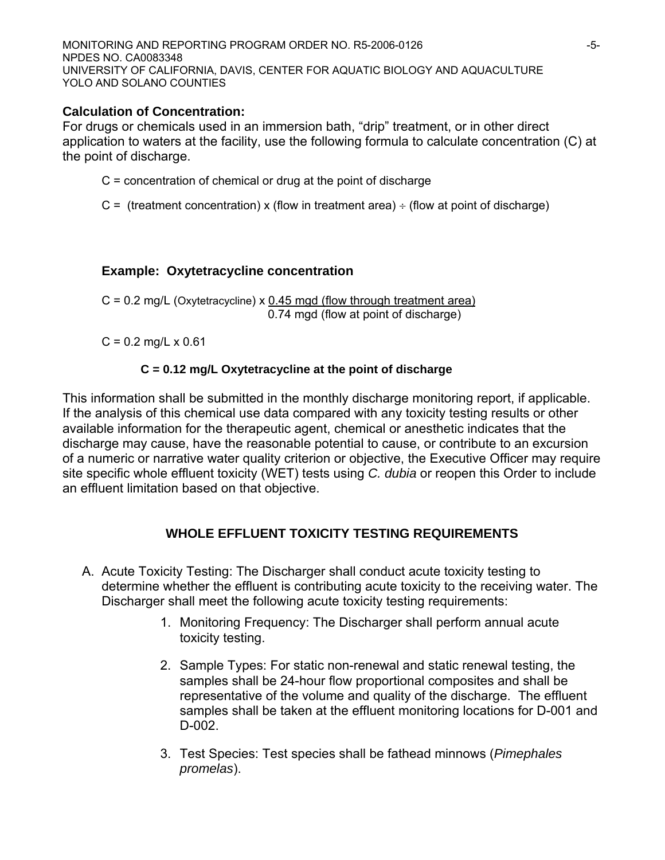MONITORING AND REPORTING PROGRAM ORDER NO. R5-2006-0126 NPDES NO. CA0083348 UNIVERSITY OF CALIFORNIA, DAVIS, CENTER FOR AQUATIC BIOLOGY AND AQUACULTURE YOLO AND SOLANO COUNTIES

## **Calculation of Concentration:**

For drugs or chemicals used in an immersion bath, "drip" treatment, or in other direct application to waters at the facility, use the following formula to calculate concentration (C) at the point of discharge.

- $C =$  concentration of chemical or drug at the point of discharge
- C = (treatment concentration) x (flow in treatment area)  $\div$  (flow at point of discharge)

# **Example: Oxytetracycline concentration**

 $C = 0.2$  mg/L (Oxytetracycline) x 0.45 mgd (flow through treatment area) 0.74 mgd (flow at point of discharge)

 $C = 0.2$  mg/L x 0.61

## **C = 0.12 mg/L Oxytetracycline at the point of discharge**

This information shall be submitted in the monthly discharge monitoring report, if applicable. If the analysis of this chemical use data compared with any toxicity testing results or other available information for the therapeutic agent, chemical or anesthetic indicates that the discharge may cause, have the reasonable potential to cause, or contribute to an excursion of a numeric or narrative water quality criterion or objective, the Executive Officer may require site specific whole effluent toxicity (WET) tests using *C. dubia* or reopen this Order to include an effluent limitation based on that objective.

# **WHOLE EFFLUENT TOXICITY TESTING REQUIREMENTS**

- A. Acute Toxicity Testing: The Discharger shall conduct acute toxicity testing to determine whether the effluent is contributing acute toxicity to the receiving water. The Discharger shall meet the following acute toxicity testing requirements:
	- 1. Monitoring Frequency: The Discharger shall perform annual acute toxicity testing.
	- 2. Sample Types: For static non-renewal and static renewal testing, the samples shall be 24-hour flow proportional composites and shall be representative of the volume and quality of the discharge. The effluent samples shall be taken at the effluent monitoring locations for D-001 and D-002.
	- 3. Test Species: Test species shall be fathead minnows (*Pimephales promelas*).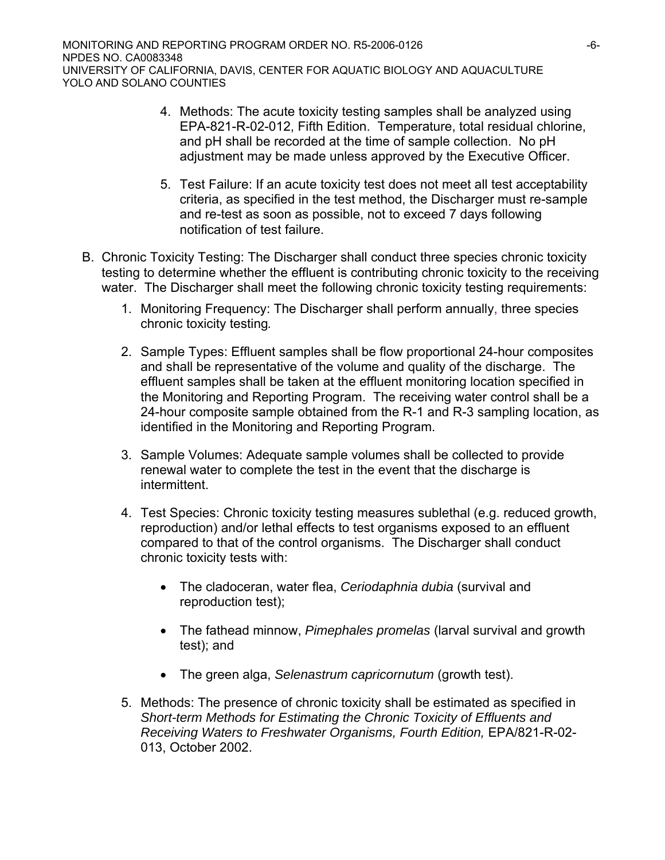- 4. Methods: The acute toxicity testing samples shall be analyzed using EPA-821-R-02-012, Fifth Edition. Temperature, total residual chlorine, and pH shall be recorded at the time of sample collection. No pH adjustment may be made unless approved by the Executive Officer.
- 5. Test Failure: If an acute toxicity test does not meet all test acceptability criteria, as specified in the test method, the Discharger must re-sample and re-test as soon as possible, not to exceed 7 days following notification of test failure.
- B. Chronic Toxicity Testing: The Discharger shall conduct three species chronic toxicity testing to determine whether the effluent is contributing chronic toxicity to the receiving water. The Discharger shall meet the following chronic toxicity testing requirements:
	- 1. Monitoring Frequency: The Discharger shall perform annually, three species chronic toxicity testing*.*
	- 2. Sample Types: Effluent samples shall be flow proportional 24-hour composites and shall be representative of the volume and quality of the discharge. The effluent samples shall be taken at the effluent monitoring location specified in the Monitoring and Reporting Program. The receiving water control shall be a 24-hour composite sample obtained from the R-1 and R-3 sampling location, as identified in the Monitoring and Reporting Program.
	- 3. Sample Volumes: Adequate sample volumes shall be collected to provide renewal water to complete the test in the event that the discharge is intermittent.
	- 4. Test Species: Chronic toxicity testing measures sublethal (e.g. reduced growth, reproduction) and/or lethal effects to test organisms exposed to an effluent compared to that of the control organisms. The Discharger shall conduct chronic toxicity tests with:
		- The cladoceran, water flea, *Ceriodaphnia dubia* (survival and reproduction test);
		- The fathead minnow, *Pimephales promelas* (larval survival and growth test); and
		- The green alga, *Selenastrum capricornutum* (growth test).
	- 5. Methods: The presence of chronic toxicity shall be estimated as specified in *Short-term Methods for Estimating the Chronic Toxicity of Effluents and Receiving Waters to Freshwater Organisms, Fourth Edition,* EPA/821-R-02- 013, October 2002.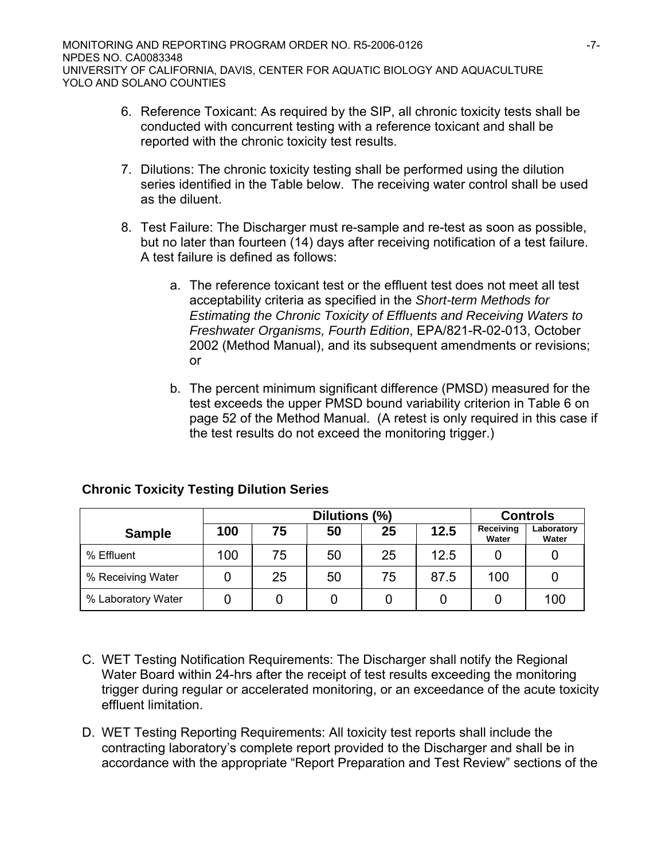- 6. Reference Toxicant: As required by the SIP, all chronic toxicity tests shall be conducted with concurrent testing with a reference toxicant and shall be reported with the chronic toxicity test results.
- 7. Dilutions: The chronic toxicity testing shall be performed using the dilution series identified in the Table below. The receiving water control shall be used as the diluent.
- 8. Test Failure: The Discharger must re-sample and re-test as soon as possible, but no later than fourteen (14) days after receiving notification of a test failure. A test failure is defined as follows:
	- a. The reference toxicant test or the effluent test does not meet all test acceptability criteria as specified in the *Short-term Methods for Estimating the Chronic Toxicity of Effluents and Receiving Waters to Freshwater Organisms, Fourth Edition*, EPA/821-R-02-013, October 2002 (Method Manual), and its subsequent amendments or revisions; or
	- b. The percent minimum significant difference (PMSD) measured for the test exceeds the upper PMSD bound variability criterion in Table 6 on page 52 of the Method Manual. (A retest is only required in this case if the test results do not exceed the monitoring trigger.)

|                    | Dilutions (%) |    |    |    | <b>Controls</b> |                    |                     |
|--------------------|---------------|----|----|----|-----------------|--------------------|---------------------|
| <b>Sample</b>      | 100           | 75 | 50 | 25 | 12.5            | Receiving<br>Water | Laboratory<br>Water |
| % Effluent         | 100           | 75 | 50 | 25 | 12.5            |                    |                     |
| % Receiving Water  |               | 25 | 50 | 75 | 87.5            | 100                |                     |
| % Laboratory Water |               |    |    |    |                 |                    | 100                 |

### **Chronic Toxicity Testing Dilution Series**

- C. WET Testing Notification Requirements: The Discharger shall notify the Regional Water Board within 24-hrs after the receipt of test results exceeding the monitoring trigger during regular or accelerated monitoring, or an exceedance of the acute toxicity effluent limitation.
- D. WET Testing Reporting Requirements: All toxicity test reports shall include the contracting laboratory's complete report provided to the Discharger and shall be in accordance with the appropriate "Report Preparation and Test Review" sections of the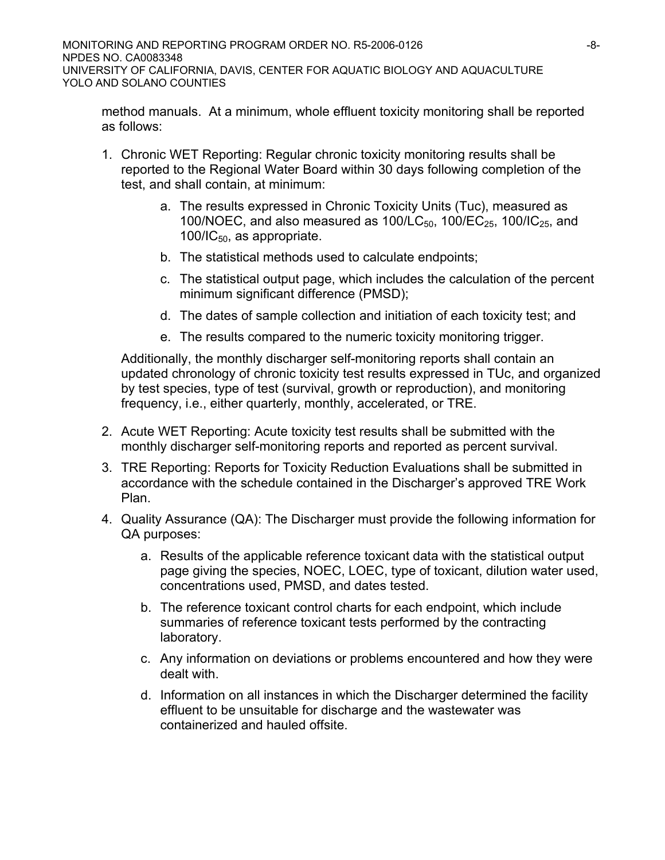method manuals. At a minimum, whole effluent toxicity monitoring shall be reported as follows:

- 1. Chronic WET Reporting: Regular chronic toxicity monitoring results shall be reported to the Regional Water Board within 30 days following completion of the test, and shall contain, at minimum:
	- a. The results expressed in Chronic Toxicity Units (Tuc), measured as 100/NOEC, and also measured as  $100/LC_{50}$ ,  $100/EC_{25}$ ,  $100/IC_{25}$ , and  $100/IC_{50}$ , as appropriate.
	- b. The statistical methods used to calculate endpoints;
	- c. The statistical output page, which includes the calculation of the percent minimum significant difference (PMSD);
	- d. The dates of sample collection and initiation of each toxicity test; and
	- e. The results compared to the numeric toxicity monitoring trigger.

Additionally, the monthly discharger self-monitoring reports shall contain an updated chronology of chronic toxicity test results expressed in TUc, and organized by test species, type of test (survival, growth or reproduction), and monitoring frequency, i.e., either quarterly, monthly, accelerated, or TRE.

- 2. Acute WET Reporting: Acute toxicity test results shall be submitted with the monthly discharger self-monitoring reports and reported as percent survival.
- 3. TRE Reporting: Reports for Toxicity Reduction Evaluations shall be submitted in accordance with the schedule contained in the Discharger's approved TRE Work Plan.
- 4. Quality Assurance (QA): The Discharger must provide the following information for QA purposes:
	- a. Results of the applicable reference toxicant data with the statistical output page giving the species, NOEC, LOEC, type of toxicant, dilution water used, concentrations used, PMSD, and dates tested.
	- b. The reference toxicant control charts for each endpoint, which include summaries of reference toxicant tests performed by the contracting laboratory.
	- c. Any information on deviations or problems encountered and how they were dealt with.
	- d. Information on all instances in which the Discharger determined the facility effluent to be unsuitable for discharge and the wastewater was containerized and hauled offsite.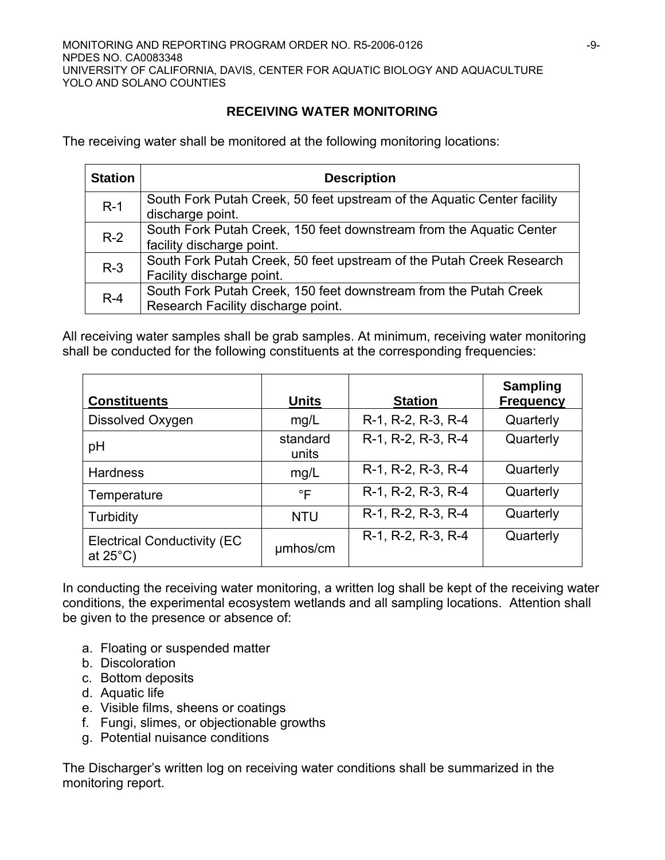# **RECEIVING WATER MONITORING**

The receiving water shall be monitored at the following monitoring locations:

| <b>Station</b> | <b>Description</b>                                                                                     |
|----------------|--------------------------------------------------------------------------------------------------------|
| $R-1$          | South Fork Putah Creek, 50 feet upstream of the Aquatic Center facility<br>discharge point.            |
| $R-2$          | South Fork Putah Creek, 150 feet downstream from the Aquatic Center<br>facility discharge point.       |
| $R-3$          | South Fork Putah Creek, 50 feet upstream of the Putah Creek Research<br>Facility discharge point.      |
| $R-4$          | South Fork Putah Creek, 150 feet downstream from the Putah Creek<br>Research Facility discharge point. |

All receiving water samples shall be grab samples. At minimum, receiving water monitoring shall be conducted for the following constituents at the corresponding frequencies:

| <b>Constituents</b>                                       | <b>Units</b>      | <b>Station</b>     | <b>Sampling</b><br><b>Frequency</b> |
|-----------------------------------------------------------|-------------------|--------------------|-------------------------------------|
| Dissolved Oxygen                                          | mg/L              | R-1, R-2, R-3, R-4 | Quarterly                           |
| pH                                                        | standard<br>units | R-1, R-2, R-3, R-4 | Quarterly                           |
| <b>Hardness</b>                                           | mg/L              | R-1, R-2, R-3, R-4 | Quarterly                           |
| Temperature                                               | °F                | R-1, R-2, R-3, R-4 | Quarterly                           |
| Turbidity                                                 | <b>NTU</b>        | R-1, R-2, R-3, R-4 | Quarterly                           |
| <b>Electrical Conductivity (EC)</b><br>at $25^{\circ}$ C) | umhos/cm          | R-1, R-2, R-3, R-4 | Quarterly                           |

In conducting the receiving water monitoring, a written log shall be kept of the receiving water conditions, the experimental ecosystem wetlands and all sampling locations. Attention shall be given to the presence or absence of:

- a. Floating or suspended matter
- b. Discoloration
- c. Bottom deposits
- d. Aquatic life
- e. Visible films, sheens or coatings
- f. Fungi, slimes, or objectionable growths
- g. Potential nuisance conditions

The Discharger's written log on receiving water conditions shall be summarized in the monitoring report.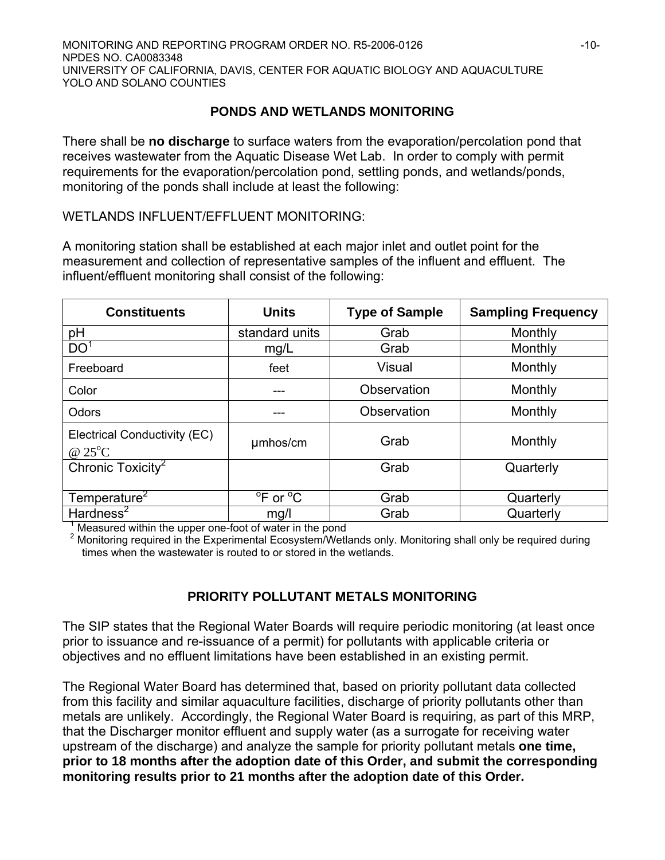#### **PONDS AND WETLANDS MONITORING**

There shall be **no discharge** to surface waters from the evaporation/percolation pond that receives wastewater from the Aquatic Disease Wet Lab. In order to comply with permit requirements for the evaporation/percolation pond, settling ponds, and wetlands/ponds, monitoring of the ponds shall include at least the following:

WETLANDS INFLUENT/EFFLUENT MONITORING:

A monitoring station shall be established at each major inlet and outlet point for the measurement and collection of representative samples of the influent and effluent. The influent/effluent monitoring shall consist of the following:

| <b>Constituents</b>                              | <b>Units</b>                     | <b>Type of Sample</b> | <b>Sampling Frequency</b> |
|--------------------------------------------------|----------------------------------|-----------------------|---------------------------|
| pH                                               | standard units                   | Grab                  | Monthly                   |
| DO <sup>1</sup>                                  | mg/L                             | Grab                  | Monthly                   |
| Freeboard                                        | feet                             | Visual                | Monthly                   |
| Color                                            |                                  | Observation           | Monthly                   |
| Odors                                            |                                  | Observation           | Monthly                   |
| Electrical Conductivity (EC)<br>@ $25^{\circ}$ C | umhos/cm                         | Grab                  | Monthly                   |
| Chronic Toxicity <sup>2</sup>                    |                                  | Grab                  | Quarterly                 |
| Temperature <sup>2</sup>                         | <sup>o</sup> F or <sup>o</sup> C | Grab                  | Quarterly                 |
| Hardness <sup>2</sup>                            | mg/l                             | Grab                  | Quarterly                 |

<sup>1</sup> Measured within the upper one-foot of water in the pond<br><sup>2</sup> Monitoring required in the Experimental Ecosystem/Wetlands only. Monitoring shall only be required during times when the wastewater is routed to or stored in the wetlands.

### **PRIORITY POLLUTANT METALS MONITORING**

The SIP states that the Regional Water Boards will require periodic monitoring (at least once prior to issuance and re-issuance of a permit) for pollutants with applicable criteria or objectives and no effluent limitations have been established in an existing permit.

The Regional Water Board has determined that, based on priority pollutant data collected from this facility and similar aquaculture facilities, discharge of priority pollutants other than metals are unlikely. Accordingly, the Regional Water Board is requiring, as part of this MRP, that the Discharger monitor effluent and supply water (as a surrogate for receiving water upstream of the discharge) and analyze the sample for priority pollutant metals **one time, prior to 18 months after the adoption date of this Order, and submit the corresponding monitoring results prior to 21 months after the adoption date of this Order.**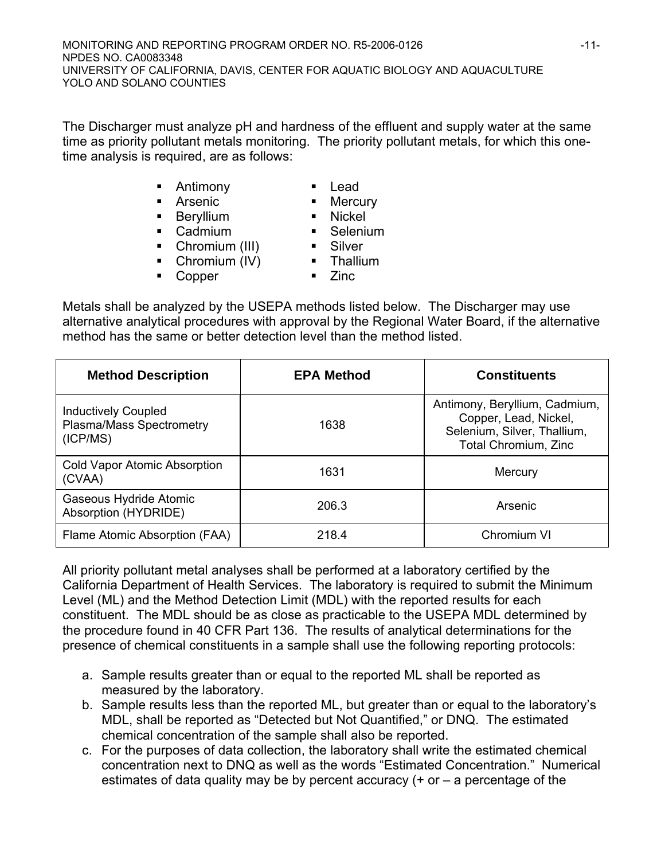The Discharger must analyze pH and hardness of the effluent and supply water at the same time as priority pollutant metals monitoring. The priority pollutant metals, for which this onetime analysis is required, are as follows:

- **Antimony Lead** 
	-
- **Arsenic** Mercury
- **Beryllium** Mickel
- Cadmium Selenium
- Chromium (III) **B.** Silver
- Chromium (IV) Thallium
- Copper Zinc
- 

Metals shall be analyzed by the USEPA methods listed below. The Discharger may use alternative analytical procedures with approval by the Regional Water Board, if the alternative method has the same or better detection level than the method listed.

| <b>Method Description</b>                                          | <b>EPA Method</b> | <b>Constituents</b>                                                                                           |
|--------------------------------------------------------------------|-------------------|---------------------------------------------------------------------------------------------------------------|
| <b>Inductively Coupled</b><br>Plasma/Mass Spectrometry<br>(ICP/MS) | 1638              | Antimony, Beryllium, Cadmium,<br>Copper, Lead, Nickel,<br>Selenium, Silver, Thallium,<br>Total Chromium, Zinc |
| Cold Vapor Atomic Absorption<br>(CVAA)                             | 1631              | Mercury                                                                                                       |
| Gaseous Hydride Atomic<br>Absorption (HYDRIDE)                     | 206.3             | Arsenic                                                                                                       |
| Flame Atomic Absorption (FAA)                                      | 218.4             | Chromium VI                                                                                                   |

All priority pollutant metal analyses shall be performed at a laboratory certified by the California Department of Health Services. The laboratory is required to submit the Minimum Level (ML) and the Method Detection Limit (MDL) with the reported results for each constituent. The MDL should be as close as practicable to the USEPA MDL determined by the procedure found in 40 CFR Part 136. The results of analytical determinations for the presence of chemical constituents in a sample shall use the following reporting protocols:

- a. Sample results greater than or equal to the reported ML shall be reported as measured by the laboratory.
- b. Sample results less than the reported ML, but greater than or equal to the laboratory's MDL, shall be reported as "Detected but Not Quantified," or DNQ. The estimated chemical concentration of the sample shall also be reported.
- c. For the purposes of data collection, the laboratory shall write the estimated chemical concentration next to DNQ as well as the words "Estimated Concentration." Numerical estimates of data quality may be by percent accuracy  $(+)$  or  $-$  a percentage of the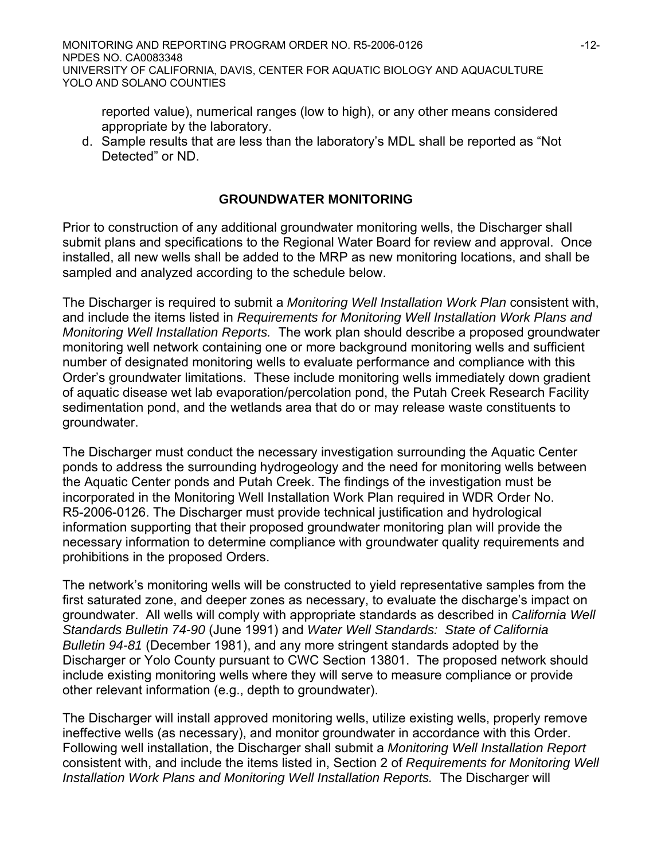reported value), numerical ranges (low to high), or any other means considered appropriate by the laboratory.

d. Sample results that are less than the laboratory's MDL shall be reported as "Not Detected" or ND.

#### **GROUNDWATER MONITORING**

Prior to construction of any additional groundwater monitoring wells, the Discharger shall submit plans and specifications to the Regional Water Board for review and approval. Once installed, all new wells shall be added to the MRP as new monitoring locations, and shall be sampled and analyzed according to the schedule below.

The Discharger is required to submit a *Monitoring Well Installation Work Plan* consistent with, and include the items listed in *Requirements for Monitoring Well Installation Work Plans and Monitoring Well Installation Reports.* The work plan should describe a proposed groundwater monitoring well network containing one or more background monitoring wells and sufficient number of designated monitoring wells to evaluate performance and compliance with this Order's groundwater limitations. These include monitoring wells immediately down gradient of aquatic disease wet lab evaporation/percolation pond, the Putah Creek Research Facility sedimentation pond, and the wetlands area that do or may release waste constituents to groundwater.

The Discharger must conduct the necessary investigation surrounding the Aquatic Center ponds to address the surrounding hydrogeology and the need for monitoring wells between the Aquatic Center ponds and Putah Creek. The findings of the investigation must be incorporated in the Monitoring Well Installation Work Plan required in WDR Order No. R5-2006-0126. The Discharger must provide technical justification and hydrological information supporting that their proposed groundwater monitoring plan will provide the necessary information to determine compliance with groundwater quality requirements and prohibitions in the proposed Orders.

The network's monitoring wells will be constructed to yield representative samples from the first saturated zone, and deeper zones as necessary, to evaluate the discharge's impact on groundwater. All wells will comply with appropriate standards as described in *California Well Standards Bulletin 74-90* (June 1991) and *Water Well Standards: State of California Bulletin 94-81* (December 1981), and any more stringent standards adopted by the Discharger or Yolo County pursuant to CWC Section 13801. The proposed network should include existing monitoring wells where they will serve to measure compliance or provide other relevant information (e.g., depth to groundwater).

The Discharger will install approved monitoring wells, utilize existing wells, properly remove ineffective wells (as necessary), and monitor groundwater in accordance with this Order. Following well installation, the Discharger shall submit a *Monitoring Well Installation Report* consistent with, and include the items listed in, Section 2 of *Requirements for Monitoring Well Installation Work Plans and Monitoring Well Installation Reports.* The Discharger will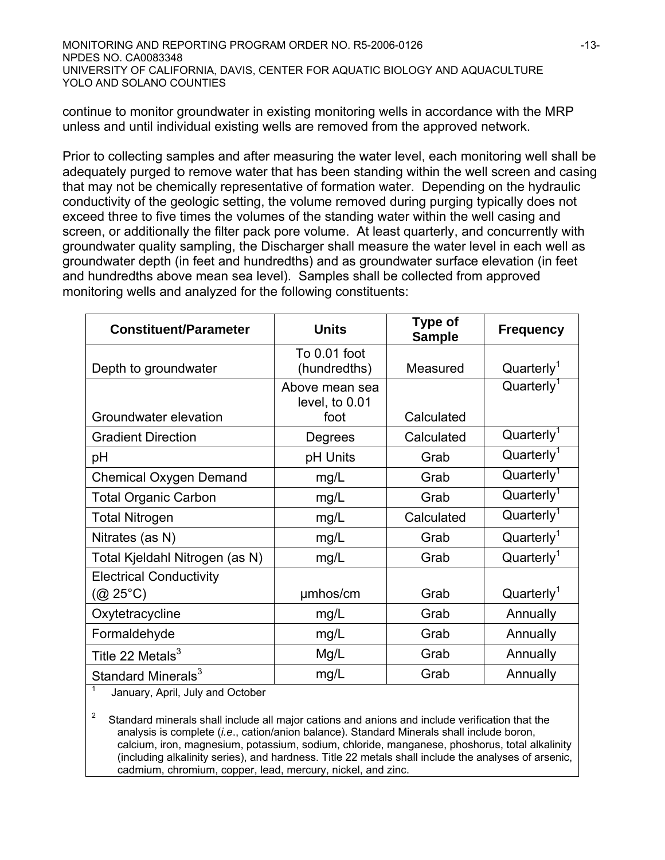continue to monitor groundwater in existing monitoring wells in accordance with the MRP unless and until individual existing wells are removed from the approved network.

Prior to collecting samples and after measuring the water level, each monitoring well shall be adequately purged to remove water that has been standing within the well screen and casing that may not be chemically representative of formation water. Depending on the hydraulic conductivity of the geologic setting, the volume removed during purging typically does not exceed three to five times the volumes of the standing water within the well casing and screen, or additionally the filter pack pore volume. At least quarterly, and concurrently with groundwater quality sampling, the Discharger shall measure the water level in each well as groundwater depth (in feet and hundredths) and as groundwater surface elevation (in feet and hundredths above mean sea level). Samples shall be collected from approved monitoring wells and analyzed for the following constituents:

| <b>Constituent/Parameter</b>                       | <b>Units</b>                     | <b>Type of</b><br><b>Sample</b> | <b>Frequency</b>       |
|----------------------------------------------------|----------------------------------|---------------------------------|------------------------|
| Depth to groundwater                               | To 0.01 foot<br>(hundredths)     | Measured                        | Quarterly <sup>1</sup> |
|                                                    | Above mean sea<br>level, to 0.01 |                                 | Quarterly <sup>1</sup> |
| Groundwater elevation                              | foot                             | Calculated                      |                        |
| <b>Gradient Direction</b>                          | Degrees                          | Calculated                      | Quarterly <sup>1</sup> |
| рH                                                 | pH Units                         | Grab                            | Quarterly <sup>1</sup> |
| <b>Chemical Oxygen Demand</b>                      | mg/L                             | Grab                            | Quarterly <sup>1</sup> |
| <b>Total Organic Carbon</b>                        | mg/L                             | Grab                            | Quarterly <sup>1</sup> |
| <b>Total Nitrogen</b>                              | mg/L                             | Calculated                      | Quarterly <sup>1</sup> |
| Nitrates (as N)                                    | mg/L                             | Grab                            | Quarterly <sup>1</sup> |
| Total Kjeldahl Nitrogen (as N)                     | mg/L                             | Grab                            | Quarterly <sup>1</sup> |
| <b>Electrical Conductivity</b><br>$(Q25^{\circ}C)$ | umhos/cm                         | Grab                            | Quarterly <sup>1</sup> |
| Oxytetracycline                                    | mg/L                             | Grab                            | Annually               |
| Formaldehyde                                       | mg/L                             | Grab                            | Annually               |
| Title 22 Metals $3$                                | Mg/L                             | Grab                            | Annually               |
| Standard Minerals <sup>3</sup>                     | mg/L                             | Grab                            | Annually               |

1 January, April, July and October

 $2^2$  Standard minerals shall include all major cations and anions and include verification that the analysis is complete (*i.e*., cation/anion balance). Standard Minerals shall include boron, calcium, iron, magnesium, potassium, sodium, chloride, manganese, phoshorus, total alkalinity (including alkalinity series), and hardness. Title 22 metals shall include the analyses of arsenic, cadmium, chromium, copper, lead, mercury, nickel, and zinc.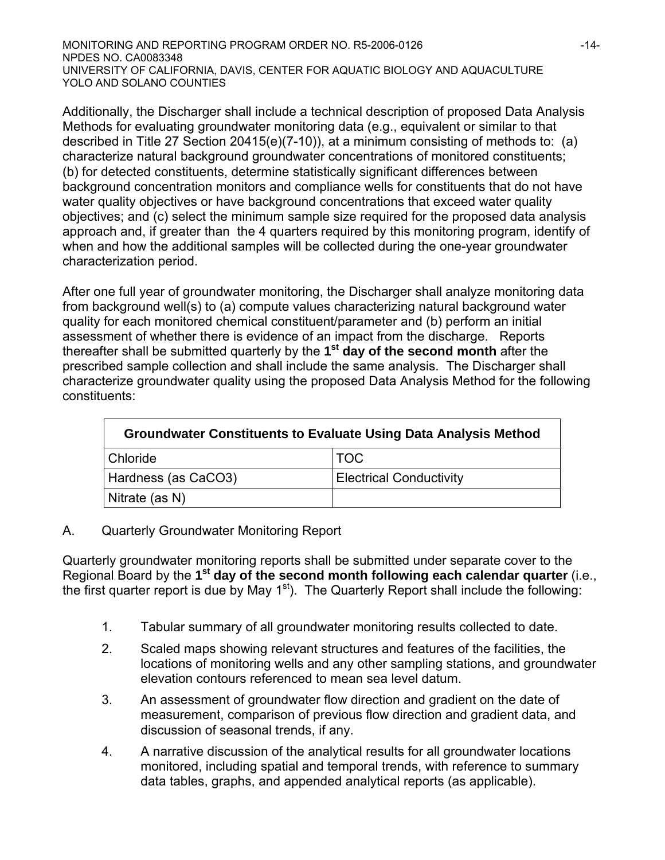Additionally, the Discharger shall include a technical description of proposed Data Analysis Methods for evaluating groundwater monitoring data (e.g., equivalent or similar to that described in Title 27 Section 20415(e)(7-10)), at a minimum consisting of methods to: (a) characterize natural background groundwater concentrations of monitored constituents; (b) for detected constituents, determine statistically significant differences between background concentration monitors and compliance wells for constituents that do not have water quality objectives or have background concentrations that exceed water quality objectives; and (c) select the minimum sample size required for the proposed data analysis approach and, if greater than the 4 quarters required by this monitoring program, identify of when and how the additional samples will be collected during the one-year groundwater characterization period.

After one full year of groundwater monitoring, the Discharger shall analyze monitoring data from background well(s) to (a) compute values characterizing natural background water quality for each monitored chemical constituent/parameter and (b) perform an initial assessment of whether there is evidence of an impact from the discharge. Reports thereafter shall be submitted quarterly by the **1st day of the second month** after the prescribed sample collection and shall include the same analysis. The Discharger shall characterize groundwater quality using the proposed Data Analysis Method for the following constituents:

| <b>Groundwater Constituents to Evaluate Using Data Analysis Method</b> |                                |  |  |
|------------------------------------------------------------------------|--------------------------------|--|--|
| Chloride                                                               | TOC                            |  |  |
| Hardness (as CaCO3)                                                    | <b>Electrical Conductivity</b> |  |  |
| Nitrate (as N)                                                         |                                |  |  |

### A. Quarterly Groundwater Monitoring Report

Quarterly groundwater monitoring reports shall be submitted under separate cover to the Regional Board by the **1st day of the second month following each calendar quarter** (i.e., the first quarter report is due by May 1<sup>st</sup>). The Quarterly Report shall include the following:

- 1. Tabular summary of all groundwater monitoring results collected to date.
- 2. Scaled maps showing relevant structures and features of the facilities, the locations of monitoring wells and any other sampling stations, and groundwater elevation contours referenced to mean sea level datum.
- 3. An assessment of groundwater flow direction and gradient on the date of measurement, comparison of previous flow direction and gradient data, and discussion of seasonal trends, if any.
- 4. A narrative discussion of the analytical results for all groundwater locations monitored, including spatial and temporal trends, with reference to summary data tables, graphs, and appended analytical reports (as applicable).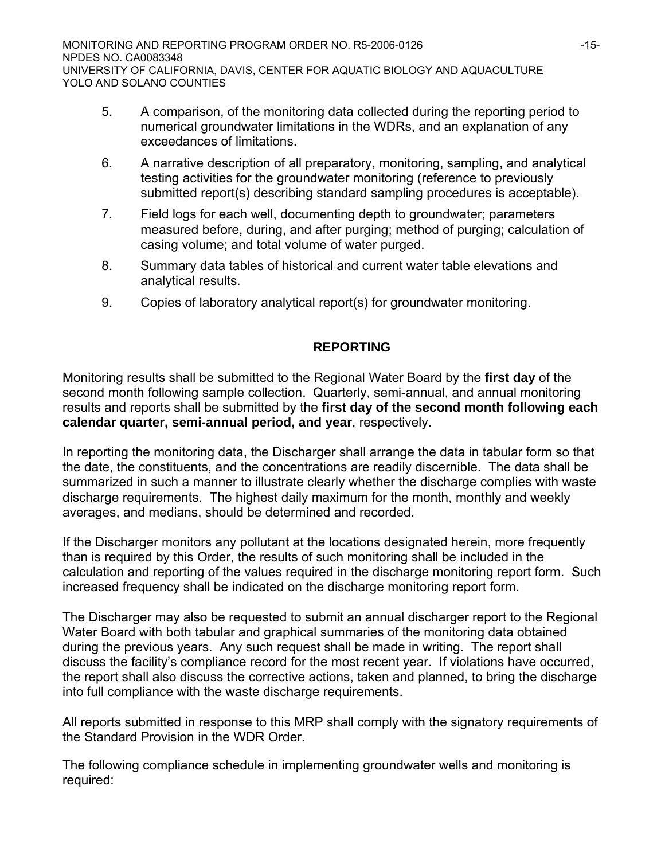- 5. A comparison, of the monitoring data collected during the reporting period to numerical groundwater limitations in the WDRs, and an explanation of any exceedances of limitations.
- 6. A narrative description of all preparatory, monitoring, sampling, and analytical testing activities for the groundwater monitoring (reference to previously submitted report(s) describing standard sampling procedures is acceptable).
- 7. Field logs for each well, documenting depth to groundwater; parameters measured before, during, and after purging; method of purging; calculation of casing volume; and total volume of water purged.
- 8. Summary data tables of historical and current water table elevations and analytical results.
- 9. Copies of laboratory analytical report(s) for groundwater monitoring.

## **REPORTING**

Monitoring results shall be submitted to the Regional Water Board by the **first day** of the second month following sample collection. Quarterly, semi-annual, and annual monitoring results and reports shall be submitted by the **first day of the second month following each calendar quarter, semi-annual period, and year**, respectively.

In reporting the monitoring data, the Discharger shall arrange the data in tabular form so that the date, the constituents, and the concentrations are readily discernible. The data shall be summarized in such a manner to illustrate clearly whether the discharge complies with waste discharge requirements. The highest daily maximum for the month, monthly and weekly averages, and medians, should be determined and recorded.

If the Discharger monitors any pollutant at the locations designated herein, more frequently than is required by this Order, the results of such monitoring shall be included in the calculation and reporting of the values required in the discharge monitoring report form. Such increased frequency shall be indicated on the discharge monitoring report form.

The Discharger may also be requested to submit an annual discharger report to the Regional Water Board with both tabular and graphical summaries of the monitoring data obtained during the previous years. Any such request shall be made in writing. The report shall discuss the facility's compliance record for the most recent year. If violations have occurred, the report shall also discuss the corrective actions, taken and planned, to bring the discharge into full compliance with the waste discharge requirements.

All reports submitted in response to this MRP shall comply with the signatory requirements of the Standard Provision in the WDR Order.

The following compliance schedule in implementing groundwater wells and monitoring is required: